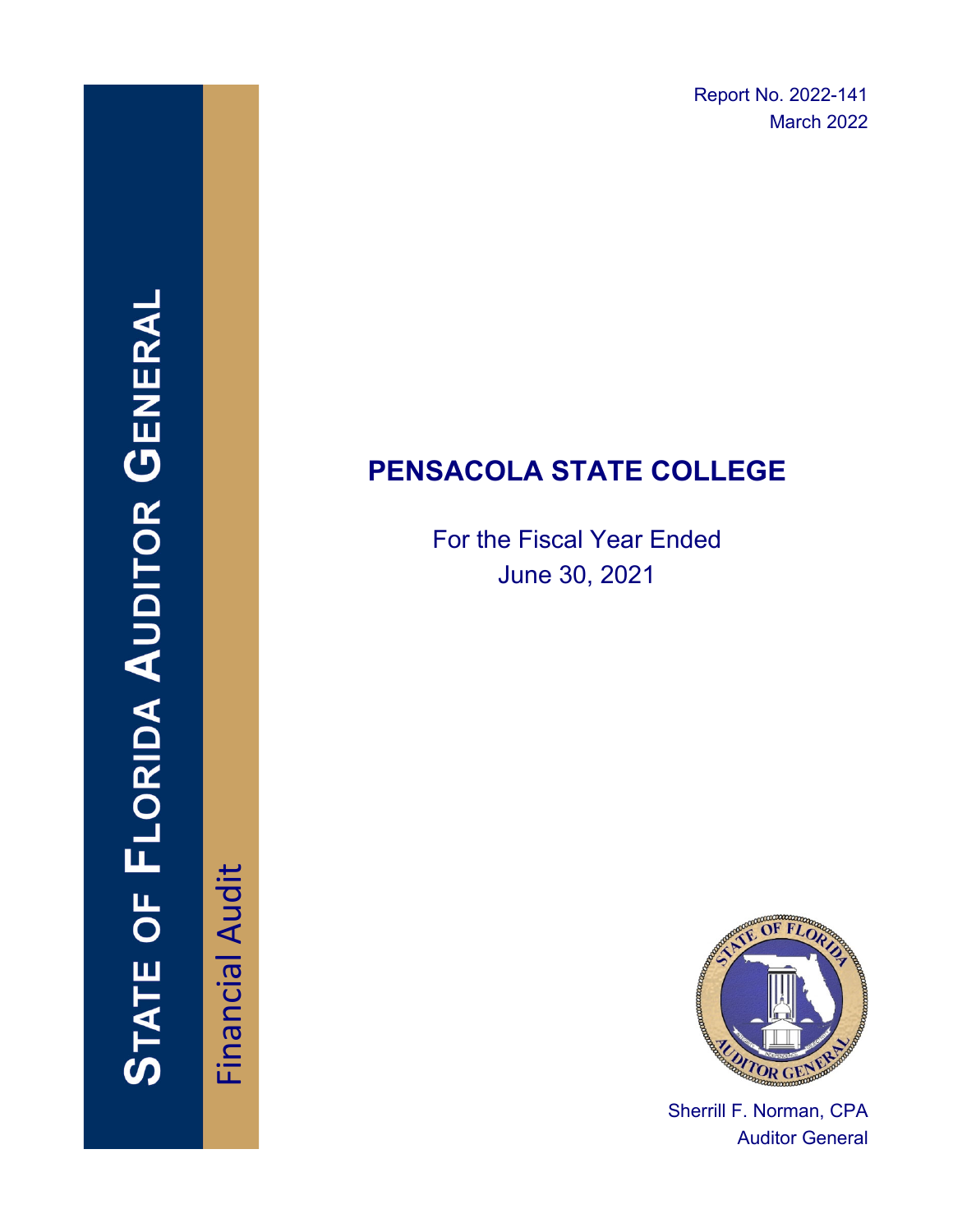Report No. 2022-141 March 2022

# **PENSACOLA STATE COLLEGE**

For the Fiscal Year Ended June 30, 2021



Sherrill F. Norman, CPA Auditor General

Financial Audit Financial Audit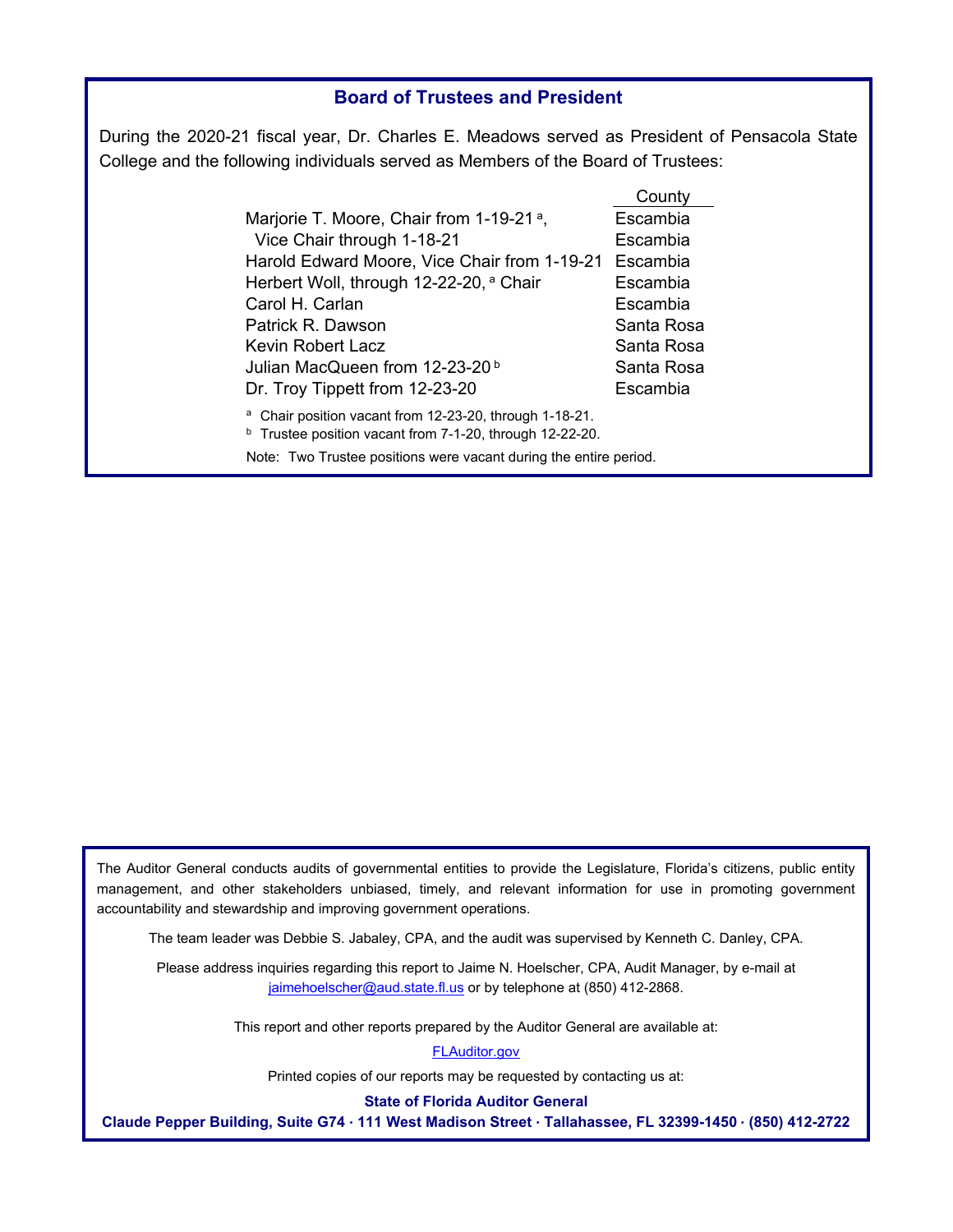#### **Board of Trustees and President**

During the 2020-21 fiscal year, Dr. Charles E. Meadows served as President of Pensacola State College and the following individuals served as Members of the Board of Trustees:

|                                                                                                                                           | County     |
|-------------------------------------------------------------------------------------------------------------------------------------------|------------|
| Marjorie T. Moore, Chair from 1-19-21 <sup>a</sup> ,                                                                                      | Escambia   |
| Vice Chair through 1-18-21                                                                                                                | Escambia   |
| Harold Edward Moore, Vice Chair from 1-19-21                                                                                              | Escambia   |
| Herbert Woll, through 12-22-20, a Chair                                                                                                   | Escambia   |
| Carol H. Carlan                                                                                                                           | Escambia   |
| Patrick R. Dawson                                                                                                                         | Santa Rosa |
| Kevin Robert Lacz                                                                                                                         | Santa Rosa |
| Julian MacQueen from 12-23-20 <sup>b</sup>                                                                                                | Santa Rosa |
| Dr. Troy Tippett from 12-23-20                                                                                                            | Escambia   |
| <sup>a</sup> Chair position vacant from 12-23-20, through 1-18-21.<br><sup>b</sup> Trustee position vacant from 7-1-20, through 12-22-20. |            |

Note: Two Trustee positions were vacant during the entire period.

The Auditor General conducts audits of governmental entities to provide the Legislature, Florida's citizens, public entity management, and other stakeholders unbiased, timely, and relevant information for use in promoting government accountability and stewardship and improving government operations.

The team leader was Debbie S. Jabaley, CPA, and the audit was supervised by Kenneth C. Danley, CPA.

Please address inquiries regarding this report to Jaime N. Hoelscher, CPA, Audit Manager, by e-mail at jaimehoelscher@aud.state.fl.us or by telephone at (850) 412-2868.

This report and other reports prepared by the Auditor General are available at:

[FLAuditor.gov](http://flauditor.gov/) 

Printed copies of our reports may be requested by contacting us at:

**State of Florida Auditor General** 

**Claude Pepper Building, Suite G74 · 111 West Madison Street · Tallahassee, FL 32399-1450 · (850) 412-2722**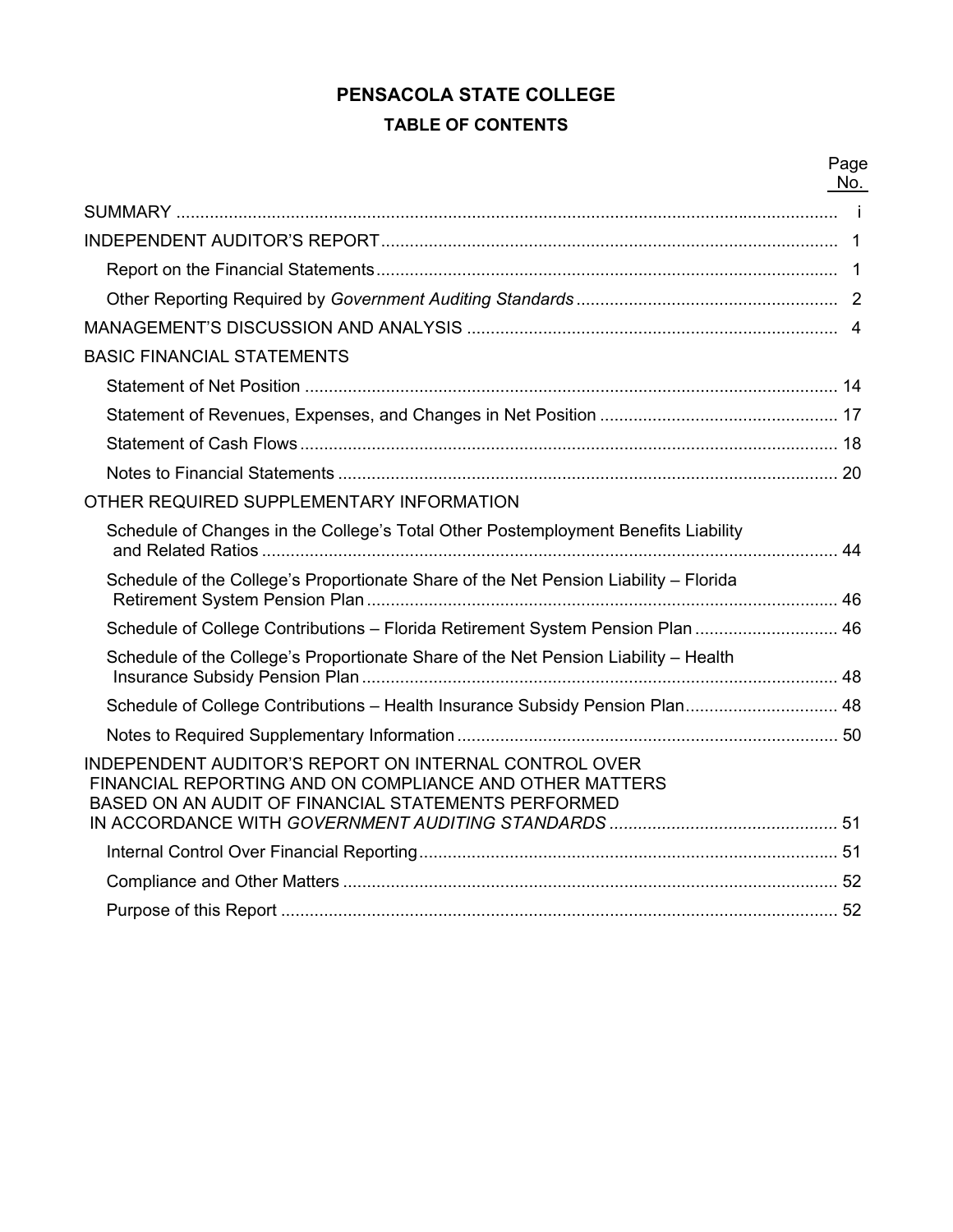## **PENSACOLA STATE COLLEGE TABLE OF CONTENTS**

|                                                                                                                                                                         | Page<br>No. |
|-------------------------------------------------------------------------------------------------------------------------------------------------------------------------|-------------|
|                                                                                                                                                                         |             |
|                                                                                                                                                                         |             |
|                                                                                                                                                                         |             |
|                                                                                                                                                                         |             |
|                                                                                                                                                                         |             |
| <b>BASIC FINANCIAL STATEMENTS</b>                                                                                                                                       |             |
|                                                                                                                                                                         |             |
|                                                                                                                                                                         |             |
|                                                                                                                                                                         |             |
|                                                                                                                                                                         |             |
| OTHER REQUIRED SUPPLEMENTARY INFORMATION                                                                                                                                |             |
| Schedule of Changes in the College's Total Other Postemployment Benefits Liability                                                                                      |             |
| Schedule of the College's Proportionate Share of the Net Pension Liability - Florida                                                                                    |             |
| Schedule of College Contributions - Florida Retirement System Pension Plan  46                                                                                          |             |
| Schedule of the College's Proportionate Share of the Net Pension Liability - Health                                                                                     |             |
| Schedule of College Contributions - Health Insurance Subsidy Pension Plan 48                                                                                            |             |
|                                                                                                                                                                         |             |
| INDEPENDENT AUDITOR'S REPORT ON INTERNAL CONTROL OVER<br>FINANCIAL REPORTING AND ON COMPLIANCE AND OTHER MATTERS<br>BASED ON AN AUDIT OF FINANCIAL STATEMENTS PERFORMED |             |
|                                                                                                                                                                         |             |
|                                                                                                                                                                         |             |
|                                                                                                                                                                         |             |
|                                                                                                                                                                         |             |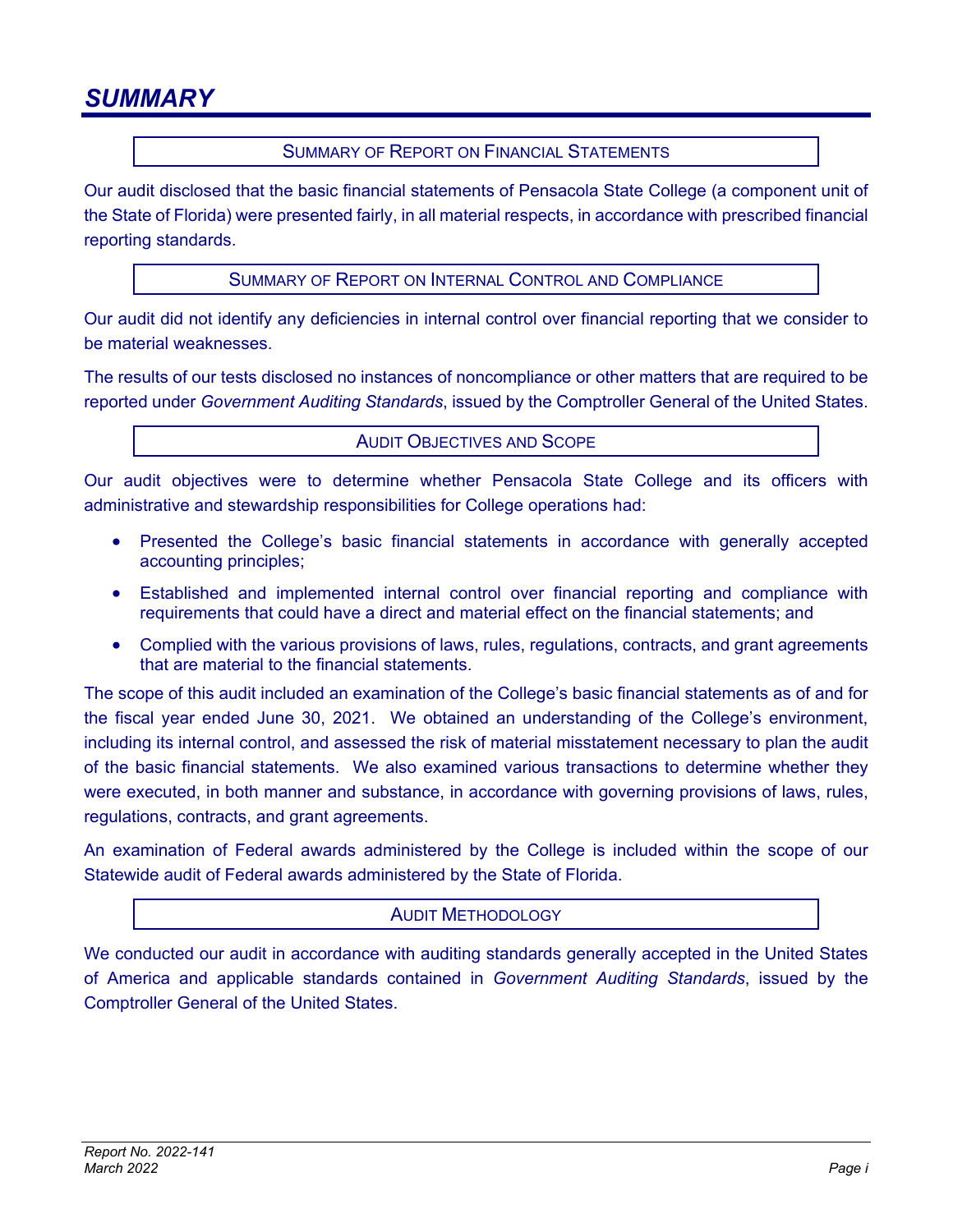#### SUMMARY OF REPORT ON FINANCIAL STATEMENTS

<span id="page-3-0"></span>Our audit disclosed that the basic financial statements of Pensacola State College (a component unit of the State of Florida) were presented fairly, in all material respects, in accordance with prescribed financial reporting standards.

SUMMARY OF REPORT ON INTERNAL CONTROL AND COMPLIANCE

Our audit did not identify any deficiencies in internal control over financial reporting that we consider to be material weaknesses.

The results of our tests disclosed no instances of noncompliance or other matters that are required to be reported under *Government Auditing Standards*, issued by the Comptroller General of the United States.

#### AUDIT OBJECTIVES AND SCOPE

Our audit objectives were to determine whether Pensacola State College and its officers with administrative and stewardship responsibilities for College operations had:

- Presented the College's basic financial statements in accordance with generally accepted accounting principles;
- Established and implemented internal control over financial reporting and compliance with requirements that could have a direct and material effect on the financial statements; and
- Complied with the various provisions of laws, rules, regulations, contracts, and grant agreements that are material to the financial statements.

The scope of this audit included an examination of the College's basic financial statements as of and for the fiscal year ended June 30, 2021. We obtained an understanding of the College's environment, including its internal control, and assessed the risk of material misstatement necessary to plan the audit of the basic financial statements. We also examined various transactions to determine whether they were executed, in both manner and substance, in accordance with governing provisions of laws, rules, regulations, contracts, and grant agreements.

An examination of Federal awards administered by the College is included within the scope of our Statewide audit of Federal awards administered by the State of Florida.

#### AUDIT METHODOLOGY

We conducted our audit in accordance with auditing standards generally accepted in the United States of America and applicable standards contained in *Government Auditing Standards*, issued by the Comptroller General of the United States.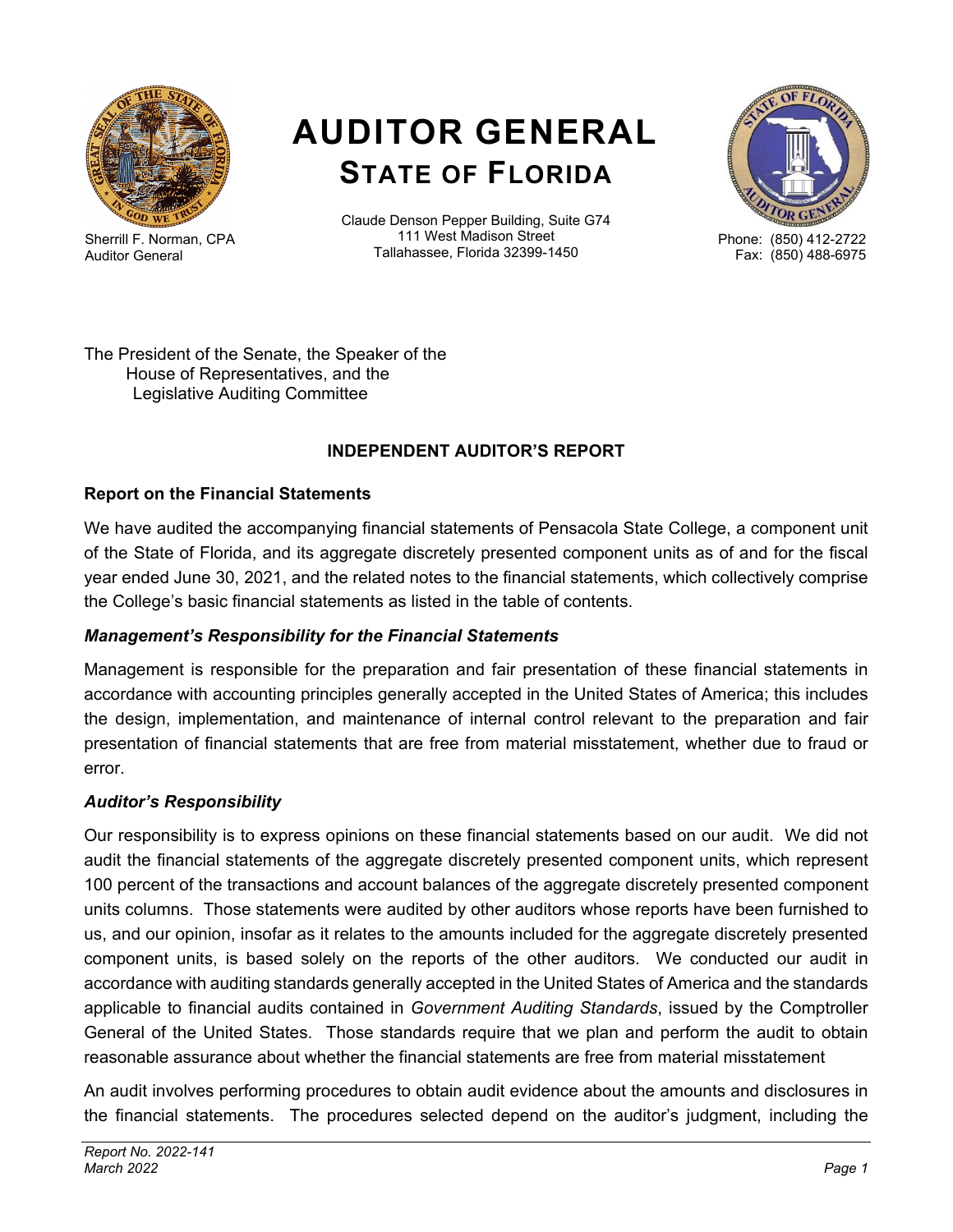<span id="page-4-0"></span>

Sherrill F. Norman, CPA Auditor General

# **AUDITOR GENERAL STATE OF FLORIDA**

Claude Denson Pepper Building, Suite G74 111 West Madison Street Tallahassee, Florida 32399-1450



Phone: (850) 412-2722 Fax: (850) 488-6975

The President of the Senate, the Speaker of the House of Representatives, and the Legislative Auditing Committee

## **INDEPENDENT AUDITOR'S REPORT**

### **Report on the Financial Statements**

We have audited the accompanying financial statements of Pensacola State College, a component unit of the State of Florida, and its aggregate discretely presented component units as of and for the fiscal year ended June 30, 2021, and the related notes to the financial statements, which collectively comprise the College's basic financial statements as listed in the table of contents.

#### *Management's Responsibility for the Financial Statements*

Management is responsible for the preparation and fair presentation of these financial statements in accordance with accounting principles generally accepted in the United States of America; this includes the design, implementation, and maintenance of internal control relevant to the preparation and fair presentation of financial statements that are free from material misstatement, whether due to fraud or error.

## *Auditor's Responsibility*

Our responsibility is to express opinions on these financial statements based on our audit. We did not audit the financial statements of the aggregate discretely presented component units, which represent 100 percent of the transactions and account balances of the aggregate discretely presented component units columns. Those statements were audited by other auditors whose reports have been furnished to us, and our opinion, insofar as it relates to the amounts included for the aggregate discretely presented component units, is based solely on the reports of the other auditors. We conducted our audit in accordance with auditing standards generally accepted in the United States of America and the standards applicable to financial audits contained in *Government Auditing Standards*, issued by the Comptroller General of the United States. Those standards require that we plan and perform the audit to obtain reasonable assurance about whether the financial statements are free from material misstatement

An audit involves performing procedures to obtain audit evidence about the amounts and disclosures in the financial statements. The procedures selected depend on the auditor's judgment, including the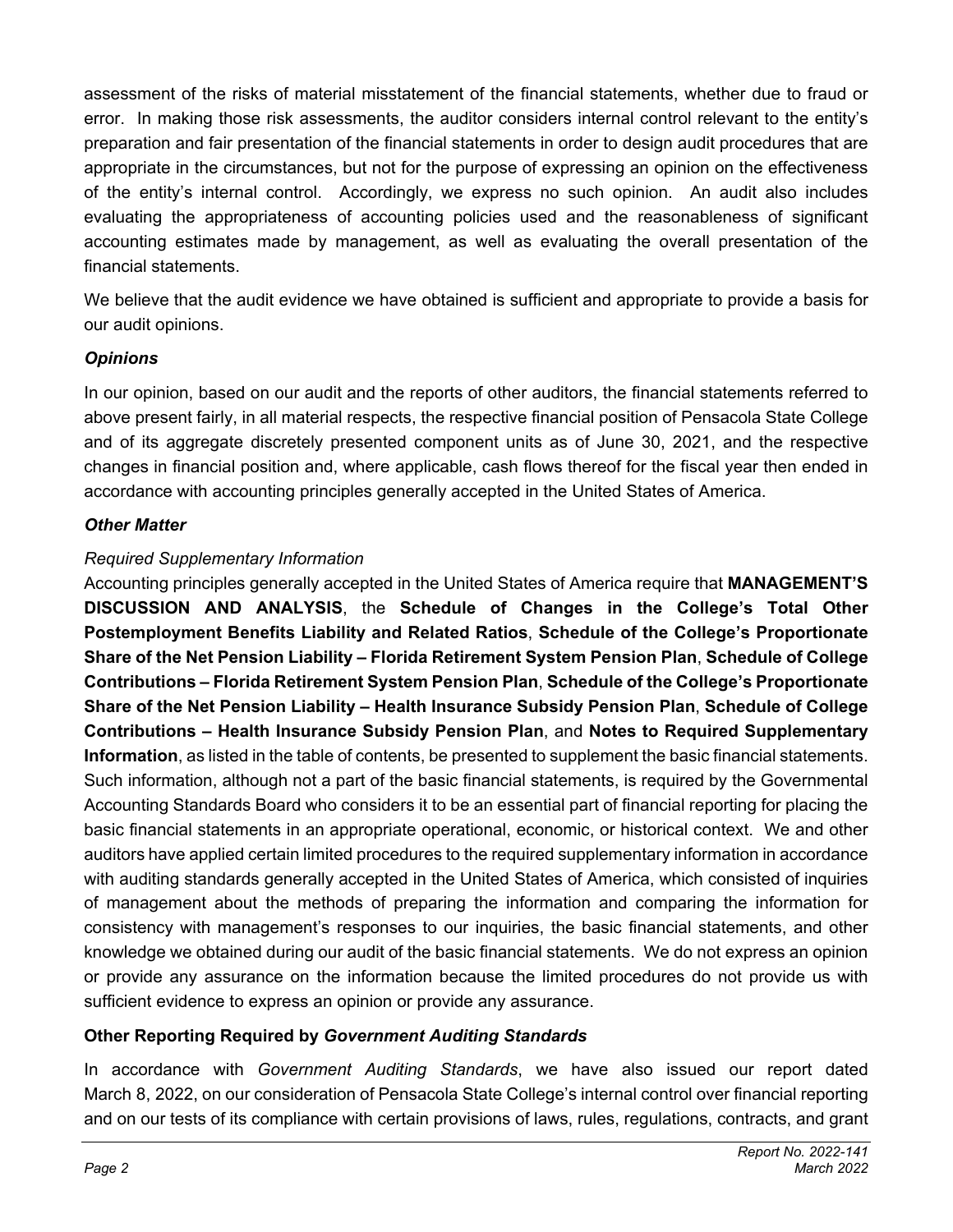<span id="page-5-0"></span>assessment of the risks of material misstatement of the financial statements, whether due to fraud or error. In making those risk assessments, the auditor considers internal control relevant to the entity's preparation and fair presentation of the financial statements in order to design audit procedures that are appropriate in the circumstances, but not for the purpose of expressing an opinion on the effectiveness of the entity's internal control. Accordingly, we express no such opinion. An audit also includes evaluating the appropriateness of accounting policies used and the reasonableness of significant accounting estimates made by management, as well as evaluating the overall presentation of the financial statements.

We believe that the audit evidence we have obtained is sufficient and appropriate to provide a basis for our audit opinions.

### *Opinions*

In our opinion, based on our audit and the reports of other auditors, the financial statements referred to above present fairly, in all material respects, the respective financial position of Pensacola State College and of its aggregate discretely presented component units as of June 30, 2021, and the respective changes in financial position and, where applicable, cash flows thereof for the fiscal year then ended in accordance with accounting principles generally accepted in the United States of America.

### *Other Matter*

### *Required Supplementary Information*

Accounting principles generally accepted in the United States of America require that **MANAGEMENT'S DISCUSSION AND ANALYSIS**, the **Schedule of Changes in the College's Total Other Postemployment Benefits Liability and Related Ratios**, **Schedule of the College's Proportionate Share of the Net Pension Liability – Florida Retirement System Pension Plan**, **Schedule of College Contributions – Florida Retirement System Pension Plan**, **Schedule of the College's Proportionate Share of the Net Pension Liability – Health Insurance Subsidy Pension Plan**, **Schedule of College Contributions – Health Insurance Subsidy Pension Plan**, and **Notes to Required Supplementary Information**, as listed in the table of contents, be presented to supplement the basic financial statements. Such information, although not a part of the basic financial statements, is required by the Governmental Accounting Standards Board who considers it to be an essential part of financial reporting for placing the basic financial statements in an appropriate operational, economic, or historical context. We and other auditors have applied certain limited procedures to the required supplementary information in accordance with auditing standards generally accepted in the United States of America, which consisted of inquiries of management about the methods of preparing the information and comparing the information for consistency with management's responses to our inquiries, the basic financial statements, and other knowledge we obtained during our audit of the basic financial statements. We do not express an opinion or provide any assurance on the information because the limited procedures do not provide us with sufficient evidence to express an opinion or provide any assurance.

#### **Other Reporting Required by** *Government Auditing Standards*

In accordance with *Government Auditing Standards*, we have also issued our report dated March 8, 2022, on our consideration of Pensacola State College's internal control over financial reporting and on our tests of its compliance with certain provisions of laws, rules, regulations, contracts, and grant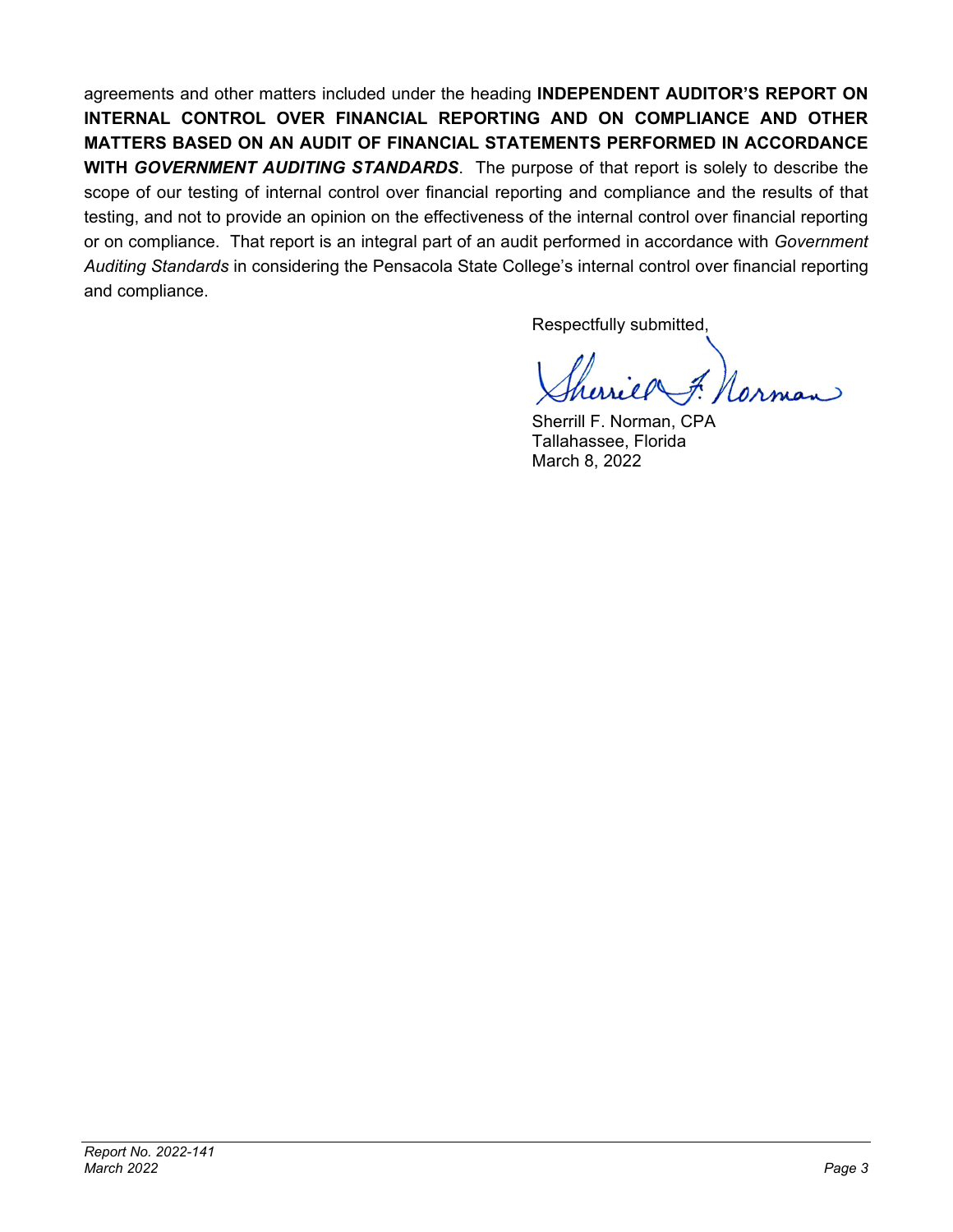agreements and other matters included under the heading **INDEPENDENT AUDITOR'S REPORT ON INTERNAL CONTROL OVER FINANCIAL REPORTING AND ON COMPLIANCE AND OTHER MATTERS BASED ON AN AUDIT OF FINANCIAL STATEMENTS PERFORMED IN ACCORDANCE WITH** *GOVERNMENT AUDITING STANDARDS*. The purpose of that report is solely to describe the scope of our testing of internal control over financial reporting and compliance and the results of that testing, and not to provide an opinion on the effectiveness of the internal control over financial reporting or on compliance. That report is an integral part of an audit performed in accordance with *Government Auditing Standards* in considering the Pensacola State College's internal control over financial reporting and compliance.

Respectfully submitted,

Sherrill F. Norman, CPA Tallahassee, Florida March 8, 2022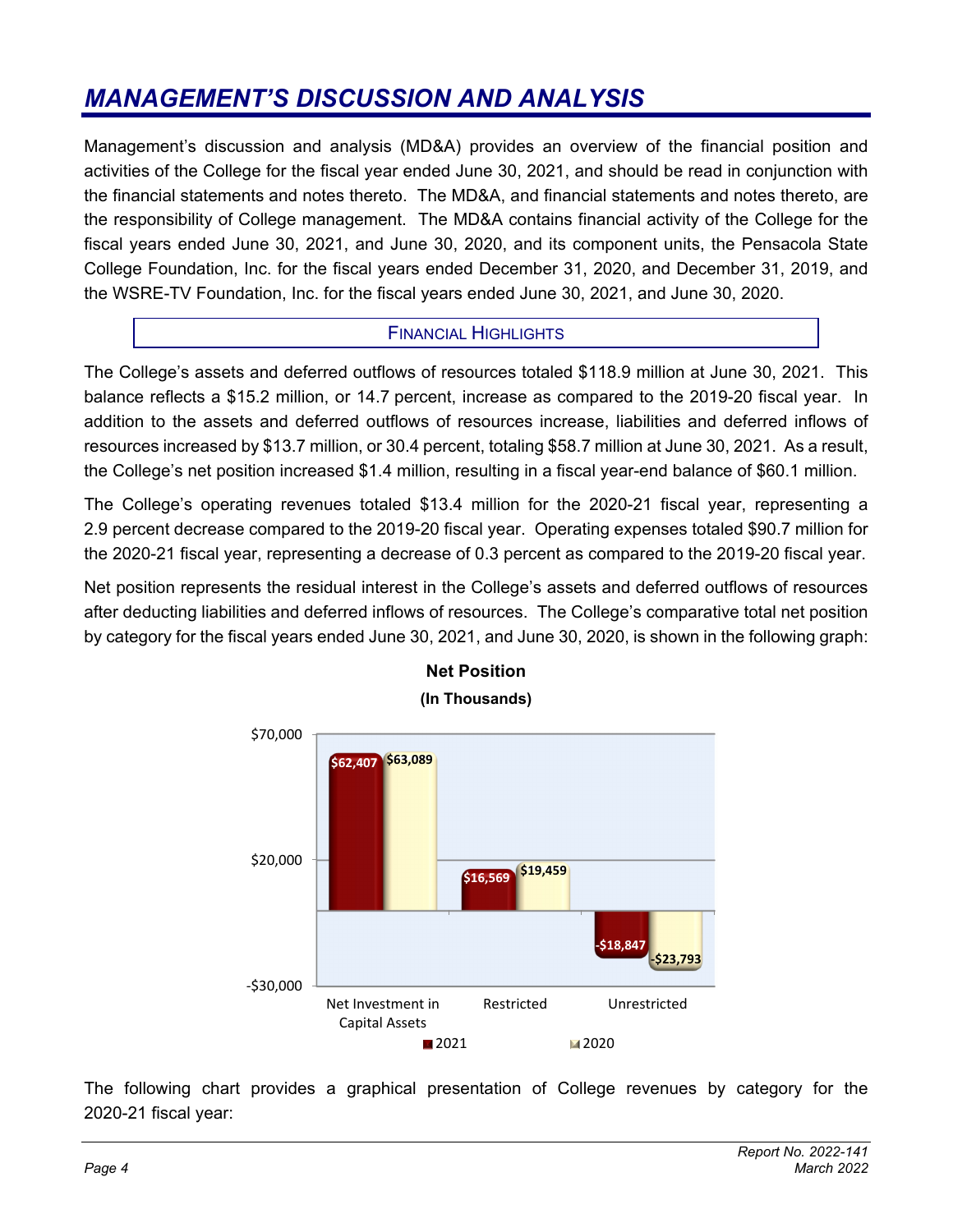## <span id="page-7-0"></span>*MANAGEMENT'S DISCUSSION AND ANALYSIS*

Management's discussion and analysis (MD&A) provides an overview of the financial position and activities of the College for the fiscal year ended June 30, 2021, and should be read in conjunction with the financial statements and notes thereto. The MD&A, and financial statements and notes thereto, are the responsibility of College management. The MD&A contains financial activity of the College for the fiscal years ended June 30, 2021, and June 30, 2020, and its component units, the Pensacola State College Foundation, Inc. for the fiscal years ended December 31, 2020, and December 31, 2019, and the WSRE-TV Foundation, Inc. for the fiscal years ended June 30, 2021, and June 30, 2020.

### FINANCIAL HIGHLIGHTS

The College's assets and deferred outflows of resources totaled \$118.9 million at June 30, 2021. This balance reflects a \$15.2 million, or 14.7 percent, increase as compared to the 2019-20 fiscal year. In addition to the assets and deferred outflows of resources increase, liabilities and deferred inflows of resources increased by \$13.7 million, or 30.4 percent, totaling \$58.7 million at June 30, 2021. As a result, the College's net position increased \$1.4 million, resulting in a fiscal year-end balance of \$60.1 million.

The College's operating revenues totaled \$13.4 million for the 2020-21 fiscal year, representing a 2.9 percent decrease compared to the 2019-20 fiscal year. Operating expenses totaled \$90.7 million for the 2020-21 fiscal year, representing a decrease of 0.3 percent as compared to the 2019-20 fiscal year.

Net position represents the residual interest in the College's assets and deferred outflows of resources after deducting liabilities and deferred inflows of resources. The College's comparative total net position by category for the fiscal years ended June 30, 2021, and June 30, 2020, is shown in the following graph:



## **Net Position (In Thousands)**

The following chart provides a graphical presentation of College revenues by category for the 2020-21 fiscal year: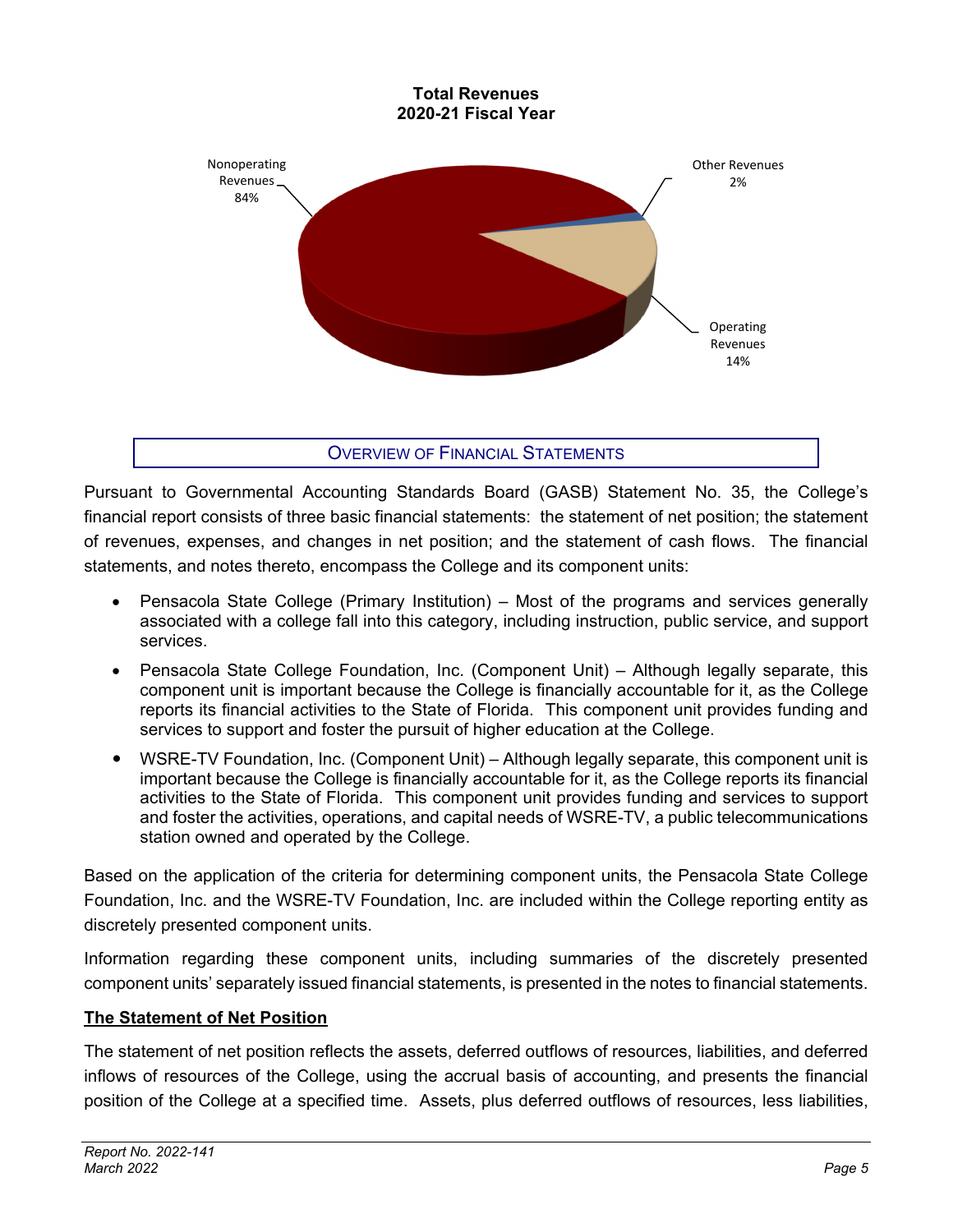

OVERVIEW OF FINANCIAL STATEMENTS

Pursuant to Governmental Accounting Standards Board (GASB) Statement No. 35, the College's financial report consists of three basic financial statements: the statement of net position; the statement of revenues, expenses, and changes in net position; and the statement of cash flows. The financial statements, and notes thereto, encompass the College and its component units:

- Pensacola State College (Primary Institution) Most of the programs and services generally associated with a college fall into this category, including instruction, public service, and support services.
- Pensacola State College Foundation, Inc. (Component Unit) Although legally separate, this component unit is important because the College is financially accountable for it, as the College reports its financial activities to the State of Florida. This component unit provides funding and services to support and foster the pursuit of higher education at the College.
- WSRE-TV Foundation, Inc. (Component Unit) Although legally separate, this component unit is important because the College is financially accountable for it, as the College reports its financial activities to the State of Florida. This component unit provides funding and services to support and foster the activities, operations, and capital needs of WSRE-TV, a public telecommunications station owned and operated by the College.

Based on the application of the criteria for determining component units, the Pensacola State College Foundation, Inc. and the WSRE-TV Foundation, Inc. are included within the College reporting entity as discretely presented component units.

Information regarding these component units, including summaries of the discretely presented component units' separately issued financial statements, is presented in the notes to financial statements.

## **The Statement of Net Position**

The statement of net position reflects the assets, deferred outflows of resources, liabilities, and deferred inflows of resources of the College, using the accrual basis of accounting, and presents the financial position of the College at a specified time. Assets, plus deferred outflows of resources, less liabilities,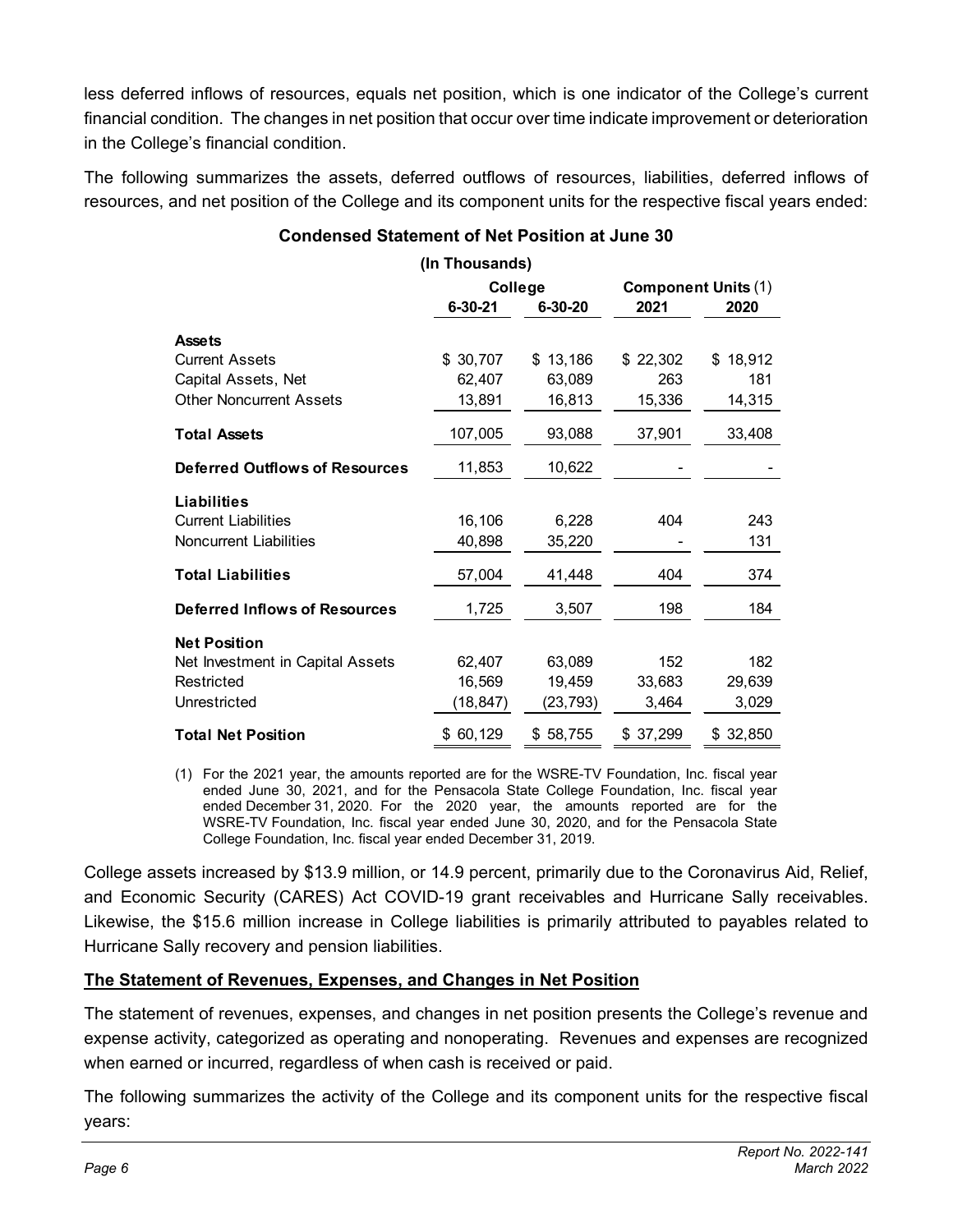less deferred inflows of resources, equals net position, which is one indicator of the College's current financial condition. The changes in net position that occur over time indicate improvement or deterioration in the College's financial condition.

The following summarizes the assets, deferred outflows of resources, liabilities, deferred inflows of resources, and net position of the College and its component units for the respective fiscal years ended:

#### **Condensed Statement of Net Position at June 30**

| (In Thousands)                        |           |          |          |                            |  |  |  |  |
|---------------------------------------|-----------|----------|----------|----------------------------|--|--|--|--|
|                                       | College   |          |          | <b>Component Units (1)</b> |  |  |  |  |
|                                       | 6-30-21   | 6-30-20  | 2021     | 2020                       |  |  |  |  |
| <b>Assets</b>                         |           |          |          |                            |  |  |  |  |
| <b>Current Assets</b>                 | \$30,707  | \$13,186 | \$22,302 | \$18,912                   |  |  |  |  |
| Capital Assets, Net                   | 62,407    | 63,089   | 263      | 181                        |  |  |  |  |
| <b>Other Noncurrent Assets</b>        | 13,891    | 16,813   | 15,336   | 14,315                     |  |  |  |  |
| <b>Total Assets</b>                   | 107,005   | 93,088   | 37,901   | 33,408                     |  |  |  |  |
| <b>Deferred Outflows of Resources</b> | 11,853    | 10,622   |          |                            |  |  |  |  |
| <b>Liabilities</b>                    |           |          |          |                            |  |  |  |  |
| <b>Current Liabilities</b>            | 16,106    | 6,228    | 404      | 243                        |  |  |  |  |
| <b>Noncurrent Liabilities</b>         | 40,898    | 35,220   |          | 131                        |  |  |  |  |
| <b>Total Liabilities</b>              | 57,004    | 41,448   | 404      | 374                        |  |  |  |  |
| Deferred Inflows of Resources         | 1,725     | 3,507    | 198      | 184                        |  |  |  |  |
| <b>Net Position</b>                   |           |          |          |                            |  |  |  |  |
| Net Investment in Capital Assets      | 62,407    | 63,089   | 152      | 182                        |  |  |  |  |
| Restricted                            | 16,569    | 19,459   | 33,683   | 29,639                     |  |  |  |  |
| Unrestricted                          | (18, 847) | (23,793) | 3,464    | 3,029                      |  |  |  |  |
| <b>Total Net Position</b>             | \$ 60,129 | \$58,755 | \$37,299 | \$32,850                   |  |  |  |  |

(1) For the 2021 year, the amounts reported are for the WSRE-TV Foundation, Inc. fiscal year ended June 30, 2021, and for the Pensacola State College Foundation, Inc. fiscal year ended December 31, 2020. For the 2020 year, the amounts reported are for the WSRE-TV Foundation, Inc. fiscal year ended June 30, 2020, and for the Pensacola State College Foundation, Inc. fiscal year ended December 31, 2019.

College assets increased by \$13.9 million, or 14.9 percent, primarily due to the Coronavirus Aid, Relief, and Economic Security (CARES) Act COVID-19 grant receivables and Hurricane Sally receivables. Likewise, the \$15.6 million increase in College liabilities is primarily attributed to payables related to Hurricane Sally recovery and pension liabilities.

#### **The Statement of Revenues, Expenses, and Changes in Net Position**

The statement of revenues, expenses, and changes in net position presents the College's revenue and expense activity, categorized as operating and nonoperating. Revenues and expenses are recognized when earned or incurred, regardless of when cash is received or paid.

The following summarizes the activity of the College and its component units for the respective fiscal years: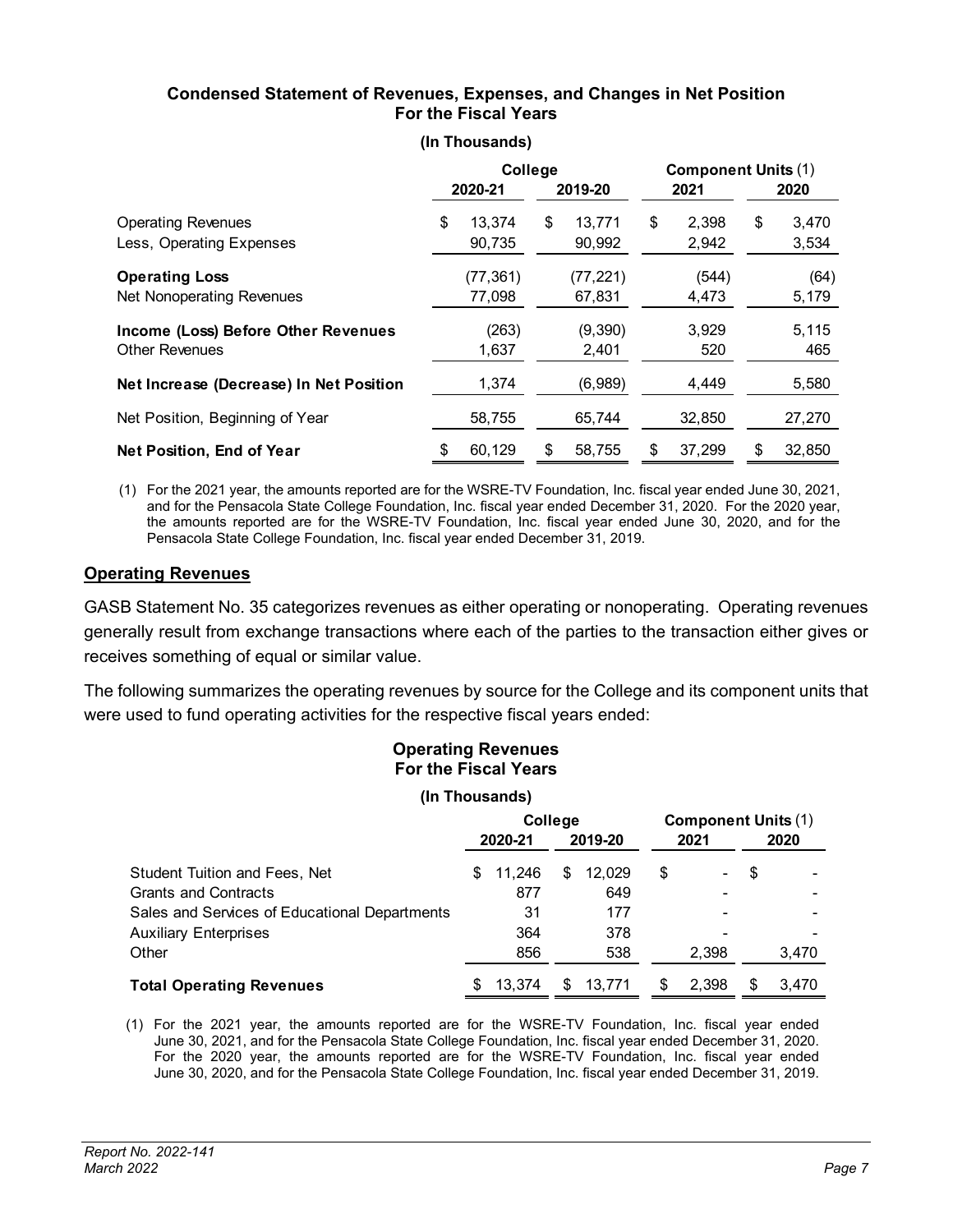#### **Condensed Statement of Revenues, Expenses, and Changes in Net Position For the Fiscal Years**

**(In Thousands)** 

|                                         | College |           |    | <b>Component Units (1)</b> |     |        |    |        |
|-----------------------------------------|---------|-----------|----|----------------------------|-----|--------|----|--------|
|                                         |         | 2020-21   |    | 2019-20                    |     | 2021   |    | 2020   |
| <b>Operating Revenues</b>               | \$      | 13.374    | \$ | 13,771                     | \$  | 2,398  | \$ | 3,470  |
| Less, Operating Expenses                |         | 90,735    |    | 90,992                     |     | 2,942  |    | 3,534  |
| <b>Operating Loss</b>                   |         | (77, 361) |    | (77, 221)                  |     | (544)  |    | (64)   |
| Net Nonoperating Revenues               |         | 77,098    |    | 67,831                     |     | 4,473  |    | 5,179  |
| Income (Loss) Before Other Revenues     |         | (263)     |    | (9,390)                    |     | 3.929  |    | 5,115  |
| <b>Other Revenues</b>                   |         | 1,637     |    | 2,401                      |     | 520    |    | 465    |
| Net Increase (Decrease) In Net Position |         | 1,374     |    | (6,989)                    |     | 4,449  |    | 5,580  |
| Net Position, Beginning of Year         |         | 58,755    |    | 65,744                     |     | 32,850 |    | 27,270 |
| Net Position, End of Year               |         | 60,129    | \$ | 58,755                     | \$. | 37,299 | \$ | 32,850 |

(1) For the 2021 year, the amounts reported are for the WSRE-TV Foundation, Inc. fiscal year ended June 30, 2021, and for the Pensacola State College Foundation, Inc. fiscal year ended December 31, 2020. For the 2020 year, the amounts reported are for the WSRE-TV Foundation, Inc. fiscal year ended June 30, 2020, and for the Pensacola State College Foundation, Inc. fiscal year ended December 31, 2019.

#### **Operating Revenues**

GASB Statement No. 35 categorizes revenues as either operating or nonoperating. Operating revenues generally result from exchange transactions where each of the parties to the transaction either gives or receives something of equal or similar value.

The following summarizes the operating revenues by source for the College and its component units that were used to fund operating activities for the respective fiscal years ended:

#### **Operating Revenues For the Fiscal Years**

|                                               |     | (In Thousands) |     |         |    |                            |    |       |
|-----------------------------------------------|-----|----------------|-----|---------|----|----------------------------|----|-------|
|                                               |     | College        |     |         |    | <b>Component Units (1)</b> |    |       |
|                                               |     | 2020-21        |     | 2019-20 |    | 2021                       |    | 2020  |
| Student Tuition and Fees, Net                 | \$. | 11.246         | \$  | 12.029  | \$ |                            | \$ |       |
| <b>Grants and Contracts</b>                   |     | 877            |     | 649     |    |                            |    |       |
| Sales and Services of Educational Departments |     | 31             |     | 177     |    |                            |    |       |
| <b>Auxiliary Enterprises</b>                  |     | 364            |     | 378     |    |                            |    |       |
| Other                                         |     | 856            |     | 538     |    | 2,398                      |    | 3,470 |
| <b>Total Operating Revenues</b>               | S   | 13.374         | \$. | 13.771  | S  | 2.398                      | S  | 3.470 |

(1) For the 2021 year, the amounts reported are for the WSRE-TV Foundation, Inc. fiscal year ended June 30, 2021, and for the Pensacola State College Foundation, Inc. fiscal year ended December 31, 2020. For the 2020 year, the amounts reported are for the WSRE-TV Foundation, Inc. fiscal year ended June 30, 2020, and for the Pensacola State College Foundation, Inc. fiscal year ended December 31, 2019.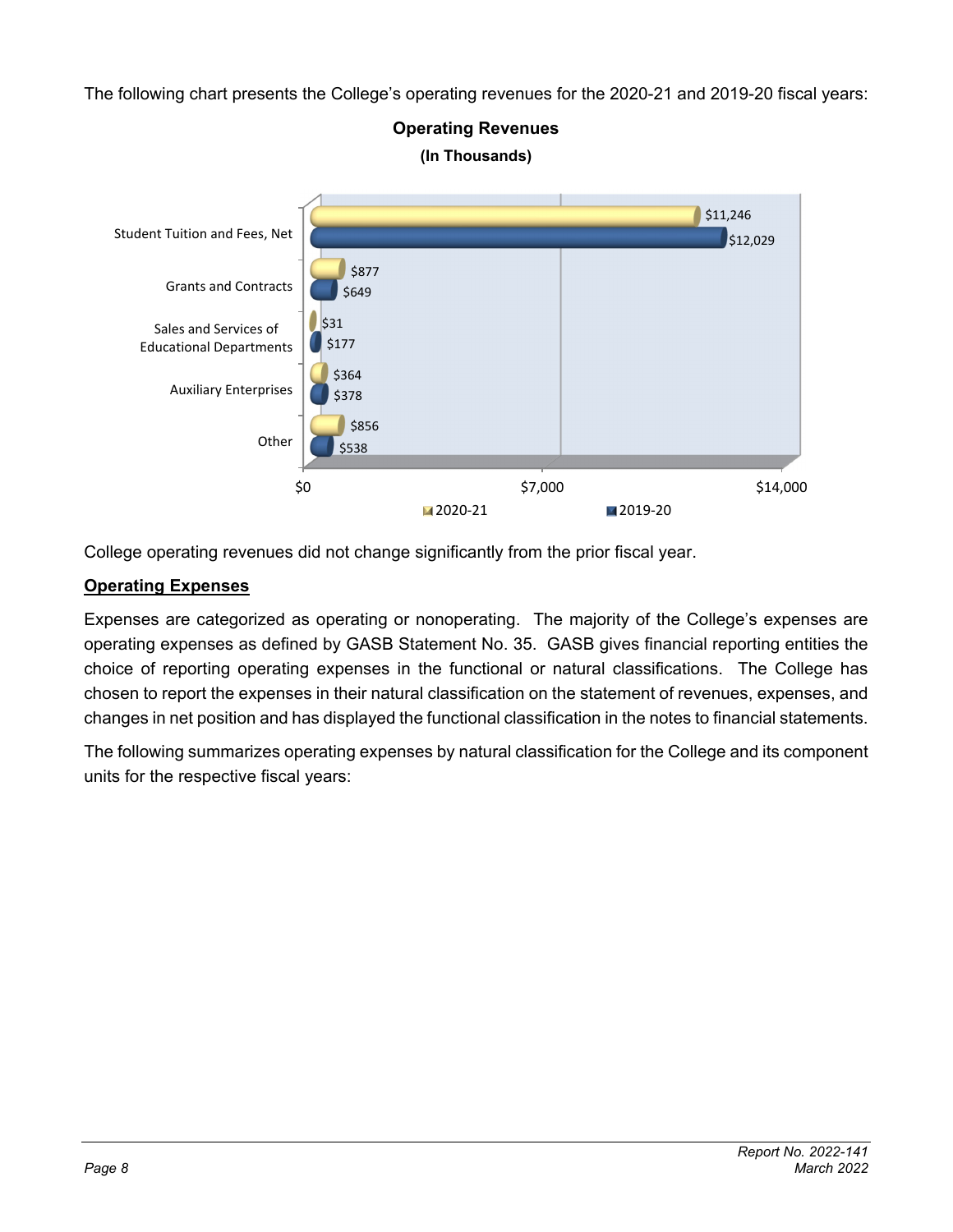The following chart presents the College's operating revenues for the 2020-21 and 2019-20 fiscal years:



College operating revenues did not change significantly from the prior fiscal year.

### **Operating Expenses**

Expenses are categorized as operating or nonoperating. The majority of the College's expenses are operating expenses as defined by GASB Statement No. 35. GASB gives financial reporting entities the choice of reporting operating expenses in the functional or natural classifications. The College has chosen to report the expenses in their natural classification on the statement of revenues, expenses, and changes in net position and has displayed the functional classification in the notes to financial statements.

The following summarizes operating expenses by natural classification for the College and its component units for the respective fiscal years: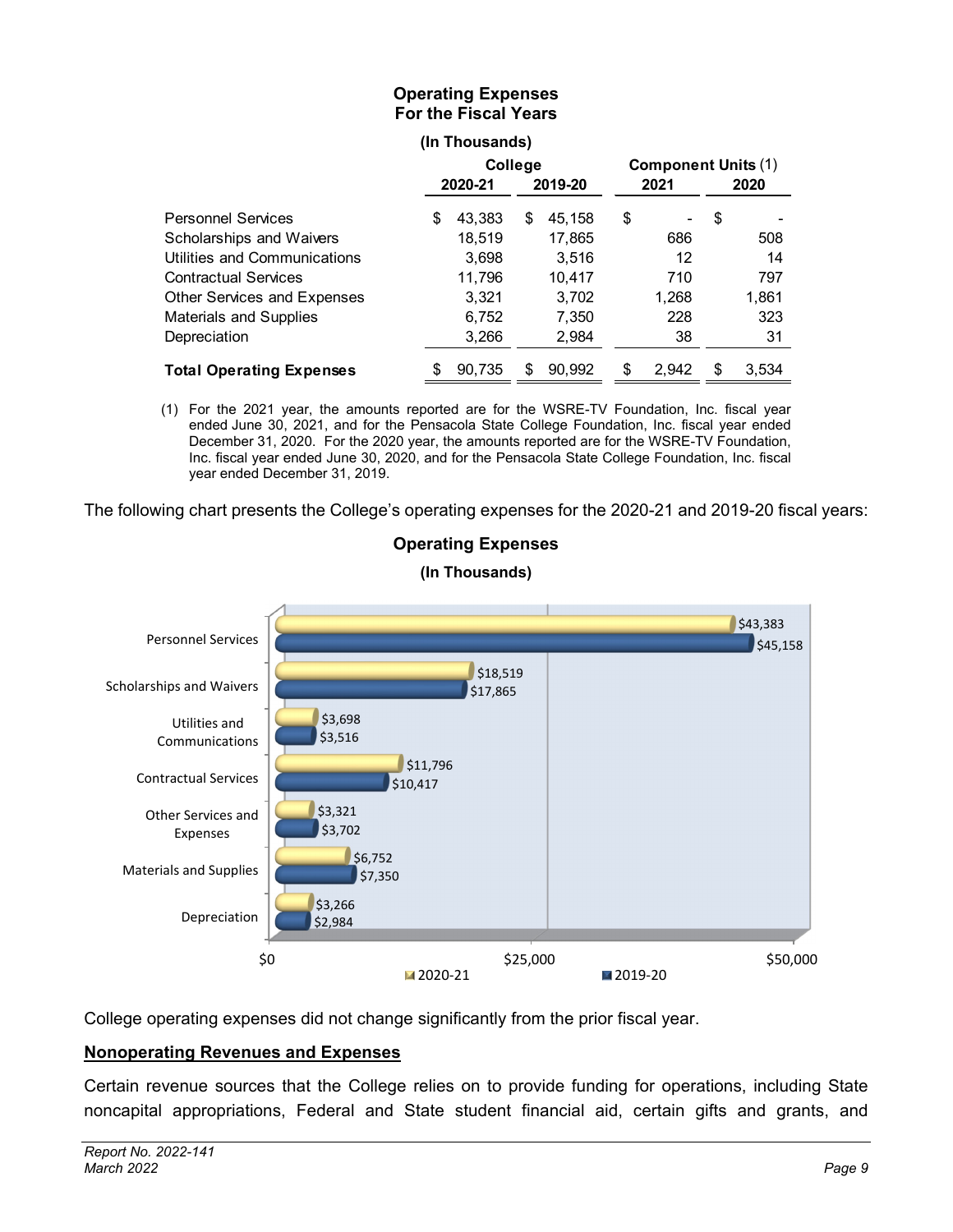| <b>Operating Expenses</b>   |  |
|-----------------------------|--|
| <b>For the Fiscal Years</b> |  |

**(In Thousands)** 

|                                    | College |         |   | <b>Component Units (1)</b> |    |       |    |       |
|------------------------------------|---------|---------|---|----------------------------|----|-------|----|-------|
|                                    |         | 2020-21 |   | 2019-20                    |    | 2021  |    | 2020  |
| Personnel Services                 | \$      | 43,383  | S | 45,158                     | \$ | ۰     | \$ |       |
| Scholarships and Waivers           |         | 18,519  |   | 17,865                     |    | 686   |    | 508   |
| Utilities and Communications       |         | 3,698   |   | 3,516                      |    | 12    |    | 14    |
| <b>Contractual Services</b>        |         | 11,796  |   | 10,417                     |    | 710   |    | 797   |
| <b>Other Services and Expenses</b> |         | 3,321   |   | 3,702                      |    | 1,268 |    | 1,861 |
| <b>Materials and Supplies</b>      |         | 6,752   |   | 7,350                      |    | 228   |    | 323   |
| Depreciation                       |         | 3,266   |   | 2,984                      |    | 38    |    | 31    |
| <b>Total Operating Expenses</b>    | S       | 90,735  |   | 90,992                     | \$ | 2.942 | \$ | 3,534 |

(1) For the 2021 year, the amounts reported are for the WSRE-TV Foundation, Inc. fiscal year ended June 30, 2021, and for the Pensacola State College Foundation, Inc. fiscal year ended December 31, 2020. For the 2020 year, the amounts reported are for the WSRE-TV Foundation, Inc. fiscal year ended June 30, 2020, and for the Pensacola State College Foundation, Inc. fiscal year ended December 31, 2019.

The following chart presents the College's operating expenses for the 2020-21 and 2019-20 fiscal years:



## **Operating Expenses**

**(In Thousands)** 

College operating expenses did not change significantly from the prior fiscal year.

#### **Nonoperating Revenues and Expenses**

Certain revenue sources that the College relies on to provide funding for operations, including State noncapital appropriations, Federal and State student financial aid, certain gifts and grants, and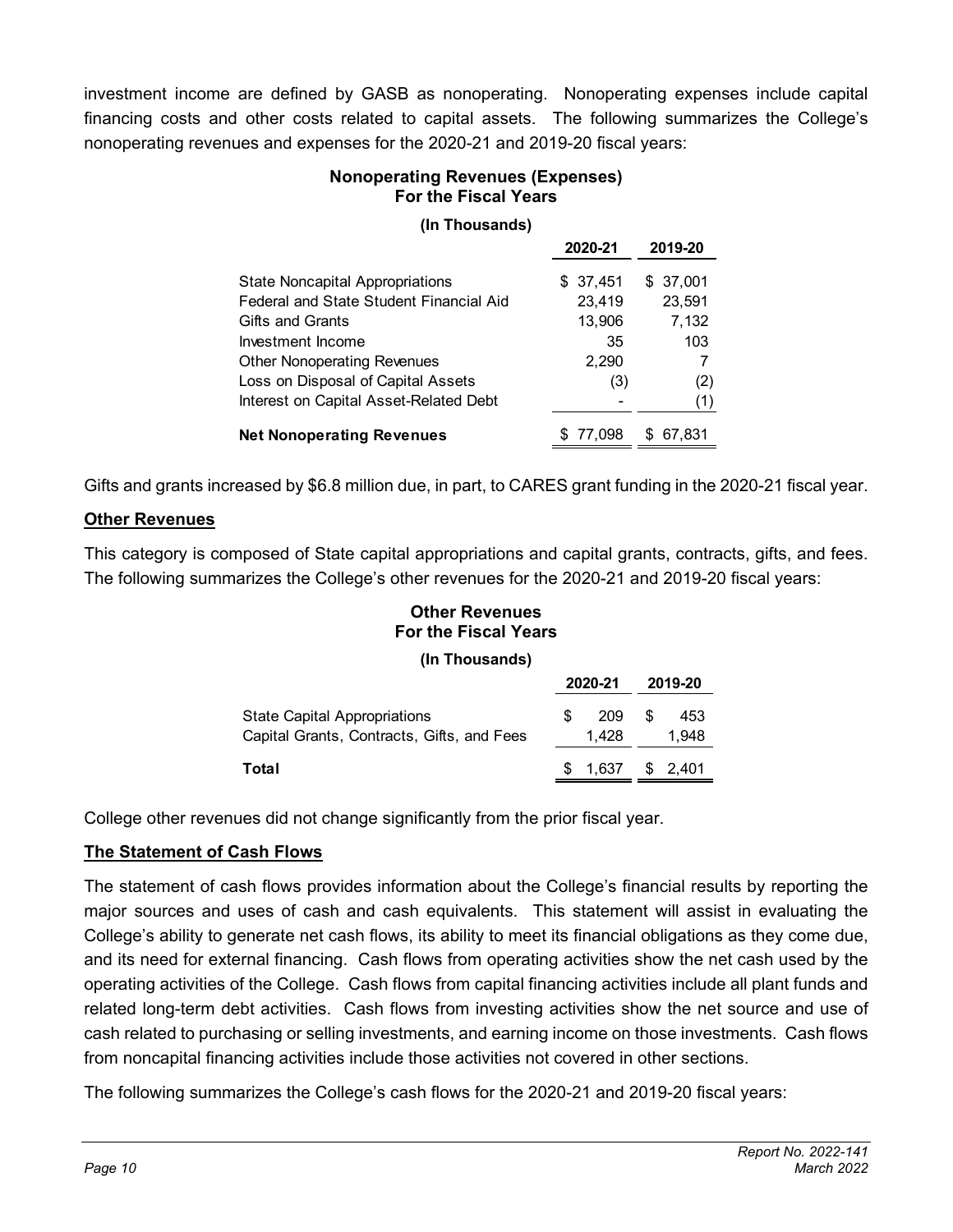investment income are defined by GASB as nonoperating. Nonoperating expenses include capital financing costs and other costs related to capital assets. The following summarizes the College's nonoperating revenues and expenses for the 2020-21 and 2019-20 fiscal years:

## **Nonoperating Revenues (Expenses) For the Fiscal Years**

#### **(In Thousands)**

|                                         | 2020-21  | 2019-20  |
|-----------------------------------------|----------|----------|
| <b>State Noncapital Appropriations</b>  | \$37,451 | \$37,001 |
| Federal and State Student Financial Aid | 23,419   | 23,591   |
| Gifts and Grants                        | 13,906   | 7,132    |
| Investment Income                       | 35       | 103      |
| <b>Other Nonoperating Revenues</b>      | 2,290    |          |
| Loss on Disposal of Capital Assets      | (3)      | (2)      |
| Interest on Capital Asset-Related Debt  |          | (1)      |
| <b>Net Nonoperating Revenues</b>        | \$77.098 | \$67,831 |

Gifts and grants increased by \$6.8 million due, in part, to CARES grant funding in the 2020-21 fiscal year.

## **Other Revenues**

This category is composed of State capital appropriations and capital grants, contracts, gifts, and fees. The following summarizes the College's other revenues for the 2020-21 and 2019-20 fiscal years:

#### **Other Revenues For the Fiscal Years (In Thousands)**

| (III THUUSAHUS)                                                            |     |                   |    |              |
|----------------------------------------------------------------------------|-----|-------------------|----|--------------|
|                                                                            |     | 2020-21           |    | 2019-20      |
| State Capital Appropriations<br>Capital Grants, Contracts, Gifts, and Fees | \$. | 209<br>1.428      | S. | 453<br>1.948 |
| Total                                                                      |     | $$1,637$ $$2,401$ |    |              |

College other revenues did not change significantly from the prior fiscal year.

## **The Statement of Cash Flows**

The statement of cash flows provides information about the College's financial results by reporting the major sources and uses of cash and cash equivalents. This statement will assist in evaluating the College's ability to generate net cash flows, its ability to meet its financial obligations as they come due, and its need for external financing. Cash flows from operating activities show the net cash used by the operating activities of the College. Cash flows from capital financing activities include all plant funds and related long-term debt activities. Cash flows from investing activities show the net source and use of cash related to purchasing or selling investments, and earning income on those investments. Cash flows from noncapital financing activities include those activities not covered in other sections.

The following summarizes the College's cash flows for the 2020-21 and 2019-20 fiscal years: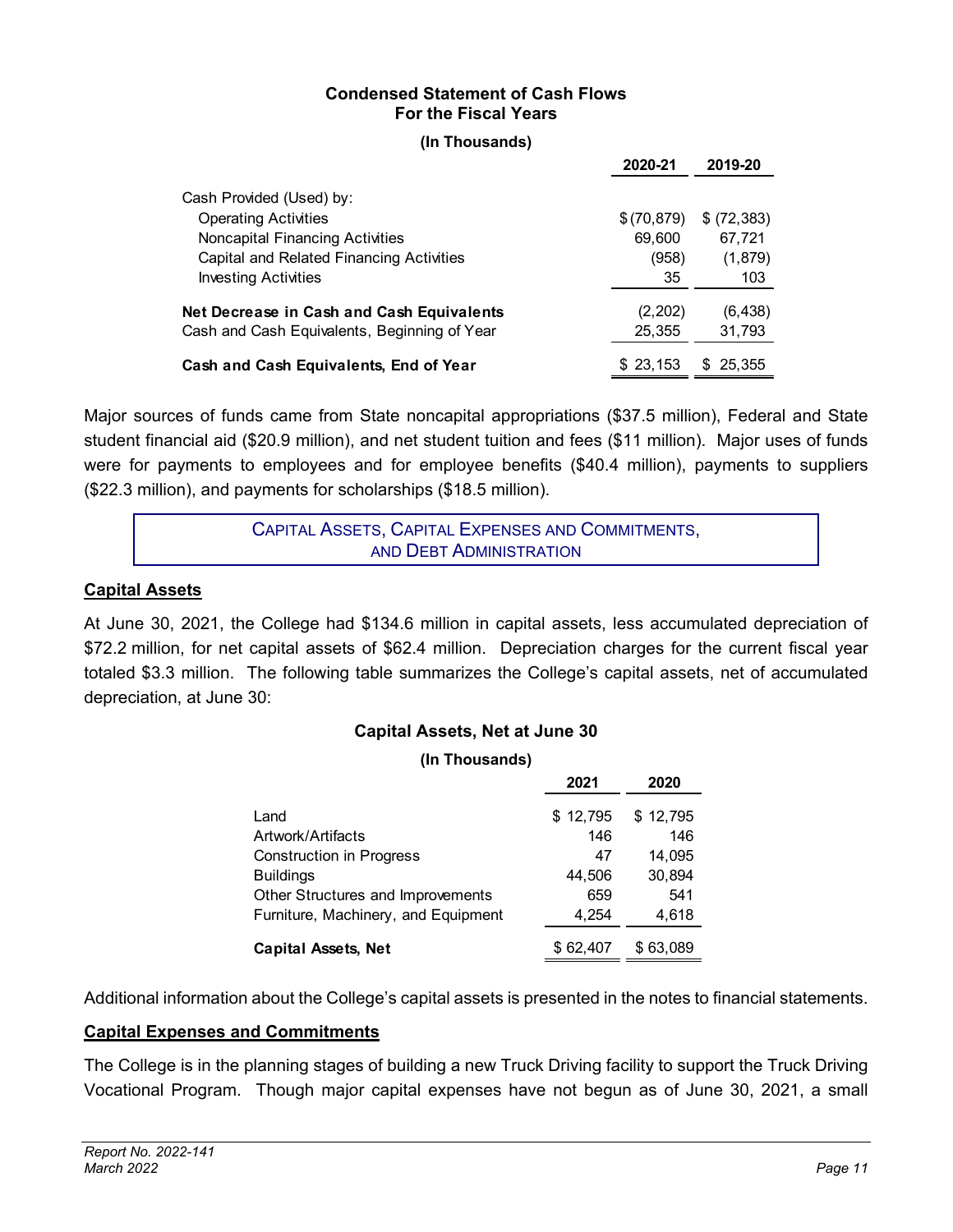#### **Condensed Statement of Cash Flows For the Fiscal Years**

#### **(In Thousands)**

**2020-21 2019-20**

|                                                                                                                                                                                     | LULU-L I                             | 47 I J 47                                |
|-------------------------------------------------------------------------------------------------------------------------------------------------------------------------------------|--------------------------------------|------------------------------------------|
| Cash Provided (Used) by:<br><b>Operating Activities</b><br><b>Noncapital Financing Activities</b><br><b>Capital and Related Financing Activities</b><br><b>Investing Activities</b> | \$(70, 879)<br>69,600<br>(958)<br>35 | \$ (72, 383)<br>67,721<br>(1,879)<br>103 |
| Net Decrease in Cash and Cash Equivalents<br>Cash and Cash Equivalents, Beginning of Year                                                                                           | (2, 202)<br>25,355                   | (6, 438)<br>31,793                       |
| Cash and Cash Equivalents, End of Year                                                                                                                                              | \$23.153                             | \$ 25.355                                |

Major sources of funds came from State noncapital appropriations (\$37.5 million), Federal and State student financial aid (\$20.9 million), and net student tuition and fees (\$11 million). Major uses of funds were for payments to employees and for employee benefits (\$40.4 million), payments to suppliers (\$22.3 million), and payments for scholarships (\$18.5 million).



### **Capital Assets**

At June 30, 2021, the College had \$134.6 million in capital assets, less accumulated depreciation of \$72.2 million, for net capital assets of \$62.4 million. Depreciation charges for the current fiscal year totaled \$3.3 million. The following table summarizes the College's capital assets, net of accumulated depreciation, at June 30:

#### **Capital Assets, Net at June 30**

| (In Thousands)                      |          |          |
|-------------------------------------|----------|----------|
|                                     | 2021     | 2020     |
| Land                                | \$12,795 | \$12,795 |
| Artwork/Artifacts                   | 146      | 146      |
| <b>Construction in Progress</b>     | 47       | 14.095   |
| <b>Buildings</b>                    | 44,506   | 30,894   |
| Other Structures and Improvements   | 659      | 541      |
| Furniture, Machinery, and Equipment | 4,254    | 4,618    |
| <b>Capital Assets, Net</b>          | \$62,407 | \$63,089 |

Additional information about the College's capital assets is presented in the notes to financial statements.

#### **Capital Expenses and Commitments**

The College is in the planning stages of building a new Truck Driving facility to support the Truck Driving Vocational Program. Though major capital expenses have not begun as of June 30, 2021, a small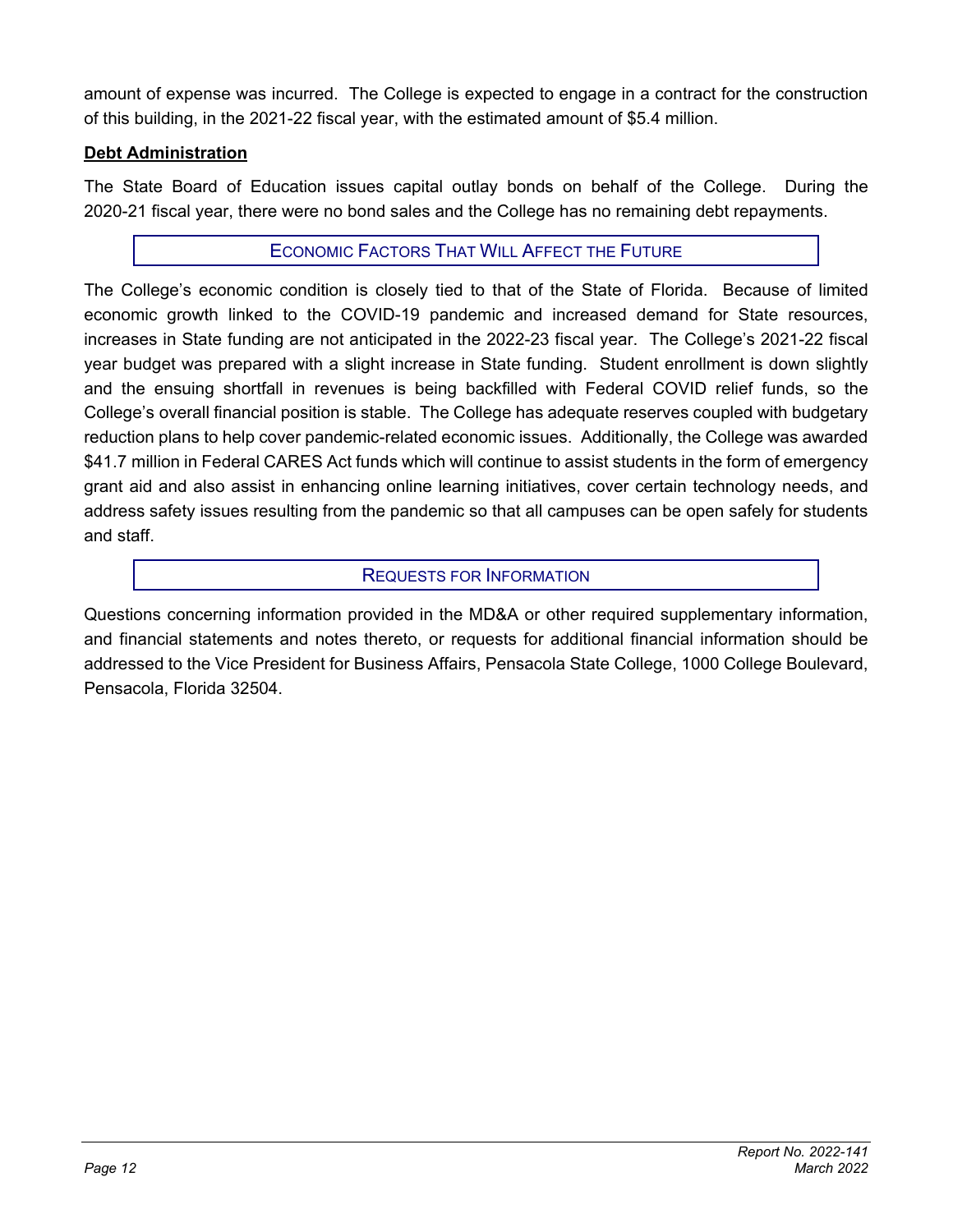amount of expense was incurred. The College is expected to engage in a contract for the construction of this building, in the 2021-22 fiscal year, with the estimated amount of \$5.4 million.

## **Debt Administration**

The State Board of Education issues capital outlay bonds on behalf of the College. During the 2020-21 fiscal year, there were no bond sales and the College has no remaining debt repayments.

#### ECONOMIC FACTORS THAT WILL AFFECT THE FUTURE

The College's economic condition is closely tied to that of the State of Florida. Because of limited economic growth linked to the COVID-19 pandemic and increased demand for State resources, increases in State funding are not anticipated in the 2022-23 fiscal year. The College's 2021-22 fiscal year budget was prepared with a slight increase in State funding. Student enrollment is down slightly and the ensuing shortfall in revenues is being backfilled with Federal COVID relief funds, so the College's overall financial position is stable. The College has adequate reserves coupled with budgetary reduction plans to help cover pandemic-related economic issues. Additionally, the College was awarded \$41.7 million in Federal CARES Act funds which will continue to assist students in the form of emergency grant aid and also assist in enhancing online learning initiatives, cover certain technology needs, and address safety issues resulting from the pandemic so that all campuses can be open safely for students and staff.

#### REQUESTS FOR INFORMATION

Questions concerning information provided in the MD&A or other required supplementary information, and financial statements and notes thereto, or requests for additional financial information should be addressed to the Vice President for Business Affairs, Pensacola State College, 1000 College Boulevard, Pensacola, Florida 32504.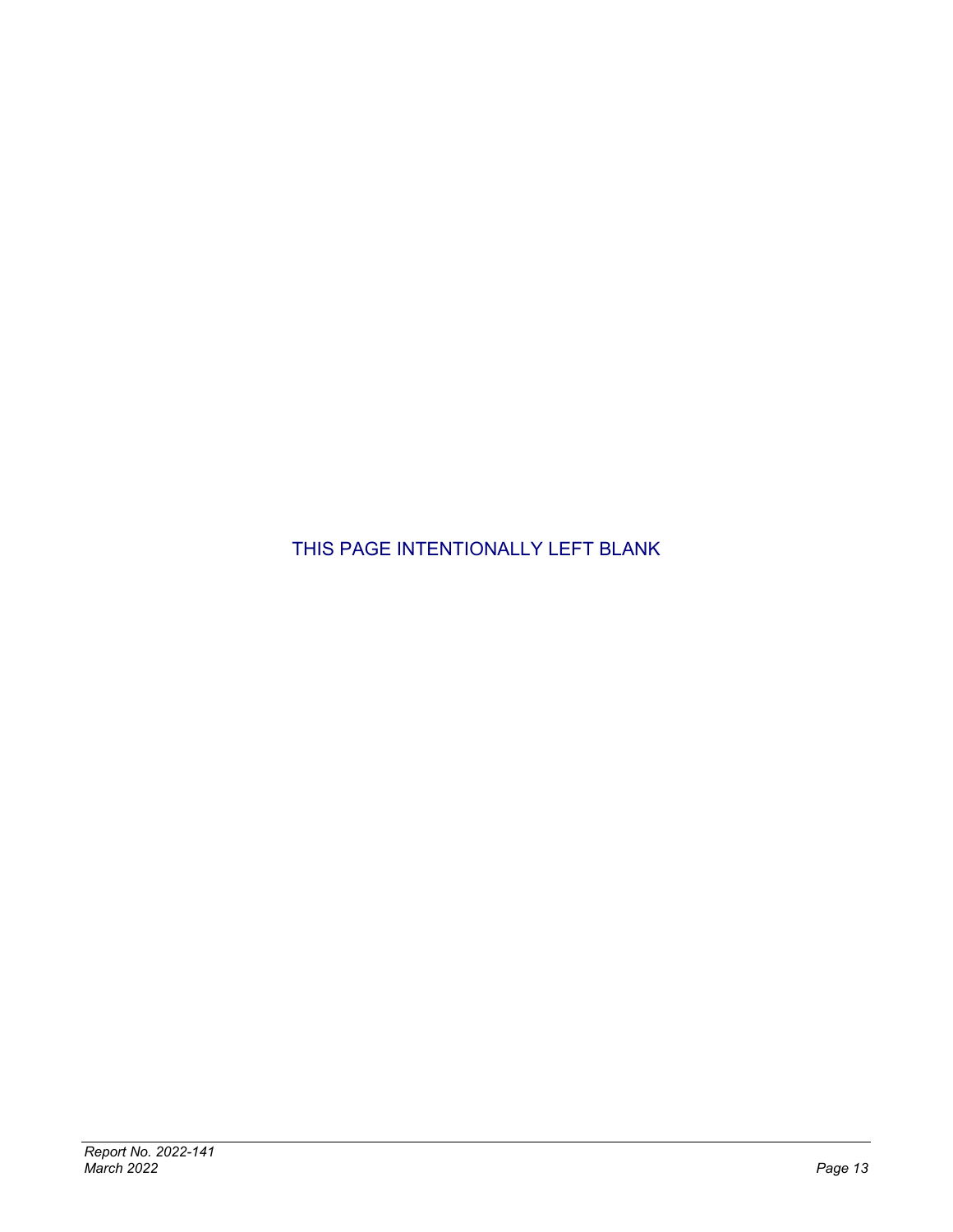THIS PAGE INTENTIONALLY LEFT BLANK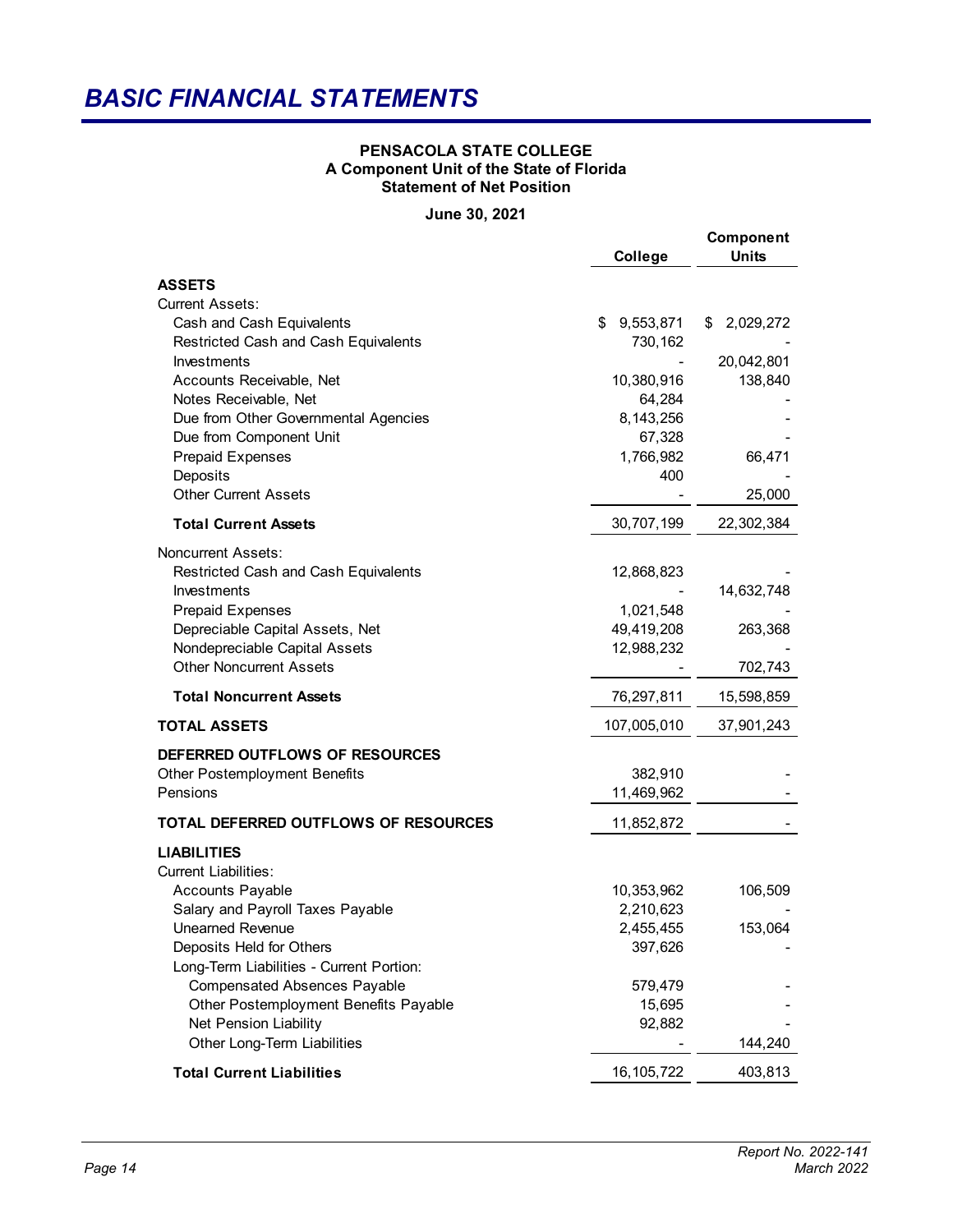## <span id="page-17-0"></span>*BASIC FINANCIAL STATEMENTS*

#### **PENSACOLA STATE COLLEGE A Component Unit of the State of Florida Statement of Net Position**

**June 30, 2021** 

|                                          |                 | Component    |
|------------------------------------------|-----------------|--------------|
|                                          | College         | <b>Units</b> |
| <b>ASSETS</b>                            |                 |              |
| Current Assets:                          |                 |              |
| Cash and Cash Equivalents                | \$<br>9,553,871 | \$2,029,272  |
| Restricted Cash and Cash Equivalents     | 730,162         |              |
| Investments                              |                 | 20,042,801   |
| Accounts Receivable, Net                 | 10,380,916      | 138,840      |
| Notes Receivable, Net                    | 64,284          |              |
| Due from Other Governmental Agencies     | 8,143,256       |              |
| Due from Component Unit                  | 67,328          |              |
| <b>Prepaid Expenses</b>                  | 1,766,982       | 66,471       |
| Deposits                                 | 400             |              |
| <b>Other Current Assets</b>              |                 | 25,000       |
| <b>Total Current Assets</b>              | 30,707,199      | 22,302,384   |
| Noncurrent Assets:                       |                 |              |
| Restricted Cash and Cash Equivalents     | 12,868,823      |              |
| Investments                              |                 | 14,632,748   |
| <b>Prepaid Expenses</b>                  | 1,021,548       |              |
| Depreciable Capital Assets, Net          | 49,419,208      | 263,368      |
| Nondepreciable Capital Assets            | 12,988,232      |              |
| <b>Other Noncurrent Assets</b>           |                 | 702,743      |
| <b>Total Noncurrent Assets</b>           | 76,297,811      | 15,598,859   |
| TOTAL ASSETS                             | 107,005,010     | 37,901,243   |
| DEFERRED OUTFLOWS OF RESOURCES           |                 |              |
| <b>Other Postemployment Benefits</b>     | 382,910         |              |
| Pensions                                 | 11,469,962      |              |
| TOTAL DEFERRED OUTFLOWS OF RESOURCES     | 11,852,872      |              |
| <b>LIABILITIES</b>                       |                 |              |
| <b>Current Liabilities:</b>              |                 |              |
| <b>Accounts Payable</b>                  | 10,353,962      | 106,509      |
| Salary and Payroll Taxes Payable         | 2,210,623       |              |
| Unearned Revenue                         | 2,455,455       | 153,064      |
| Deposits Held for Others                 | 397,626         |              |
| Long-Term Liabilities - Current Portion: |                 |              |
| <b>Compensated Absences Payable</b>      | 579,479         |              |
| Other Postemployment Benefits Payable    | 15,695          |              |
| Net Pension Liability                    | 92,882          |              |
| Other Long-Term Liabilities              |                 | 144,240      |
| <b>Total Current Liabilities</b>         | 16, 105, 722    | 403,813      |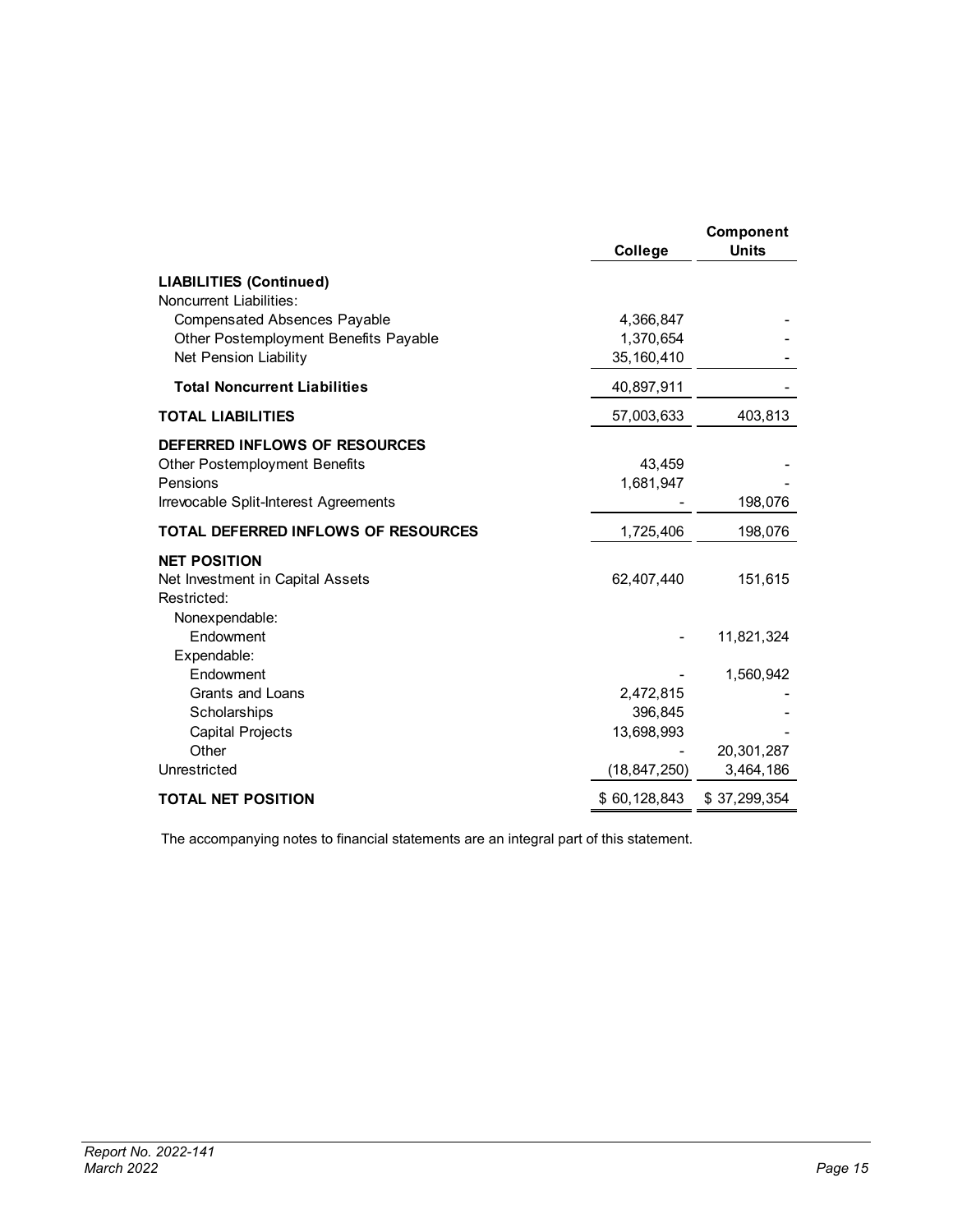|                                                    |                      | Component    |
|----------------------------------------------------|----------------------|--------------|
|                                                    | College              | <b>Units</b> |
| LIABILITIES (Continued)<br>Noncurrent Liabilities: |                      |              |
| <b>Compensated Absences Payable</b>                | 4,366,847            |              |
| Other Postemployment Benefits Payable              | 1,370,654            |              |
| Net Pension Liability                              | 35,160,410           |              |
| <b>Total Noncurrent Liabilities</b>                | 40,897,911           |              |
| <b>TOTAL LIABILITIES</b>                           | 57,003,633           | 403,813      |
| DEFERRED INFLOWS OF RESOURCES                      |                      |              |
| <b>Other Postemployment Benefits</b>               | 43,459               |              |
| Pensions                                           | 1,681,947            |              |
| Irrevocable Split-Interest Agreements              |                      | 198,076      |
| <b>TOTAL DEFERRED INFLOWS OF RESOURCES</b>         | 1,725,406            | 198,076      |
| <b>NET POSITION</b>                                |                      |              |
| Net Investment in Capital Assets                   | 62,407,440           | 151,615      |
| Restricted:                                        |                      |              |
| Nonexpendable:                                     |                      |              |
| Endowment                                          |                      | 11,821,324   |
| Expendable:                                        |                      |              |
| Endowment<br>Grants and Loans                      |                      | 1,560,942    |
| Scholarships                                       | 2,472,815<br>396,845 |              |
| <b>Capital Projects</b>                            | 13,698,993           |              |
| Other                                              |                      | 20,301,287   |
| Unrestricted                                       | (18,847,250)         | 3,464,186    |
| <b>TOTAL NET POSITION</b>                          | \$60,128,843         | \$37,299,354 |

The accompanying notes to financial statements are an integral part of this statement.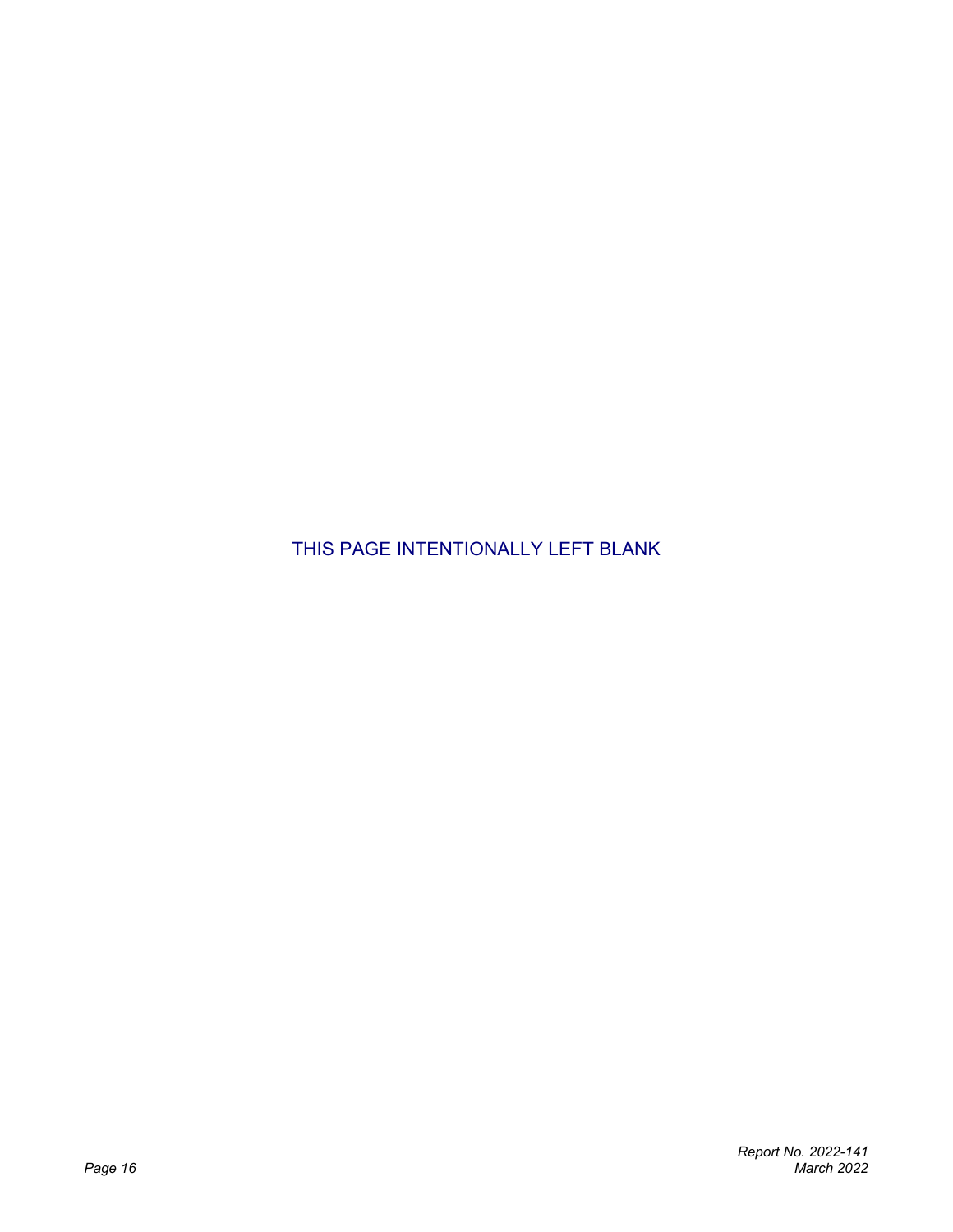THIS PAGE INTENTIONALLY LEFT BLANK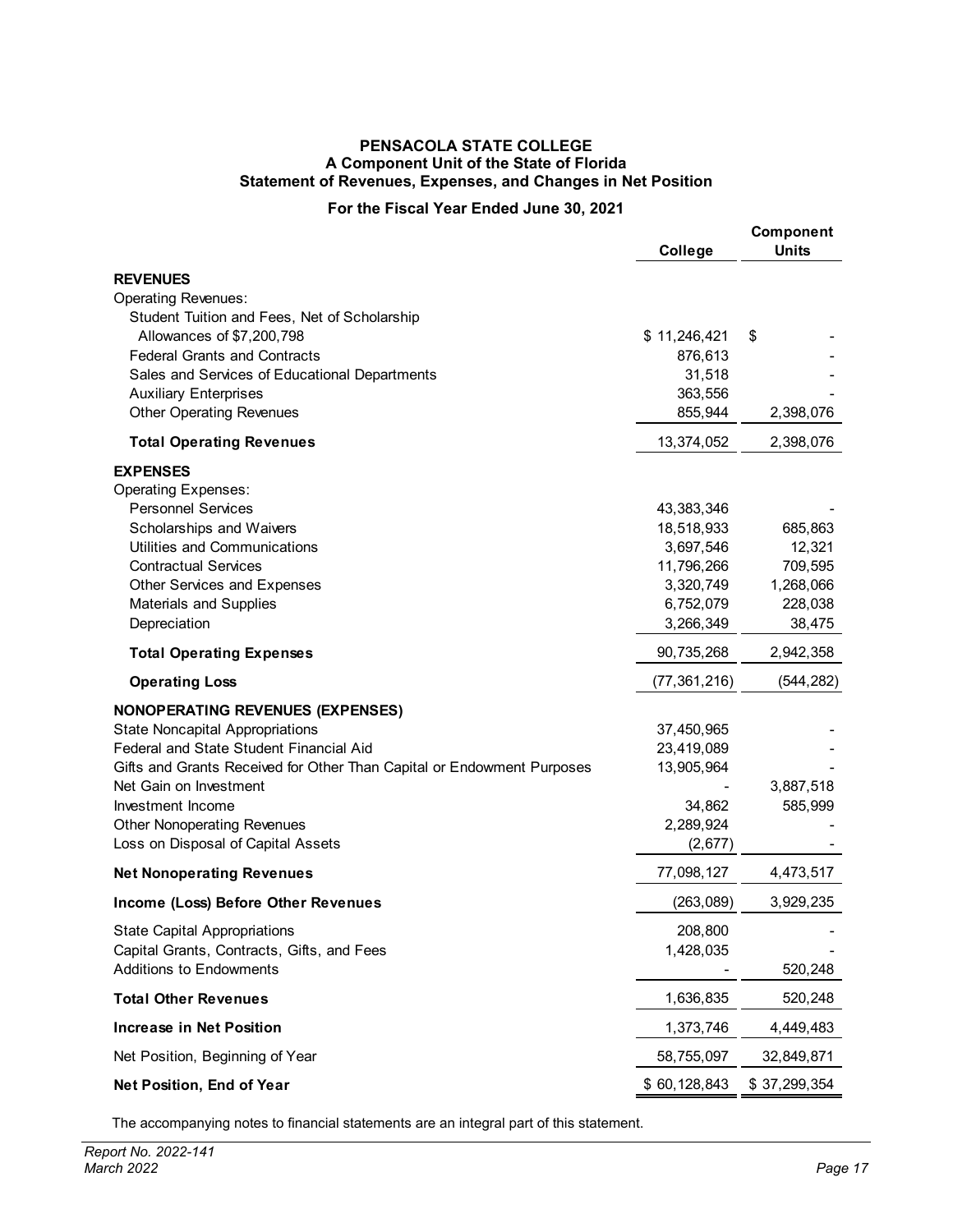#### **PENSACOLA STATE COLLEGE A Component Unit of the State of Florida Statement of Revenues, Expenses, and Changes in Net Position**

#### **For the Fiscal Year Ended June 30, 2021**

<span id="page-20-0"></span>

|                                                                                                                                                                                                                                                                                                                                   | College                                                                      | Component<br><b>Units</b>                                      |
|-----------------------------------------------------------------------------------------------------------------------------------------------------------------------------------------------------------------------------------------------------------------------------------------------------------------------------------|------------------------------------------------------------------------------|----------------------------------------------------------------|
| <b>REVENUES</b><br><b>Operating Revenues:</b>                                                                                                                                                                                                                                                                                     |                                                                              |                                                                |
| Student Tuition and Fees, Net of Scholarship<br>Allowances of \$7,200,798<br><b>Federal Grants and Contracts</b><br>Sales and Services of Educational Departments                                                                                                                                                                 | \$11,246,421<br>876,613<br>31,518                                            | \$                                                             |
| <b>Auxiliary Enterprises</b><br><b>Other Operating Revenues</b>                                                                                                                                                                                                                                                                   | 363,556<br>855,944                                                           | 2,398,076                                                      |
| <b>Total Operating Revenues</b>                                                                                                                                                                                                                                                                                                   | 13,374,052                                                                   | 2,398,076                                                      |
| <b>EXPENSES</b><br><b>Operating Expenses:</b><br><b>Personnel Services</b>                                                                                                                                                                                                                                                        | 43,383,346                                                                   |                                                                |
| Scholarships and Waivers<br>Utilities and Communications<br><b>Contractual Services</b><br>Other Services and Expenses<br><b>Materials and Supplies</b><br>Depreciation                                                                                                                                                           | 18,518,933<br>3,697,546<br>11,796,266<br>3,320,749<br>6,752,079<br>3,266,349 | 685,863<br>12,321<br>709,595<br>1,268,066<br>228,038<br>38,475 |
| <b>Total Operating Expenses</b>                                                                                                                                                                                                                                                                                                   | 90,735,268                                                                   | 2,942,358                                                      |
| <b>Operating Loss</b>                                                                                                                                                                                                                                                                                                             | (77,361,216)                                                                 | (544, 282)                                                     |
| <b>NONOPERATING REVENUES (EXPENSES)</b><br><b>State Noncapital Appropriations</b><br>Federal and State Student Financial Aid<br>Gifts and Grants Received for Other Than Capital or Endowment Purposes<br>Net Gain on Investment<br>Investment Income<br><b>Other Nonoperating Revenues</b><br>Loss on Disposal of Capital Assets | 37,450,965<br>23,419,089<br>13,905,964<br>34,862<br>2,289,924<br>(2,677)     | 3,887,518<br>585,999                                           |
| <b>Net Nonoperating Revenues</b>                                                                                                                                                                                                                                                                                                  | 77,098,127                                                                   | 4,473,517                                                      |
| Income (Loss) Before Other Revenues                                                                                                                                                                                                                                                                                               | (263,089)                                                                    | 3,929,235                                                      |
| <b>State Capital Appropriations</b><br>Capital Grants, Contracts, Gifts, and Fees<br><b>Additions to Endowments</b>                                                                                                                                                                                                               | 208,800<br>1,428,035                                                         | 520,248                                                        |
| <b>Total Other Revenues</b>                                                                                                                                                                                                                                                                                                       | 1,636,835                                                                    | 520,248                                                        |
| <b>Increase in Net Position</b>                                                                                                                                                                                                                                                                                                   | 1,373,746                                                                    | 4,449,483                                                      |
| Net Position, Beginning of Year                                                                                                                                                                                                                                                                                                   | 58,755,097                                                                   | 32,849,871                                                     |
| Net Position, End of Year                                                                                                                                                                                                                                                                                                         | \$60,128,843                                                                 | \$37,299,354                                                   |

The accompanying notes to financial statements are an integral part of this statement.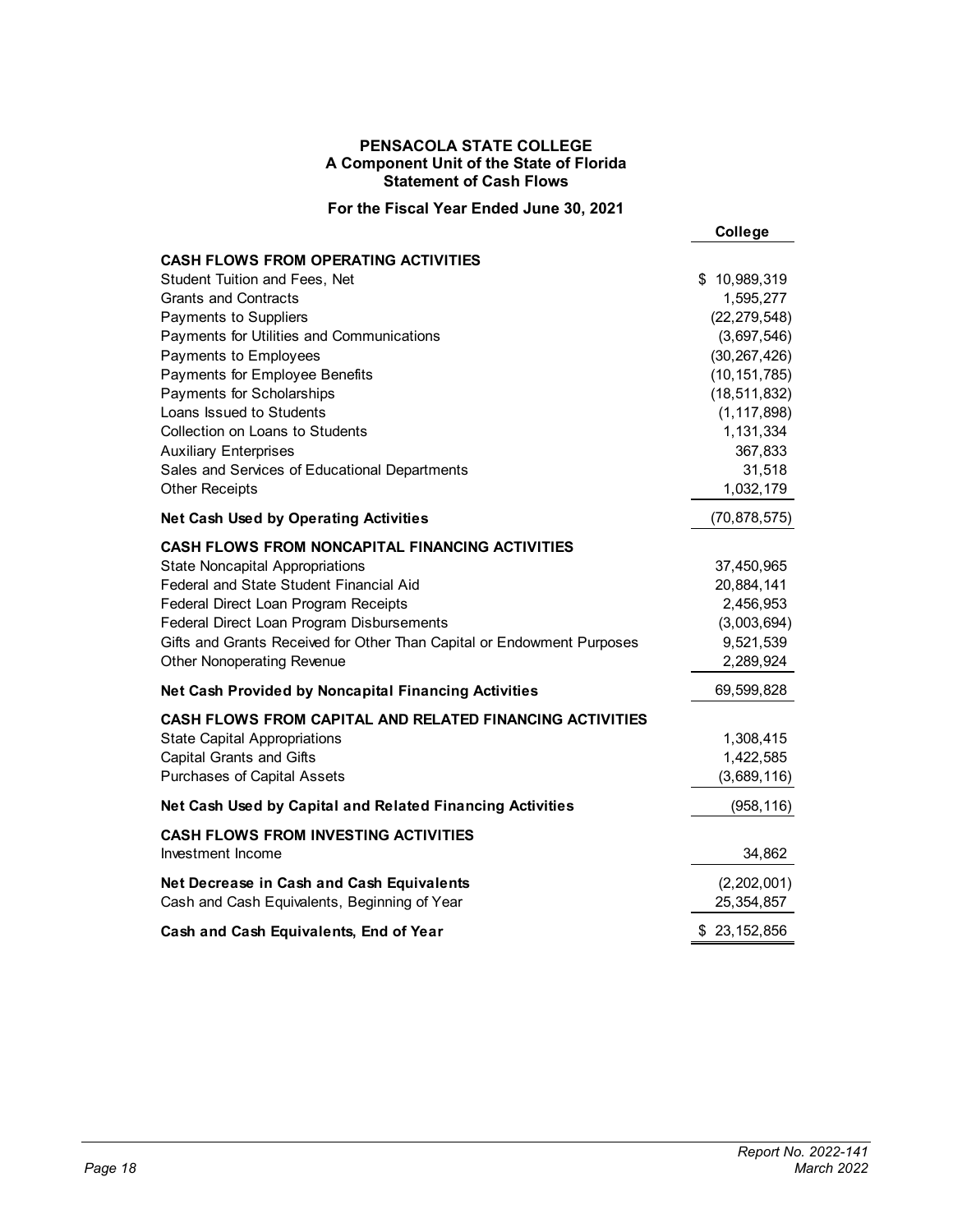#### **PENSACOLA STATE COLLEGE A Component Unit of the State of Florida Statement of Cash Flows**

**For the Fiscal Year Ended June 30, 2021** 

<span id="page-21-0"></span>

|                                                                        | College        |
|------------------------------------------------------------------------|----------------|
| <b>CASH FLOWS FROM OPERATING ACTIVITIES</b>                            |                |
| Student Tuition and Fees, Net                                          | \$10,989,319   |
| <b>Grants and Contracts</b>                                            | 1,595,277      |
| Payments to Suppliers                                                  | (22, 279, 548) |
| Payments for Utilities and Communications                              | (3,697,546)    |
| Payments to Employees                                                  | (30, 267, 426) |
| Payments for Employee Benefits                                         | (10, 151, 785) |
| Payments for Scholarships                                              | (18, 511, 832) |
| Loans Issued to Students                                               | (1, 117, 898)  |
| Collection on Loans to Students                                        | 1,131,334      |
| <b>Auxiliary Enterprises</b>                                           | 367,833        |
| Sales and Services of Educational Departments                          | 31,518         |
| <b>Other Receipts</b>                                                  | 1,032,179      |
| <b>Net Cash Used by Operating Activities</b>                           | (70, 878, 575) |
| CASH FLOWS FROM NONCAPITAL FINANCING ACTIVITIES                        |                |
| <b>State Noncapital Appropriations</b>                                 | 37,450,965     |
| Federal and State Student Financial Aid                                | 20,884,141     |
| Federal Direct Loan Program Receipts                                   | 2,456,953      |
| Federal Direct Loan Program Disbursements                              | (3,003,694)    |
| Gifts and Grants Received for Other Than Capital or Endowment Purposes | 9,521,539      |
| <b>Other Nonoperating Revenue</b>                                      | 2,289,924      |
| Net Cash Provided by Noncapital Financing Activities                   | 69,599,828     |
| <b>CASH FLOWS FROM CAPITAL AND RELATED FINANCING ACTIVITIES</b>        |                |
| <b>State Capital Appropriations</b>                                    | 1,308,415      |
| <b>Capital Grants and Gifts</b>                                        | 1,422,585      |
| <b>Purchases of Capital Assets</b>                                     | (3,689,116)    |
| Net Cash Used by Capital and Related Financing Activities              | (958, 116)     |
| <b>CASH FLOWS FROM INVESTING ACTIVITIES</b>                            |                |
| Investment Income                                                      | 34,862         |
| Net Decrease in Cash and Cash Equivalents                              | (2,202,001)    |
| Cash and Cash Equivalents, Beginning of Year                           | 25,354,857     |
| Cash and Cash Equivalents, End of Year                                 | \$23,152,856   |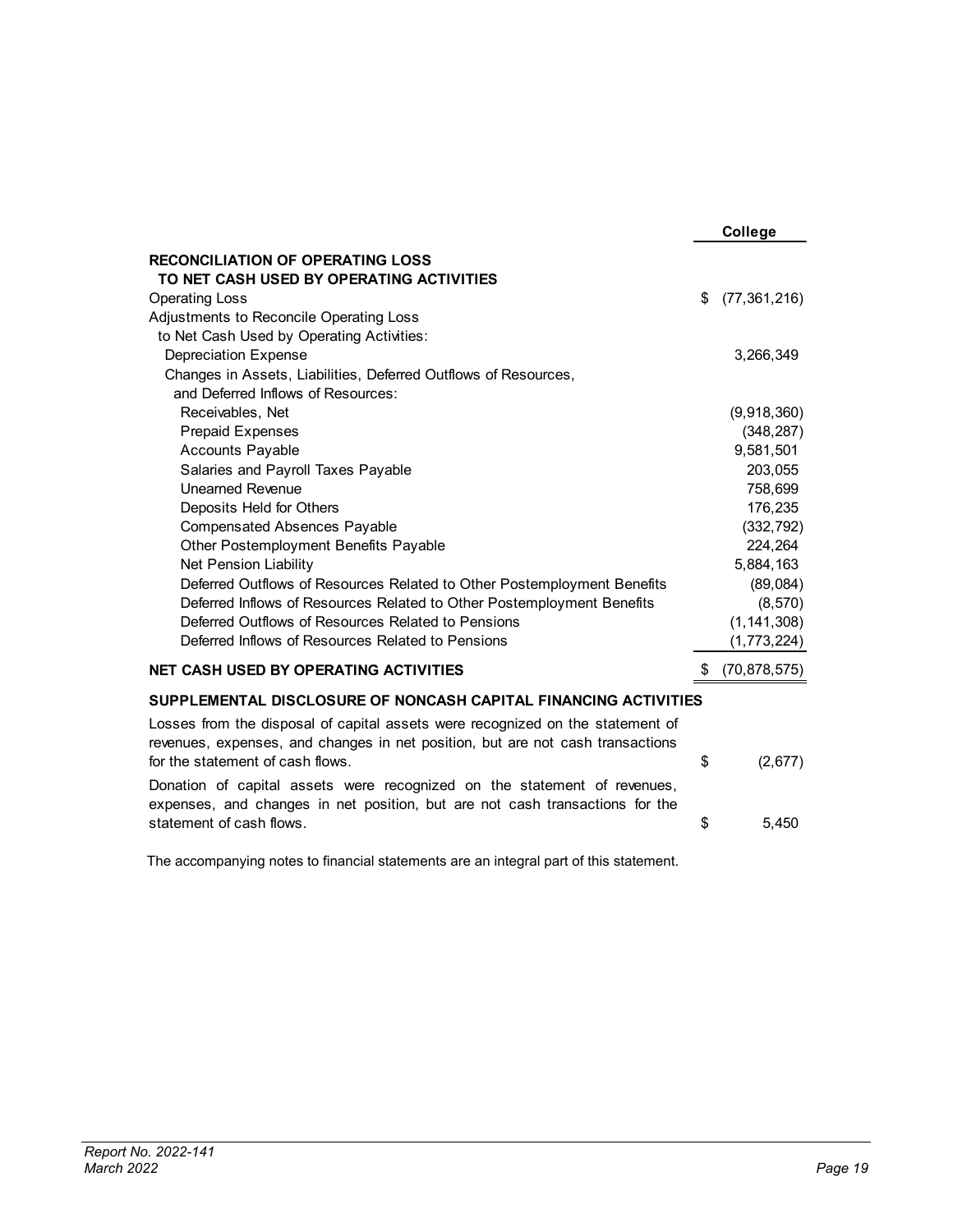|                                                                                | College              |
|--------------------------------------------------------------------------------|----------------------|
| <b>RECONCILIATION OF OPERATING LOSS</b>                                        |                      |
| TO NET CASH USED BY OPERATING ACTIVITIES                                       |                      |
| <b>Operating Loss</b>                                                          | \$<br>(77, 361, 216) |
| Adjustments to Reconcile Operating Loss                                        |                      |
| to Net Cash Used by Operating Activities:                                      |                      |
| <b>Depreciation Expense</b>                                                    | 3,266,349            |
| Changes in Assets, Liabilities, Deferred Outflows of Resources,                |                      |
| and Deferred Inflows of Resources:                                             |                      |
| Receivables, Net                                                               | (9,918,360)          |
| <b>Prepaid Expenses</b>                                                        | (348, 287)           |
| <b>Accounts Payable</b>                                                        | 9,581,501            |
| Salaries and Payroll Taxes Payable                                             | 203,055              |
| <b>Unearned Revenue</b>                                                        | 758,699              |
| Deposits Held for Others                                                       | 176,235              |
| <b>Compensated Absences Payable</b>                                            | (332, 792)           |
| Other Postemployment Benefits Payable                                          | 224,264              |
| <b>Net Pension Liability</b>                                                   | 5,884,163            |
| Deferred Outflows of Resources Related to Other Postemployment Benefits        | (89,084)             |
| Deferred Inflows of Resources Related to Other Postemployment Benefits         | (8,570)              |
| Deferred Outflows of Resources Related to Pensions                             | (1, 141, 308)        |
| Deferred Inflows of Resources Related to Pensions                              | (1,773,224)          |
| <b>NET CASH USED BY OPERATING ACTIVITIES</b>                                   | \$<br>(70, 878, 575) |
| SUPPLEMENTAL DISCLOSURE OF NONCASH CAPITAL FINANCING ACTIVITIES                |                      |
| Losses from the disposal of capital assets were recognized on the statement of |                      |
| revenues, expenses, and changes in net position, but are not cash transactions |                      |
| for the statement of cash flows.                                               | \$<br>(2,677)        |
| Donation of capital assets were recognized on the statement of revenues,       |                      |
| expenses, and changes in net position, but are not cash transactions for the   |                      |
| statement of cash flows.                                                       | \$<br>5.450          |

The accompanying notes to financial statements are an integral part of this statement.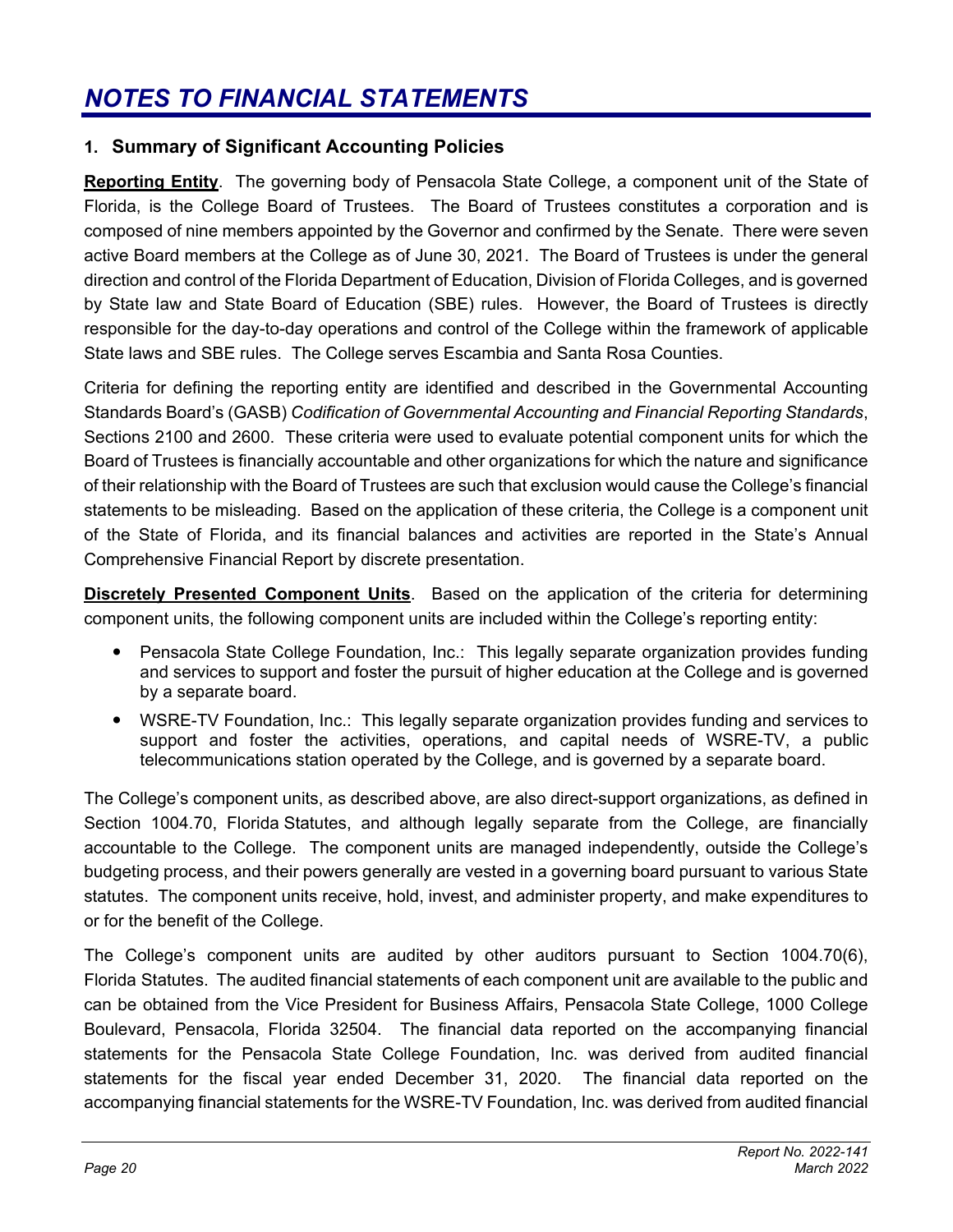## <span id="page-23-0"></span>*NOTES TO FINANCIAL STATEMENTS*

### **1. Summary of Significant Accounting Policies**

**Reporting Entity**. The governing body of Pensacola State College, a component unit of the State of Florida, is the College Board of Trustees. The Board of Trustees constitutes a corporation and is composed of nine members appointed by the Governor and confirmed by the Senate. There were seven active Board members at the College as of June 30, 2021. The Board of Trustees is under the general direction and control of the Florida Department of Education, Division of Florida Colleges, and is governed by State law and State Board of Education (SBE) rules. However, the Board of Trustees is directly responsible for the day-to-day operations and control of the College within the framework of applicable State laws and SBE rules. The College serves Escambia and Santa Rosa Counties.

Criteria for defining the reporting entity are identified and described in the Governmental Accounting Standards Board's (GASB) *Codification of Governmental Accounting and Financial Reporting Standards*, Sections 2100 and 2600. These criteria were used to evaluate potential component units for which the Board of Trustees is financially accountable and other organizations for which the nature and significance of their relationship with the Board of Trustees are such that exclusion would cause the College's financial statements to be misleading. Based on the application of these criteria, the College is a component unit of the State of Florida, and its financial balances and activities are reported in the State's Annual Comprehensive Financial Report by discrete presentation.

**Discretely Presented Component Units**. Based on the application of the criteria for determining component units, the following component units are included within the College's reporting entity:

- Pensacola State College Foundation, Inc.: This legally separate organization provides funding and services to support and foster the pursuit of higher education at the College and is governed by a separate board.
- WSRE-TV Foundation, Inc.: This legally separate organization provides funding and services to support and foster the activities, operations, and capital needs of WSRE-TV, a public telecommunications station operated by the College, and is governed by a separate board.

The College's component units, as described above, are also direct-support organizations, as defined in Section 1004.70, Florida Statutes, and although legally separate from the College, are financially accountable to the College. The component units are managed independently, outside the College's budgeting process, and their powers generally are vested in a governing board pursuant to various State statutes. The component units receive, hold, invest, and administer property, and make expenditures to or for the benefit of the College.

The College's component units are audited by other auditors pursuant to Section 1004.70(6), Florida Statutes. The audited financial statements of each component unit are available to the public and can be obtained from the Vice President for Business Affairs, Pensacola State College, 1000 College Boulevard, Pensacola, Florida 32504. The financial data reported on the accompanying financial statements for the Pensacola State College Foundation, Inc. was derived from audited financial statements for the fiscal year ended December 31, 2020. The financial data reported on the accompanying financial statements for the WSRE-TV Foundation, Inc. was derived from audited financial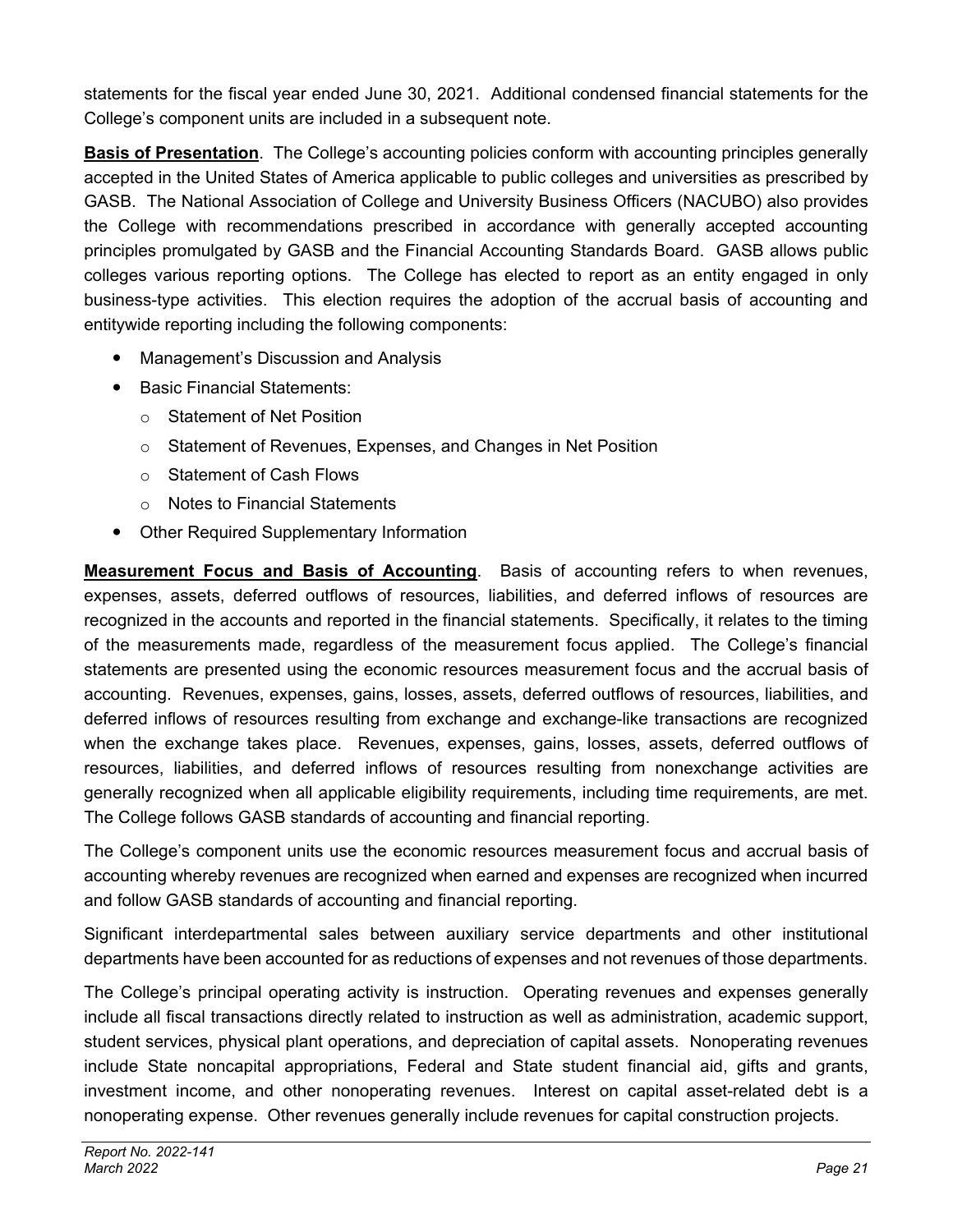statements for the fiscal year ended June 30, 2021. Additional condensed financial statements for the College's component units are included in a subsequent note.

**Basis of Presentation**. The College's accounting policies conform with accounting principles generally accepted in the United States of America applicable to public colleges and universities as prescribed by GASB. The National Association of College and University Business Officers (NACUBO) also provides the College with recommendations prescribed in accordance with generally accepted accounting principles promulgated by GASB and the Financial Accounting Standards Board. GASB allows public colleges various reporting options. The College has elected to report as an entity engaged in only business-type activities. This election requires the adoption of the accrual basis of accounting and entitywide reporting including the following components:

- Management's Discussion and Analysis
- Basic Financial Statements:
	- o Statement of Net Position
	- o Statement of Revenues, Expenses, and Changes in Net Position
	- o Statement of Cash Flows
	- o Notes to Financial Statements
- Other Required Supplementary Information

**Measurement Focus and Basis of Accounting**. Basis of accounting refers to when revenues, expenses, assets, deferred outflows of resources, liabilities, and deferred inflows of resources are recognized in the accounts and reported in the financial statements. Specifically, it relates to the timing of the measurements made, regardless of the measurement focus applied. The College's financial statements are presented using the economic resources measurement focus and the accrual basis of accounting. Revenues, expenses, gains, losses, assets, deferred outflows of resources, liabilities, and deferred inflows of resources resulting from exchange and exchange-like transactions are recognized when the exchange takes place. Revenues, expenses, gains, losses, assets, deferred outflows of resources, liabilities, and deferred inflows of resources resulting from nonexchange activities are generally recognized when all applicable eligibility requirements, including time requirements, are met. The College follows GASB standards of accounting and financial reporting.

The College's component units use the economic resources measurement focus and accrual basis of accounting whereby revenues are recognized when earned and expenses are recognized when incurred and follow GASB standards of accounting and financial reporting.

Significant interdepartmental sales between auxiliary service departments and other institutional departments have been accounted for as reductions of expenses and not revenues of those departments.

The College's principal operating activity is instruction. Operating revenues and expenses generally include all fiscal transactions directly related to instruction as well as administration, academic support, student services, physical plant operations, and depreciation of capital assets. Nonoperating revenues include State noncapital appropriations, Federal and State student financial aid, gifts and grants, investment income, and other nonoperating revenues. Interest on capital asset-related debt is a nonoperating expense. Other revenues generally include revenues for capital construction projects.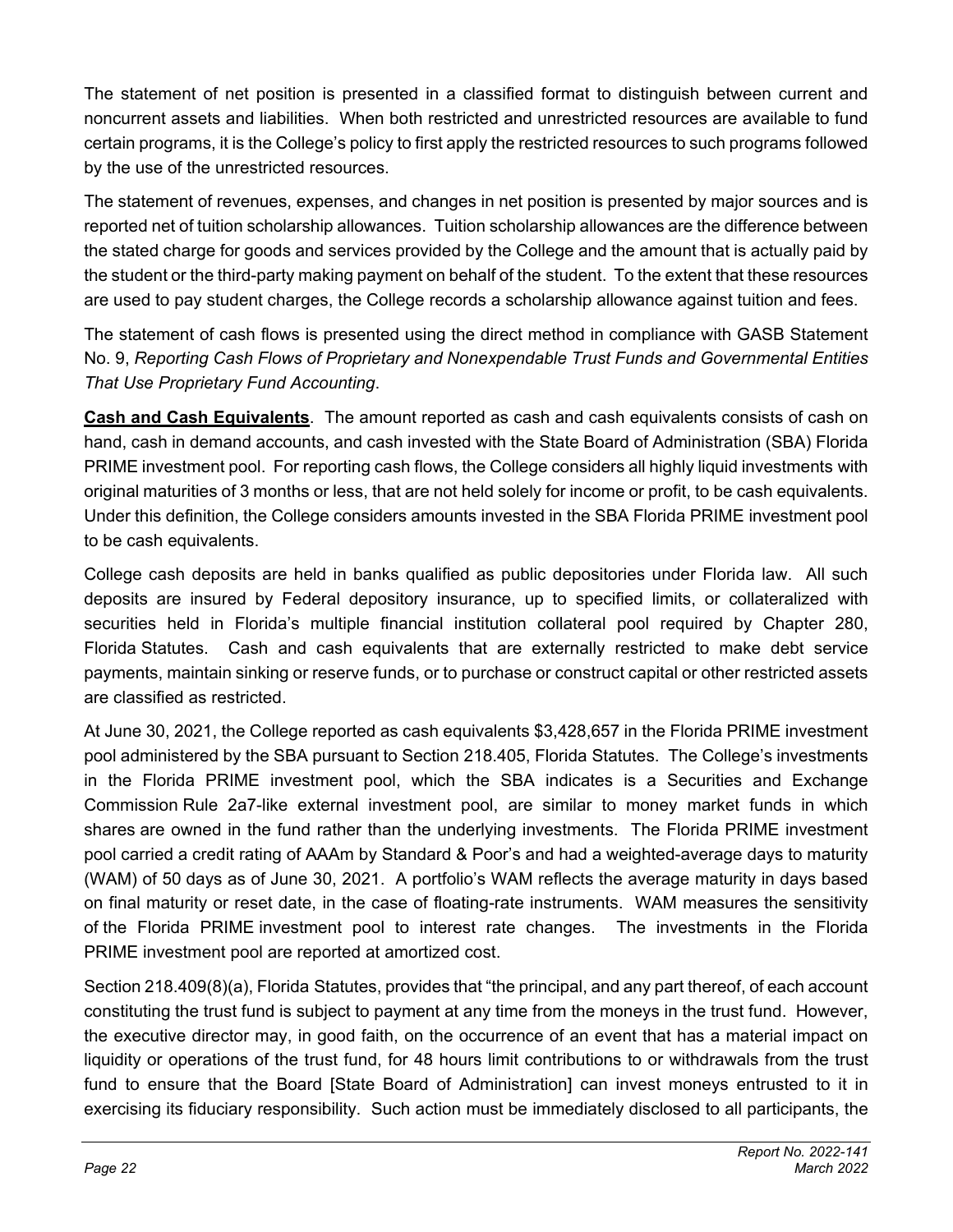The statement of net position is presented in a classified format to distinguish between current and noncurrent assets and liabilities. When both restricted and unrestricted resources are available to fund certain programs, it is the College's policy to first apply the restricted resources to such programs followed by the use of the unrestricted resources.

The statement of revenues, expenses, and changes in net position is presented by major sources and is reported net of tuition scholarship allowances. Tuition scholarship allowances are the difference between the stated charge for goods and services provided by the College and the amount that is actually paid by the student or the third-party making payment on behalf of the student. To the extent that these resources are used to pay student charges, the College records a scholarship allowance against tuition and fees.

The statement of cash flows is presented using the direct method in compliance with GASB Statement No. 9, *Reporting Cash Flows of Proprietary and Nonexpendable Trust Funds and Governmental Entities That Use Proprietary Fund Accounting*.

**Cash and Cash Equivalents**. The amount reported as cash and cash equivalents consists of cash on hand, cash in demand accounts, and cash invested with the State Board of Administration (SBA) Florida PRIME investment pool. For reporting cash flows, the College considers all highly liquid investments with original maturities of 3 months or less, that are not held solely for income or profit, to be cash equivalents. Under this definition, the College considers amounts invested in the SBA Florida PRIME investment pool to be cash equivalents.

College cash deposits are held in banks qualified as public depositories under Florida law. All such deposits are insured by Federal depository insurance, up to specified limits, or collateralized with securities held in Florida's multiple financial institution collateral pool required by Chapter 280, Florida Statutes. Cash and cash equivalents that are externally restricted to make debt service payments, maintain sinking or reserve funds, or to purchase or construct capital or other restricted assets are classified as restricted.

At June 30, 2021, the College reported as cash equivalents \$3,428,657 in the Florida PRIME investment pool administered by the SBA pursuant to Section 218.405, Florida Statutes. The College's investments in the Florida PRIME investment pool, which the SBA indicates is a Securities and Exchange Commission Rule 2a7-like external investment pool, are similar to money market funds in which shares are owned in the fund rather than the underlying investments. The Florida PRIME investment pool carried a credit rating of AAAm by Standard & Poor's and had a weighted-average days to maturity (WAM) of 50 days as of June 30, 2021. A portfolio's WAM reflects the average maturity in days based on final maturity or reset date, in the case of floating-rate instruments. WAM measures the sensitivity of the Florida PRIME investment pool to interest rate changes. The investments in the Florida PRIME investment pool are reported at amortized cost.

Section 218.409(8)(a), Florida Statutes, provides that "the principal, and any part thereof, of each account constituting the trust fund is subject to payment at any time from the moneys in the trust fund. However, the executive director may, in good faith, on the occurrence of an event that has a material impact on liquidity or operations of the trust fund, for 48 hours limit contributions to or withdrawals from the trust fund to ensure that the Board [State Board of Administration] can invest moneys entrusted to it in exercising its fiduciary responsibility. Such action must be immediately disclosed to all participants, the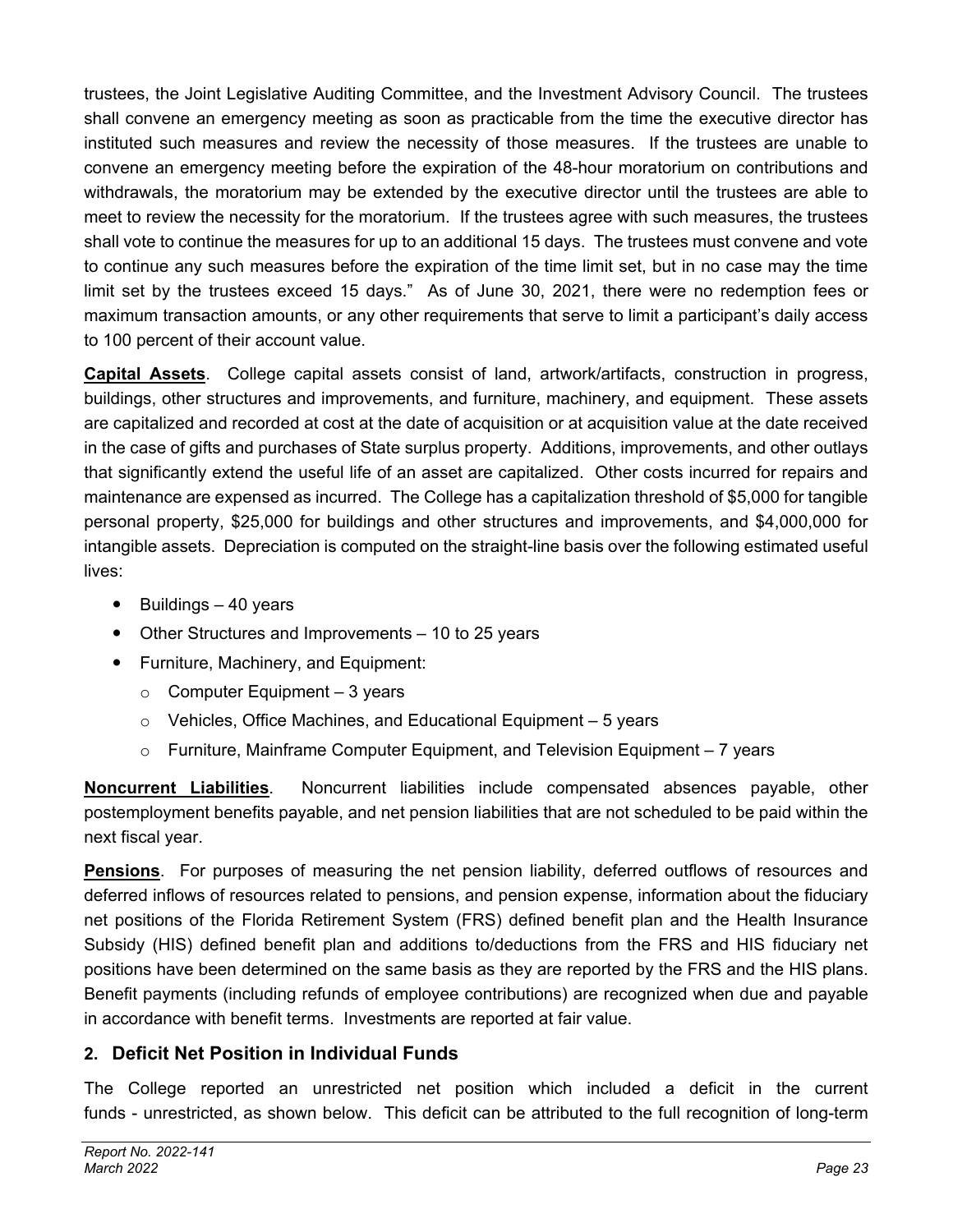trustees, the Joint Legislative Auditing Committee, and the Investment Advisory Council. The trustees shall convene an emergency meeting as soon as practicable from the time the executive director has instituted such measures and review the necessity of those measures. If the trustees are unable to convene an emergency meeting before the expiration of the 48-hour moratorium on contributions and withdrawals, the moratorium may be extended by the executive director until the trustees are able to meet to review the necessity for the moratorium. If the trustees agree with such measures, the trustees shall vote to continue the measures for up to an additional 15 days. The trustees must convene and vote to continue any such measures before the expiration of the time limit set, but in no case may the time limit set by the trustees exceed 15 days." As of June 30, 2021, there were no redemption fees or maximum transaction amounts, or any other requirements that serve to limit a participant's daily access to 100 percent of their account value.

**Capital Assets**. College capital assets consist of land, artwork/artifacts, construction in progress, buildings, other structures and improvements, and furniture, machinery, and equipment. These assets are capitalized and recorded at cost at the date of acquisition or at acquisition value at the date received in the case of gifts and purchases of State surplus property. Additions, improvements, and other outlays that significantly extend the useful life of an asset are capitalized. Other costs incurred for repairs and maintenance are expensed as incurred. The College has a capitalization threshold of \$5,000 for tangible personal property, \$25,000 for buildings and other structures and improvements, and \$4,000,000 for intangible assets. Depreciation is computed on the straight-line basis over the following estimated useful lives:

- $\bullet$  Buildings  $-$  40 years
- Other Structures and Improvements 10 to 25 years
- Furniture, Machinery, and Equipment:
	- $\circ$  Computer Equipment 3 years
	- $\circ$  Vehicles, Office Machines, and Educational Equipment 5 years
	- $\circ$  Furniture, Mainframe Computer Equipment, and Television Equipment 7 years

**Noncurrent Liabilities**. Noncurrent liabilities include compensated absences payable, other postemployment benefits payable, and net pension liabilities that are not scheduled to be paid within the next fiscal year.

**Pensions**. For purposes of measuring the net pension liability, deferred outflows of resources and deferred inflows of resources related to pensions, and pension expense, information about the fiduciary net positions of the Florida Retirement System (FRS) defined benefit plan and the Health Insurance Subsidy (HIS) defined benefit plan and additions to/deductions from the FRS and HIS fiduciary net positions have been determined on the same basis as they are reported by the FRS and the HIS plans. Benefit payments (including refunds of employee contributions) are recognized when due and payable in accordance with benefit terms. Investments are reported at fair value.

## **2. Deficit Net Position in Individual Funds**

The College reported an unrestricted net position which included a deficit in the current funds - unrestricted, as shown below. This deficit can be attributed to the full recognition of long-term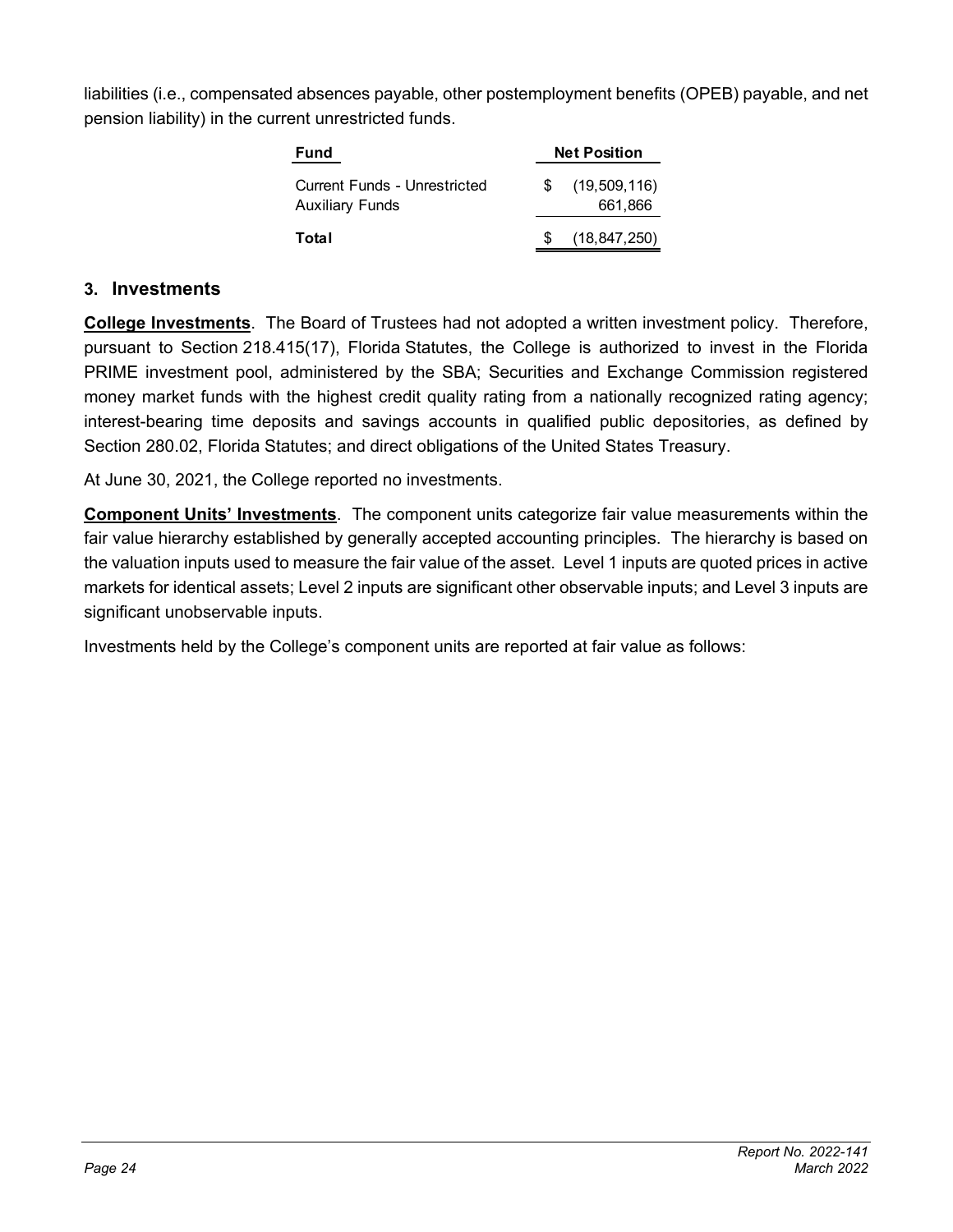liabilities (i.e., compensated absences payable, other postemployment benefits (OPEB) payable, and net pension liability) in the current unrestricted funds.

| Fund                                                          | <b>Net Position</b> |                         |  |  |
|---------------------------------------------------------------|---------------------|-------------------------|--|--|
| <b>Current Funds - Unrestricted</b><br><b>Auxiliary Funds</b> | \$.                 | (19,509,116)<br>661,866 |  |  |
| Total                                                         | S                   | (18, 847, 250)          |  |  |

### **3. Investments**

**College Investments**. The Board of Trustees had not adopted a written investment policy. Therefore, pursuant to Section 218.415(17), Florida Statutes, the College is authorized to invest in the Florida PRIME investment pool, administered by the SBA; Securities and Exchange Commission registered money market funds with the highest credit quality rating from a nationally recognized rating agency; interest-bearing time deposits and savings accounts in qualified public depositories, as defined by Section 280.02, Florida Statutes; and direct obligations of the United States Treasury.

At June 30, 2021, the College reported no investments.

**Component Units' Investments**. The component units categorize fair value measurements within the fair value hierarchy established by generally accepted accounting principles. The hierarchy is based on the valuation inputs used to measure the fair value of the asset. Level 1 inputs are quoted prices in active markets for identical assets; Level 2 inputs are significant other observable inputs; and Level 3 inputs are significant unobservable inputs.

Investments held by the College's component units are reported at fair value as follows: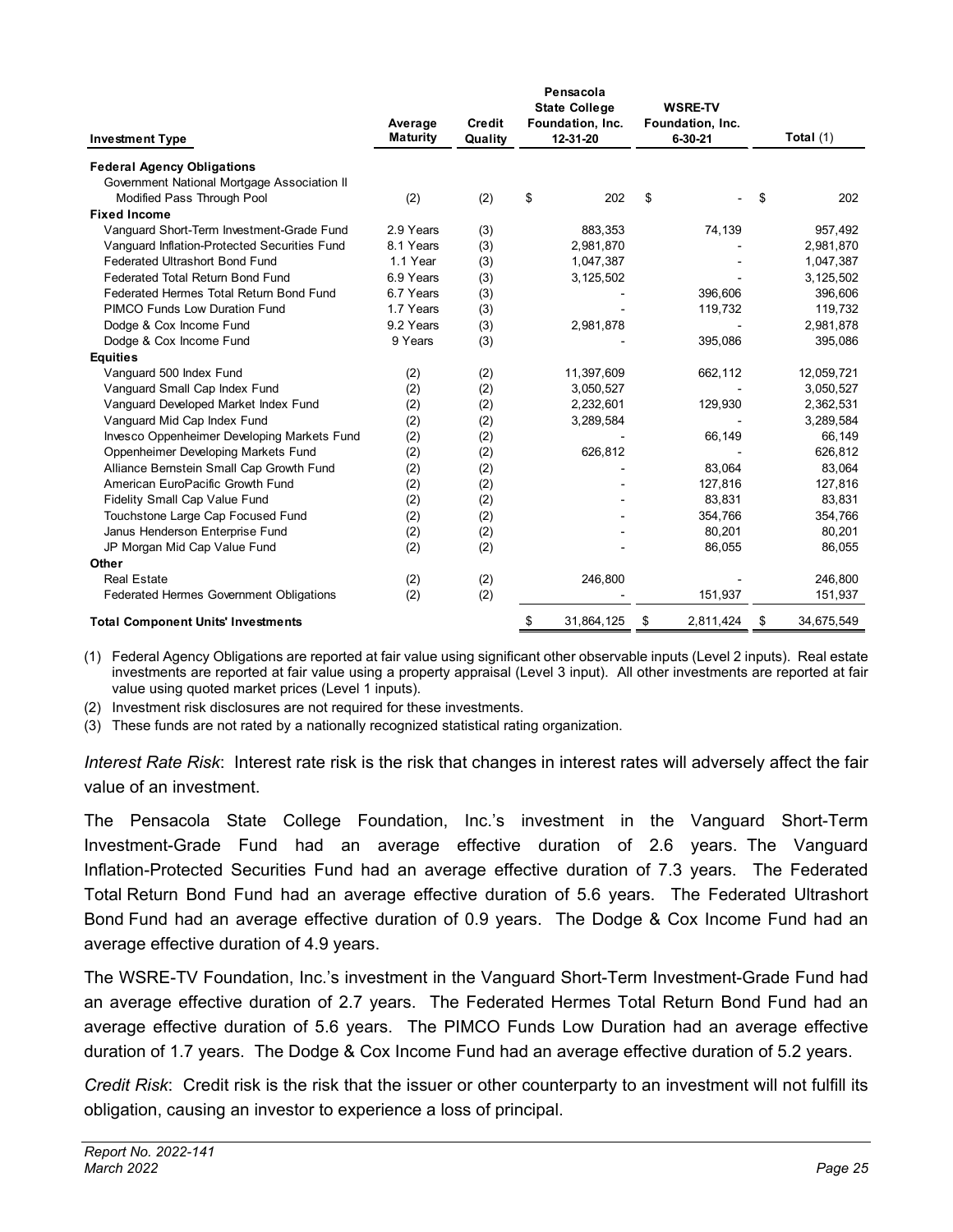|                                                |                 |               | Pensacola<br><b>State College</b> | <b>WSRE-TV</b>   |                  |
|------------------------------------------------|-----------------|---------------|-----------------------------------|------------------|------------------|
|                                                | Average         | <b>Credit</b> | Foundation, Inc.                  | Foundation, Inc. |                  |
| <b>Investment Type</b>                         | <b>Maturity</b> | Quality       | 12-31-20                          | 6-30-21          | Total $(1)$      |
| <b>Federal Agency Obligations</b>              |                 |               |                                   |                  |                  |
| Government National Mortgage Association II    |                 |               |                                   |                  |                  |
| Modified Pass Through Pool                     | (2)             | (2)           | \$<br>202                         | \$               | \$<br>202        |
| <b>Fixed Income</b>                            |                 |               |                                   |                  |                  |
| Vanguard Short-Term Investment-Grade Fund      | 2.9 Years       | (3)           | 883,353                           | 74,139           | 957,492          |
| Vanguard Inflation-Protected Securities Fund   | 8.1 Years       | (3)           | 2,981,870                         |                  | 2,981,870        |
| <b>Federated Ultrashort Bond Fund</b>          | 1.1 Year        | (3)           | 1,047,387                         |                  | 1,047,387        |
| <b>Federated Total Return Bond Fund</b>        | 6.9 Years       | (3)           | 3,125,502                         |                  | 3,125,502        |
| Federated Hermes Total Return Bond Fund        | 6.7 Years       | (3)           |                                   | 396.606          | 396,606          |
| <b>PIMCO Funds Low Duration Fund</b>           | 1.7 Years       | (3)           |                                   | 119,732          | 119,732          |
| Dodge & Cox Income Fund                        | 9.2 Years       | (3)           | 2,981,878                         |                  | 2,981,878        |
| Dodge & Cox Income Fund                        | 9 Years         | (3)           |                                   | 395,086          | 395,086          |
| <b>Equities</b>                                |                 |               |                                   |                  |                  |
| Vanguard 500 Index Fund                        | (2)             | (2)           | 11,397,609                        | 662,112          | 12,059,721       |
| Vanguard Small Cap Index Fund                  | (2)             | (2)           | 3,050,527                         |                  | 3,050,527        |
| Vanguard Developed Market Index Fund           | (2)             | (2)           | 2,232,601                         | 129,930          | 2,362,531        |
| Vanguard Mid Cap Index Fund                    | (2)             | (2)           | 3,289,584                         |                  | 3,289,584        |
| Invesco Oppenheimer Developing Markets Fund    | (2)             | (2)           |                                   | 66,149           | 66,149           |
| Oppenheimer Developing Markets Fund            | (2)             | (2)           | 626,812                           |                  | 626,812          |
| Alliance Bernstein Small Cap Growth Fund       | (2)             | (2)           |                                   | 83.064           | 83,064           |
| American EuroPacific Growth Fund               | (2)             | (2)           |                                   | 127,816          | 127,816          |
| <b>Fidelity Small Cap Value Fund</b>           | (2)             | (2)           |                                   | 83,831           | 83,831           |
| Touchstone Large Cap Focused Fund              | (2)             | (2)           |                                   | 354,766          | 354,766          |
| Janus Henderson Enterprise Fund                | (2)             | (2)           |                                   | 80,201           | 80,201           |
| JP Morgan Mid Cap Value Fund                   | (2)             | (2)           |                                   | 86,055           | 86,055           |
| Other                                          |                 |               |                                   |                  |                  |
| <b>Real Estate</b>                             | (2)             | (2)           | 246,800                           |                  | 246,800          |
| <b>Federated Hermes Government Obligations</b> | (2)             | (2)           |                                   | 151,937          | 151,937          |
| <b>Total Component Units' Investments</b>      |                 |               | \$<br>31,864,125                  | \$<br>2,811,424  | \$<br>34,675,549 |

(1) Federal Agency Obligations are reported at fair value using significant other observable inputs (Level 2 inputs). Real estate investments are reported at fair value using a property appraisal (Level 3 input). All other investments are reported at fair value using quoted market prices (Level 1 inputs).

(2) Investment risk disclosures are not required for these investments.

(3) These funds are not rated by a nationally recognized statistical rating organization.

*Interest Rate Risk*: Interest rate risk is the risk that changes in interest rates will adversely affect the fair value of an investment.

The Pensacola State College Foundation, Inc.'s investment in the Vanguard Short-Term Investment-Grade Fund had an average effective duration of 2.6 years. The Vanguard Inflation-Protected Securities Fund had an average effective duration of 7.3 years. The Federated Total Return Bond Fund had an average effective duration of 5.6 years. The Federated Ultrashort Bond Fund had an average effective duration of 0.9 years. The Dodge & Cox Income Fund had an average effective duration of 4.9 years.

The WSRE-TV Foundation, Inc.'s investment in the Vanguard Short-Term Investment-Grade Fund had an average effective duration of 2.7 years. The Federated Hermes Total Return Bond Fund had an average effective duration of 5.6 years. The PIMCO Funds Low Duration had an average effective duration of 1.7 years. The Dodge & Cox Income Fund had an average effective duration of 5.2 years.

*Credit Risk*: Credit risk is the risk that the issuer or other counterparty to an investment will not fulfill its obligation, causing an investor to experience a loss of principal.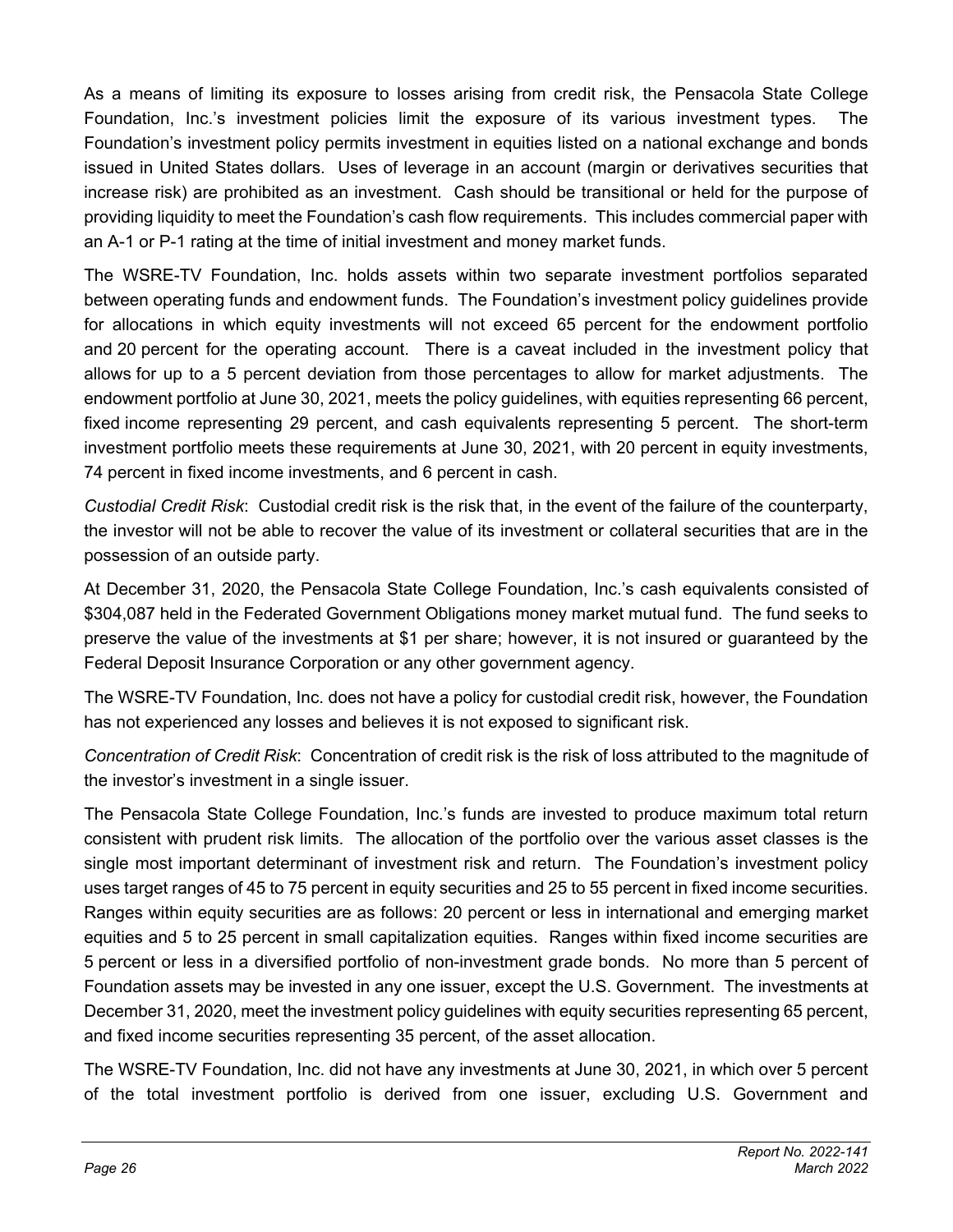As a means of limiting its exposure to losses arising from credit risk, the Pensacola State College Foundation, Inc.'s investment policies limit the exposure of its various investment types. The Foundation's investment policy permits investment in equities listed on a national exchange and bonds issued in United States dollars. Uses of leverage in an account (margin or derivatives securities that increase risk) are prohibited as an investment. Cash should be transitional or held for the purpose of providing liquidity to meet the Foundation's cash flow requirements. This includes commercial paper with an A-1 or P-1 rating at the time of initial investment and money market funds.

The WSRE-TV Foundation, Inc. holds assets within two separate investment portfolios separated between operating funds and endowment funds. The Foundation's investment policy guidelines provide for allocations in which equity investments will not exceed 65 percent for the endowment portfolio and 20 percent for the operating account. There is a caveat included in the investment policy that allows for up to a 5 percent deviation from those percentages to allow for market adjustments. The endowment portfolio at June 30, 2021, meets the policy guidelines, with equities representing 66 percent, fixed income representing 29 percent, and cash equivalents representing 5 percent. The short-term investment portfolio meets these requirements at June 30, 2021, with 20 percent in equity investments, 74 percent in fixed income investments, and 6 percent in cash.

*Custodial Credit Risk*: Custodial credit risk is the risk that, in the event of the failure of the counterparty, the investor will not be able to recover the value of its investment or collateral securities that are in the possession of an outside party.

At December 31, 2020, the Pensacola State College Foundation, Inc.'s cash equivalents consisted of \$304,087 held in the Federated Government Obligations money market mutual fund. The fund seeks to preserve the value of the investments at \$1 per share; however, it is not insured or guaranteed by the Federal Deposit Insurance Corporation or any other government agency.

The WSRE-TV Foundation, Inc. does not have a policy for custodial credit risk, however, the Foundation has not experienced any losses and believes it is not exposed to significant risk.

*Concentration of Credit Risk*: Concentration of credit risk is the risk of loss attributed to the magnitude of the investor's investment in a single issuer.

The Pensacola State College Foundation, Inc.'s funds are invested to produce maximum total return consistent with prudent risk limits. The allocation of the portfolio over the various asset classes is the single most important determinant of investment risk and return. The Foundation's investment policy uses target ranges of 45 to 75 percent in equity securities and 25 to 55 percent in fixed income securities. Ranges within equity securities are as follows: 20 percent or less in international and emerging market equities and 5 to 25 percent in small capitalization equities. Ranges within fixed income securities are 5 percent or less in a diversified portfolio of non-investment grade bonds. No more than 5 percent of Foundation assets may be invested in any one issuer, except the U.S. Government. The investments at December 31, 2020, meet the investment policy guidelines with equity securities representing 65 percent, and fixed income securities representing 35 percent, of the asset allocation.

The WSRE-TV Foundation, Inc. did not have any investments at June 30, 2021, in which over 5 percent of the total investment portfolio is derived from one issuer, excluding U.S. Government and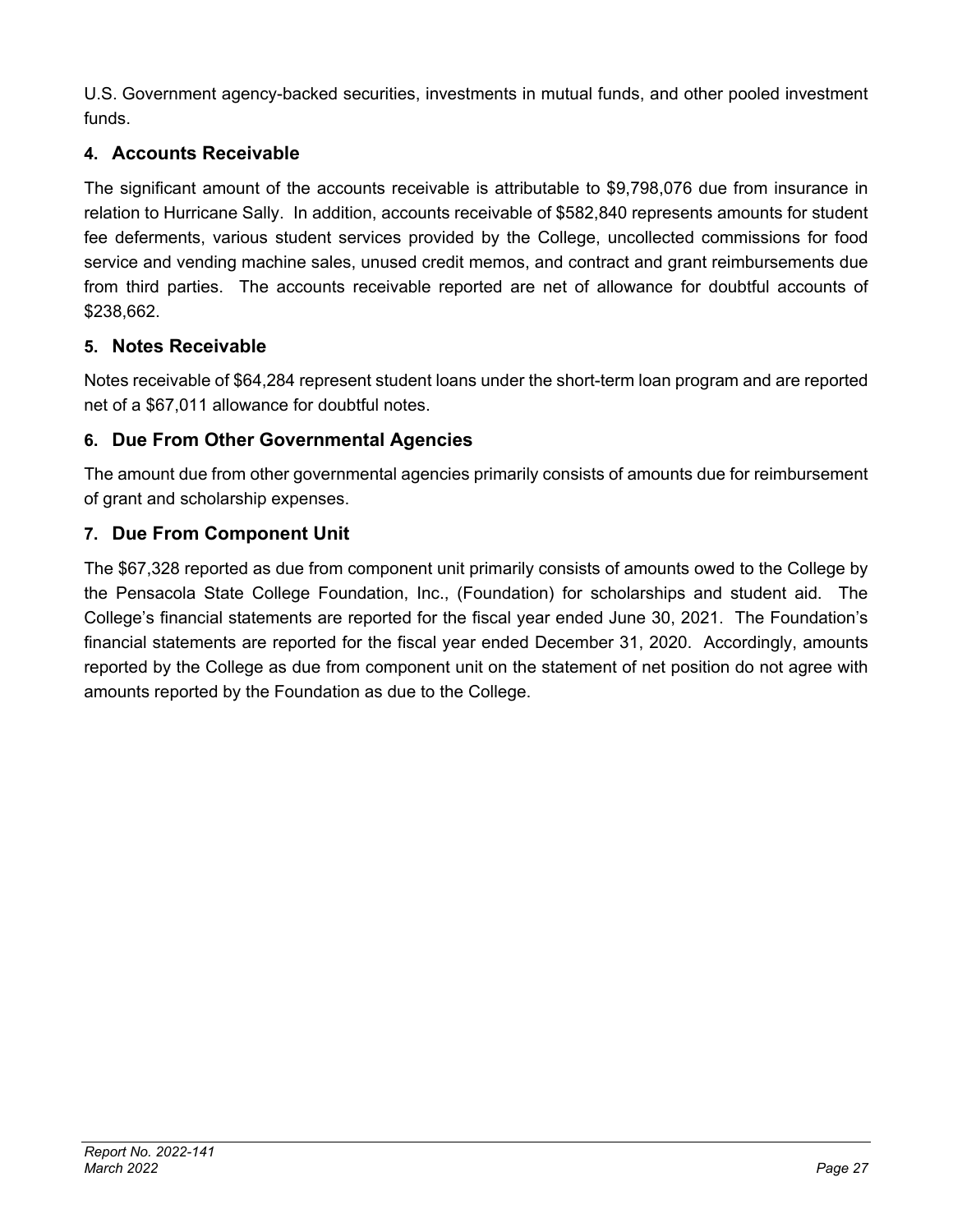U.S. Government agency-backed securities, investments in mutual funds, and other pooled investment funds.

## **4. Accounts Receivable**

The significant amount of the accounts receivable is attributable to \$9,798,076 due from insurance in relation to Hurricane Sally. In addition, accounts receivable of \$582,840 represents amounts for student fee deferments, various student services provided by the College, uncollected commissions for food service and vending machine sales, unused credit memos, and contract and grant reimbursements due from third parties. The accounts receivable reported are net of allowance for doubtful accounts of \$238,662.

## **5. Notes Receivable**

Notes receivable of \$64,284 represent student loans under the short-term loan program and are reported net of a \$67,011 allowance for doubtful notes.

## **6. Due From Other Governmental Agencies**

The amount due from other governmental agencies primarily consists of amounts due for reimbursement of grant and scholarship expenses.

## **7. Due From Component Unit**

The \$67,328 reported as due from component unit primarily consists of amounts owed to the College by the Pensacola State College Foundation, Inc., (Foundation) for scholarships and student aid. The College's financial statements are reported for the fiscal year ended June 30, 2021. The Foundation's financial statements are reported for the fiscal year ended December 31, 2020. Accordingly, amounts reported by the College as due from component unit on the statement of net position do not agree with amounts reported by the Foundation as due to the College.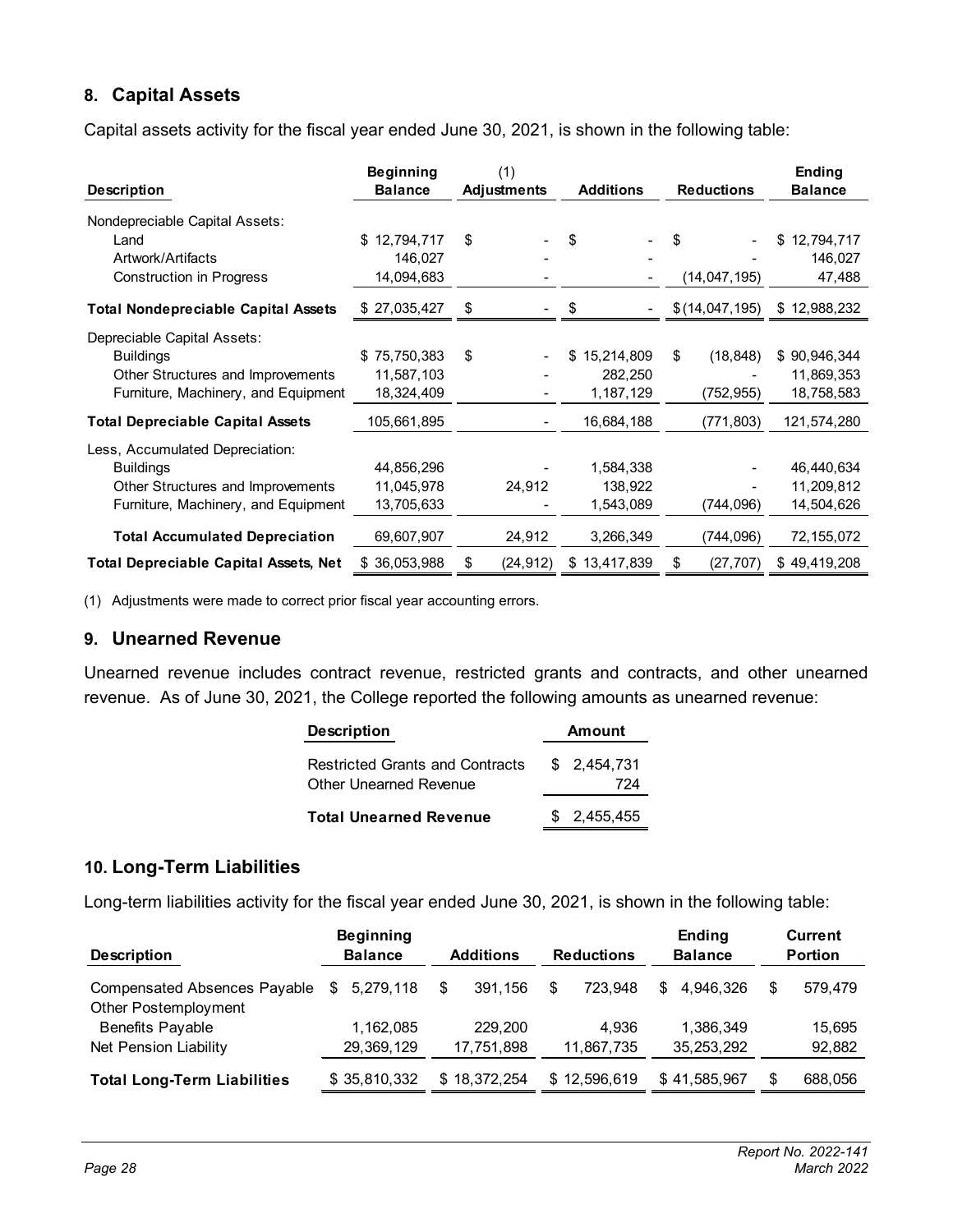### **8. Capital Assets**

Capital assets activity for the fiscal year ended June 30, 2021, is shown in the following table:

| Description                                  | <b>Beginning</b><br><b>Balance</b> | (1)<br><b>Adjustments</b> | <b>Additions</b> | <b>Reductions</b> | Ending<br><b>Balance</b> |
|----------------------------------------------|------------------------------------|---------------------------|------------------|-------------------|--------------------------|
| Nondepreciable Capital Assets:               |                                    |                           |                  |                   |                          |
| Land                                         | \$12,794,717                       | \$                        | \$               | \$                | \$<br>12,794,717         |
| Artwork/Artifacts                            | 146,027                            |                           |                  |                   | 146,027                  |
| <b>Construction in Progress</b>              | 14,094,683                         |                           |                  | (14, 047, 195)    | 47,488                   |
| <b>Total Nondepreciable Capital Assets</b>   | \$27,035,427                       | \$                        | \$               | \$(14,047,195)    | \$12,988,232             |
| Depreciable Capital Assets:                  |                                    |                           |                  |                   |                          |
| <b>Buildings</b>                             | \$75,750,383                       | \$                        | \$15,214,809     | \$<br>(18, 848)   | \$90,946,344             |
| Other Structures and Improvements            | 11,587,103                         |                           | 282,250          |                   | 11,869,353               |
| Furniture, Machinery, and Equipment          | 18,324,409                         |                           | 1,187,129        | (752, 955)        | 18,758,583               |
| <b>Total Depreciable Capital Assets</b>      | 105,661,895                        |                           | 16,684,188       | (771, 803)        | 121,574,280              |
| Less, Accumulated Depreciation:              |                                    |                           |                  |                   |                          |
| <b>Buildings</b>                             | 44,856,296                         |                           | 1,584,338        |                   | 46,440,634               |
| Other Structures and Improvements            | 11,045,978                         | 24,912                    | 138,922          |                   | 11,209,812               |
| Furniture, Machinery, and Equipment          | 13,705,633                         |                           | 1,543,089        | (744, 096)        | 14,504,626               |
| <b>Total Accumulated Depreciation</b>        | 69,607,907                         | 24,912                    | 3,266,349        | (744, 096)        | 72, 155, 072             |
| <b>Total Depreciable Capital Assets, Net</b> | \$36,053,988                       | \$<br>(24, 912)           | \$13,417,839     | \$<br>(27, 707)   | \$49,419,208             |

(1) Adjustments were made to correct prior fiscal year accounting errors.

#### **9. Unearned Revenue**

Unearned revenue includes contract revenue, restricted grants and contracts, and other unearned revenue. As of June 30, 2021, the College reported the following amounts as unearned revenue:

| <b>Description</b>                                               | Amount             |
|------------------------------------------------------------------|--------------------|
| <b>Restricted Grants and Contracts</b><br>Other Unearned Revenue | \$2.454.731<br>724 |
| <b>Total Unearned Revenue</b>                                    | \$2,455,455        |

#### **10. Long-Term Liabilities**

Long-term liabilities activity for the fiscal year ended June 30, 2021, is shown in the following table:

| <b>Description</b>                                          | <b>Beginning</b><br><b>Balance</b> | <b>Additions</b> | <b>Reductions</b> | <b>Ending</b><br><b>Balance</b> |    | <b>Current</b><br><b>Portion</b> |
|-------------------------------------------------------------|------------------------------------|------------------|-------------------|---------------------------------|----|----------------------------------|
| <b>Compensated Absences Payable</b><br>Other Postemployment | 5.279.118<br>S                     | 391.156<br>\$    | 723.948<br>\$     | 4.946.326<br>S.                 | S  | 579,479                          |
| <b>Benefits Payable</b>                                     | 1,162,085                          | 229,200          | 4.936             | 1.386.349                       |    | 15,695                           |
| Net Pension Liability                                       | 29,369,129                         | 17,751,898       | 11,867,735        | 35,253,292                      |    | 92,882                           |
| <b>Total Long-Term Liabilities</b>                          | \$35,810,332                       | \$18,372,254     | \$12,596,619      | \$41,585,967                    | \$ | 688,056                          |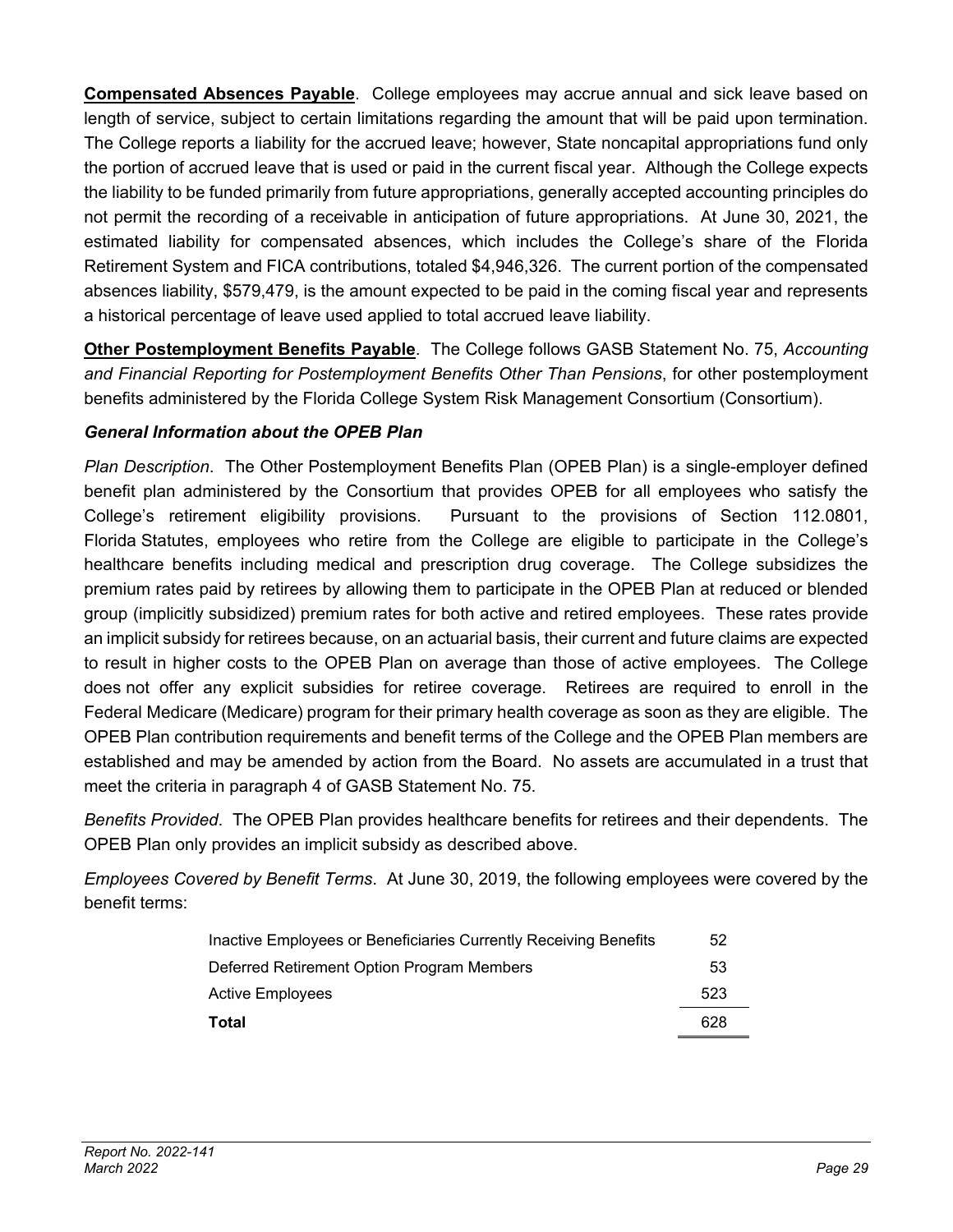**Compensated Absences Payable**. College employees may accrue annual and sick leave based on length of service, subject to certain limitations regarding the amount that will be paid upon termination. The College reports a liability for the accrued leave; however, State noncapital appropriations fund only the portion of accrued leave that is used or paid in the current fiscal year. Although the College expects the liability to be funded primarily from future appropriations, generally accepted accounting principles do not permit the recording of a receivable in anticipation of future appropriations. At June 30, 2021, the estimated liability for compensated absences, which includes the College's share of the Florida Retirement System and FICA contributions, totaled \$4,946,326. The current portion of the compensated absences liability, \$579,479, is the amount expected to be paid in the coming fiscal year and represents a historical percentage of leave used applied to total accrued leave liability.

**Other Postemployment Benefits Payable**. The College follows GASB Statement No. 75, *Accounting and Financial Reporting for Postemployment Benefits Other Than Pensions*, for other postemployment benefits administered by the Florida College System Risk Management Consortium (Consortium).

## *General Information about the OPEB Plan*

*Plan Description*. The Other Postemployment Benefits Plan (OPEB Plan) is a single-employer defined benefit plan administered by the Consortium that provides OPEB for all employees who satisfy the College's retirement eligibility provisions. Pursuant to the provisions of Section 112.0801, Florida Statutes, employees who retire from the College are eligible to participate in the College's healthcare benefits including medical and prescription drug coverage. The College subsidizes the premium rates paid by retirees by allowing them to participate in the OPEB Plan at reduced or blended group (implicitly subsidized) premium rates for both active and retired employees. These rates provide an implicit subsidy for retirees because, on an actuarial basis, their current and future claims are expected to result in higher costs to the OPEB Plan on average than those of active employees. The College does not offer any explicit subsidies for retiree coverage. Retirees are required to enroll in the Federal Medicare (Medicare) program for their primary health coverage as soon as they are eligible. The OPEB Plan contribution requirements and benefit terms of the College and the OPEB Plan members are established and may be amended by action from the Board. No assets are accumulated in a trust that meet the criteria in paragraph 4 of GASB Statement No. 75.

*Benefits Provided*. The OPEB Plan provides healthcare benefits for retirees and their dependents. The OPEB Plan only provides an implicit subsidy as described above.

*Employees Covered by Benefit Terms*. At June 30, 2019, the following employees were covered by the benefit terms:

| Inactive Employees or Beneficiaries Currently Receiving Benefits | 52  |  |
|------------------------------------------------------------------|-----|--|
| Deferred Retirement Option Program Members                       | 53  |  |
| <b>Active Employees</b>                                          | 523 |  |
| Total                                                            | 628 |  |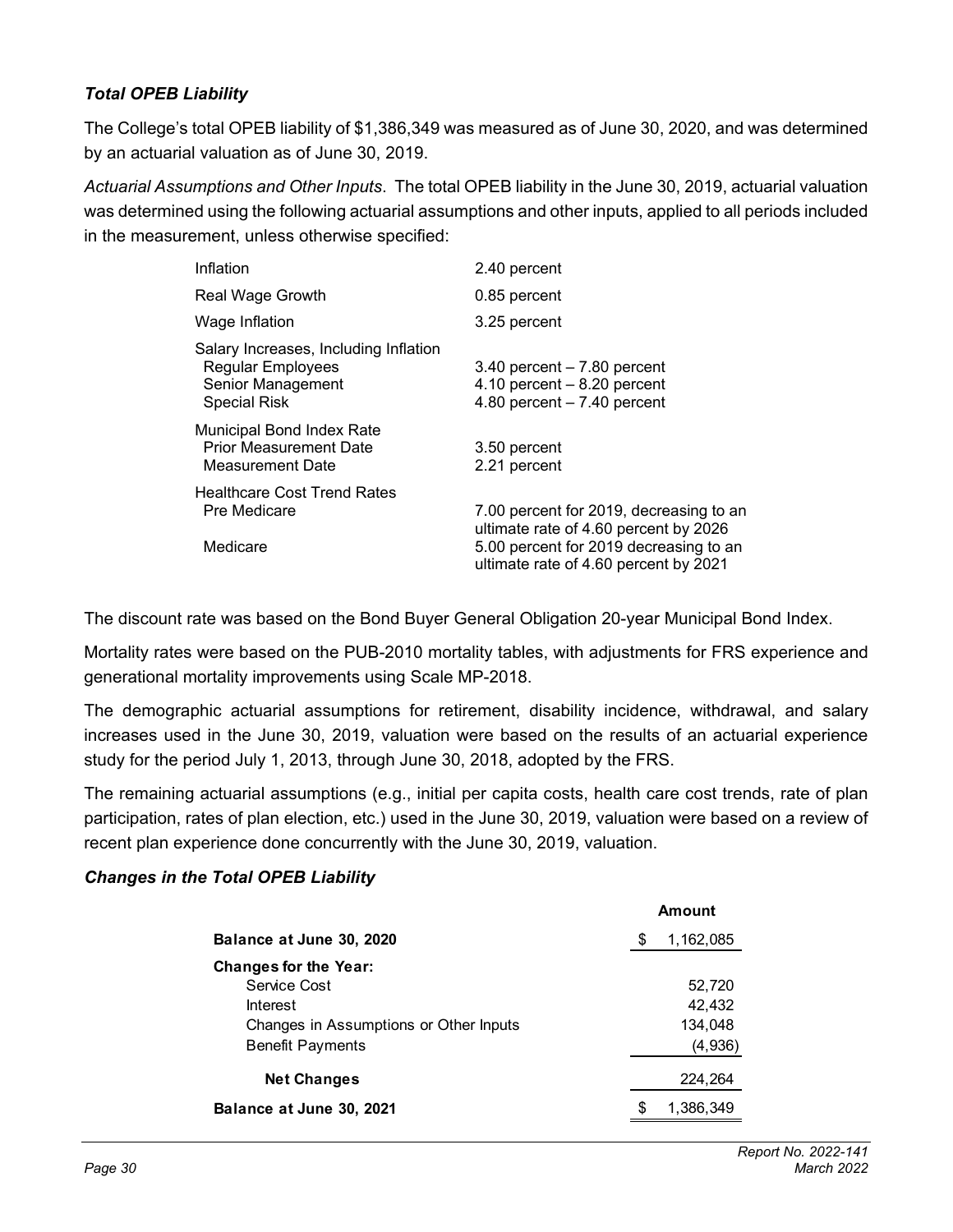## *Total OPEB Liability*

The College's total OPEB liability of \$1,386,349 was measured as of June 30, 2020, and was determined by an actuarial valuation as of June 30, 2019.

*Actuarial Assumptions and Other Inputs*. The total OPEB liability in the June 30, 2019, actuarial valuation was determined using the following actuarial assumptions and other inputs, applied to all periods included in the measurement, unless otherwise specified:

| Inflation                                                                                                     | 2.40 percent                                                                                                                                                        |
|---------------------------------------------------------------------------------------------------------------|---------------------------------------------------------------------------------------------------------------------------------------------------------------------|
| Real Wage Growth                                                                                              | 0.85 percent                                                                                                                                                        |
| Wage Inflation                                                                                                | 3.25 percent                                                                                                                                                        |
| Salary Increases, Including Inflation<br><b>Regular Employees</b><br>Senior Management<br><b>Special Risk</b> | $3.40$ percent $-7.80$ percent<br>4.10 percent $-8.20$ percent<br>4.80 percent $-7.40$ percent                                                                      |
| Municipal Bond Index Rate<br><b>Prior Measurement Date</b><br>Measurement Date                                | 3.50 percent<br>2.21 percent                                                                                                                                        |
| <b>Healthcare Cost Trend Rates</b><br>Pre Medicare<br>Medicare                                                | 7.00 percent for 2019, decreasing to an<br>ultimate rate of 4.60 percent by 2026<br>5.00 percent for 2019 decreasing to an<br>ultimate rate of 4.60 percent by 2021 |

The discount rate was based on the Bond Buyer General Obligation 20-year Municipal Bond Index.

Mortality rates were based on the PUB-2010 mortality tables, with adjustments for FRS experience and generational mortality improvements using Scale MP-2018.

The demographic actuarial assumptions for retirement, disability incidence, withdrawal, and salary increases used in the June 30, 2019, valuation were based on the results of an actuarial experience study for the period July 1, 2013, through June 30, 2018, adopted by the FRS.

The remaining actuarial assumptions (e.g., initial per capita costs, health care cost trends, rate of plan participation, rates of plan election, etc.) used in the June 30, 2019, valuation were based on a review of recent plan experience done concurrently with the June 30, 2019, valuation.

#### *Changes in the Total OPEB Liability*

|                                        | Amount  |           |  |
|----------------------------------------|---------|-----------|--|
| Balance at June 30, 2020               | S       | 1,162,085 |  |
| <b>Changes for the Year:</b>           |         |           |  |
| Service Cost                           |         | 52,720    |  |
| Interest                               |         | 42,432    |  |
| Changes in Assumptions or Other Inputs | 134,048 |           |  |
| <b>Benefit Payments</b>                |         | (4,936)   |  |
| <b>Net Changes</b>                     |         | 224,264   |  |
| Balance at June 30, 2021               | \$      | 1,386,349 |  |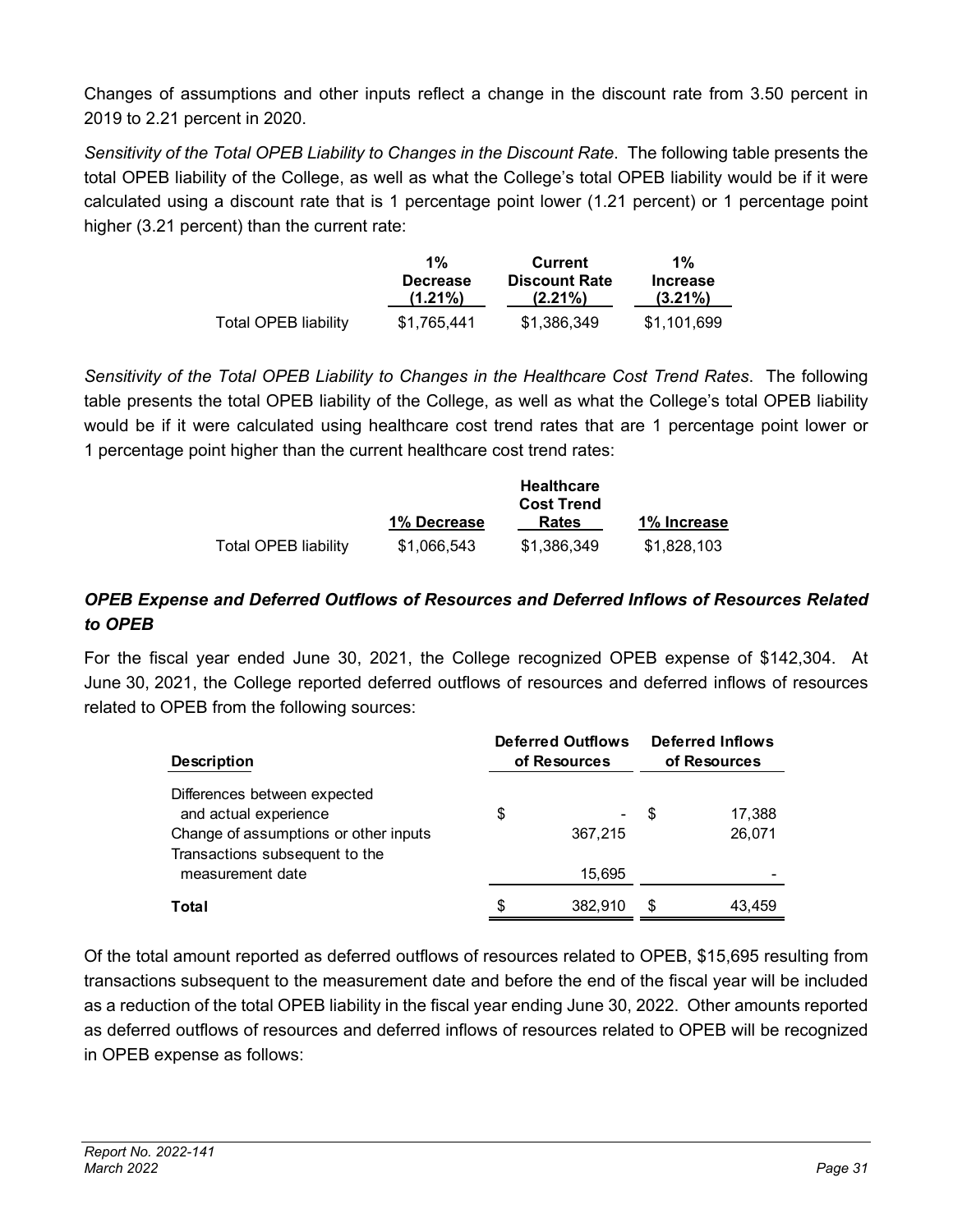Changes of assumptions and other inputs reflect a change in the discount rate from 3.50 percent in 2019 to 2.21 percent in 2020.

*Sensitivity of the Total OPEB Liability to Changes in the Discount Rate*. The following table presents the total OPEB liability of the College, as well as what the College's total OPEB liability would be if it were calculated using a discount rate that is 1 percentage point lower (1.21 percent) or 1 percentage point higher (3.21 percent) than the current rate:

|                      | $1\%$                         | <b>Current</b>                     | $1\%$                         |
|----------------------|-------------------------------|------------------------------------|-------------------------------|
|                      | <b>Decrease</b><br>$(1.21\%)$ | <b>Discount Rate</b><br>$(2.21\%)$ | <b>Increase</b><br>$(3.21\%)$ |
| Total OPEB liability | \$1.765.441                   | \$1,386,349                        | \$1,101,699                   |

*Sensitivity of the Total OPEB Liability to Changes in the Healthcare Cost Trend Rates*. The following table presents the total OPEB liability of the College, as well as what the College's total OPEB liability would be if it were calculated using healthcare cost trend rates that are 1 percentage point lower or 1 percentage point higher than the current healthcare cost trend rates:

|                      |             | <b>Healthcare</b><br><b>Cost Trend</b> |             |
|----------------------|-------------|----------------------------------------|-------------|
|                      | 1% Decrease | Rates                                  | 1% Increase |
| Total OPEB liability | \$1,066,543 | \$1.386.349                            | \$1.828.103 |

## *OPEB Expense and Deferred Outflows of Resources and Deferred Inflows of Resources Related to OPEB*

For the fiscal year ended June 30, 2021, the College recognized OPEB expense of \$142,304. At June 30, 2021, the College reported deferred outflows of resources and deferred inflows of resources related to OPEB from the following sources:

| <b>Description</b>                                    | <b>Deferred Outflows</b><br>of Resources |    | <b>Deferred Inflows</b><br>of Resources |  |
|-------------------------------------------------------|------------------------------------------|----|-----------------------------------------|--|
| Differences between expected<br>and actual experience | \$                                       | \$ | 17,388                                  |  |
| Change of assumptions or other inputs                 | 367,215                                  |    | 26,071                                  |  |
| Transactions subsequent to the<br>measurement date    | 15,695                                   |    |                                         |  |
| Total                                                 | \$<br>382,910                            | S  | 43.459                                  |  |

Of the total amount reported as deferred outflows of resources related to OPEB, \$15,695 resulting from transactions subsequent to the measurement date and before the end of the fiscal year will be included as a reduction of the total OPEB liability in the fiscal year ending June 30, 2022. Other amounts reported as deferred outflows of resources and deferred inflows of resources related to OPEB will be recognized in OPEB expense as follows: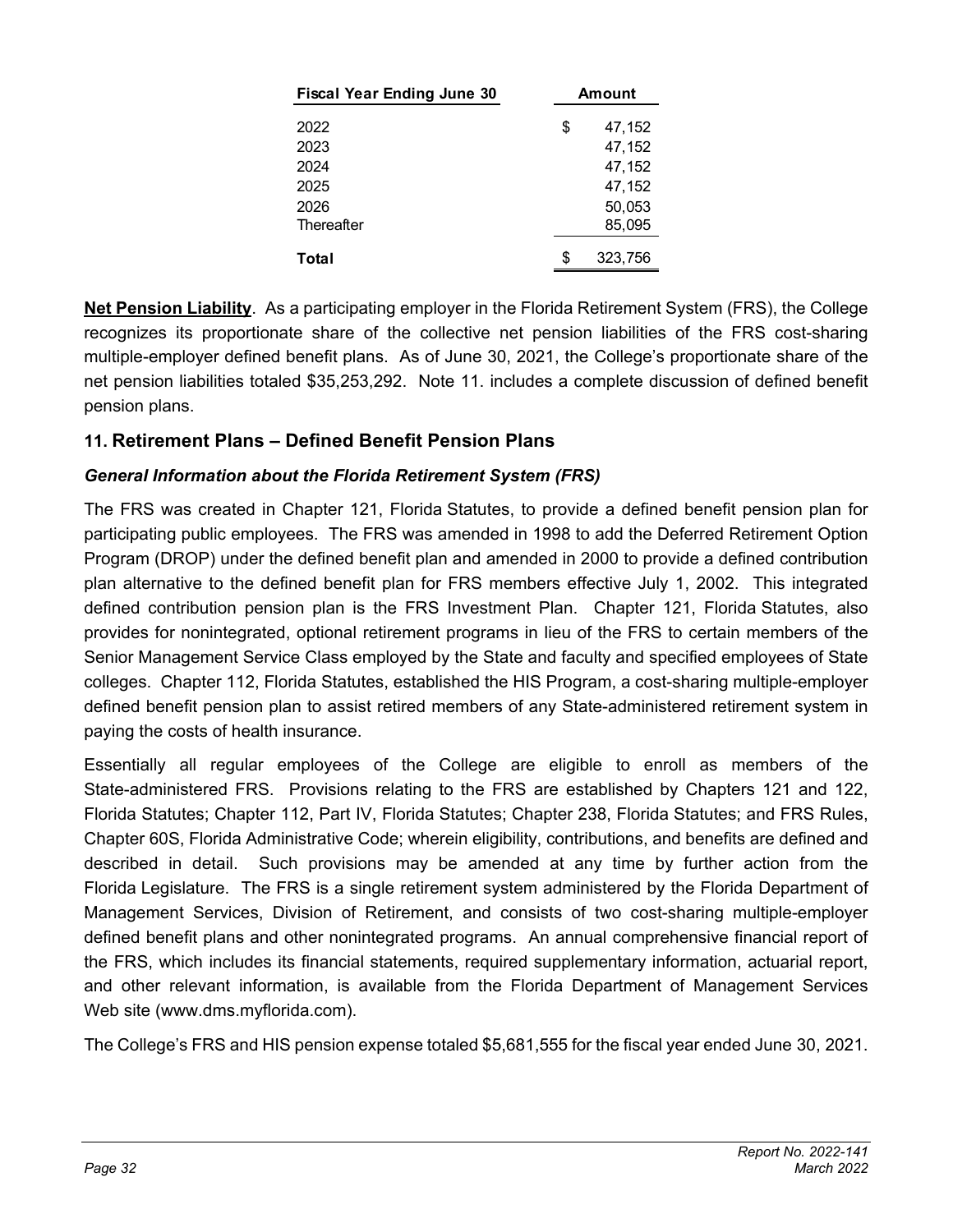| <b>Fiscal Year Ending June 30</b> |    | Amount           |  |  |
|-----------------------------------|----|------------------|--|--|
| 2022                              | \$ | 47,152           |  |  |
| 2023                              |    | 47,152           |  |  |
| 2024<br>2025                      |    | 47,152<br>47,152 |  |  |
| 2026                              |    | 50,053           |  |  |
| Thereafter                        |    | 85,095           |  |  |
| Total                             |    | 323,756          |  |  |

**Net Pension Liability**. As a participating employer in the Florida Retirement System (FRS), the College recognizes its proportionate share of the collective net pension liabilities of the FRS cost-sharing multiple-employer defined benefit plans. As of June 30, 2021, the College's proportionate share of the net pension liabilities totaled \$35,253,292. Note 11. includes a complete discussion of defined benefit pension plans.

## **11. Retirement Plans – Defined Benefit Pension Plans**

#### *General Information about the Florida Retirement System (FRS)*

The FRS was created in Chapter 121, Florida Statutes, to provide a defined benefit pension plan for participating public employees. The FRS was amended in 1998 to add the Deferred Retirement Option Program (DROP) under the defined benefit plan and amended in 2000 to provide a defined contribution plan alternative to the defined benefit plan for FRS members effective July 1, 2002. This integrated defined contribution pension plan is the FRS Investment Plan. Chapter 121, Florida Statutes, also provides for nonintegrated, optional retirement programs in lieu of the FRS to certain members of the Senior Management Service Class employed by the State and faculty and specified employees of State colleges. Chapter 112, Florida Statutes, established the HIS Program, a cost-sharing multiple-employer defined benefit pension plan to assist retired members of any State-administered retirement system in paying the costs of health insurance.

Essentially all regular employees of the College are eligible to enroll as members of the State-administered FRS. Provisions relating to the FRS are established by Chapters 121 and 122, Florida Statutes; Chapter 112, Part IV, Florida Statutes; Chapter 238, Florida Statutes; and FRS Rules, Chapter 60S, Florida Administrative Code; wherein eligibility, contributions, and benefits are defined and described in detail. Such provisions may be amended at any time by further action from the Florida Legislature. The FRS is a single retirement system administered by the Florida Department of Management Services, Division of Retirement, and consists of two cost-sharing multiple-employer defined benefit plans and other nonintegrated programs. An annual comprehensive financial report of the FRS, which includes its financial statements, required supplementary information, actuarial report, and other relevant information, is available from the Florida Department of Management Services Web site (www.dms.myflorida.com).

The College's FRS and HIS pension expense totaled \$5,681,555 for the fiscal year ended June 30, 2021.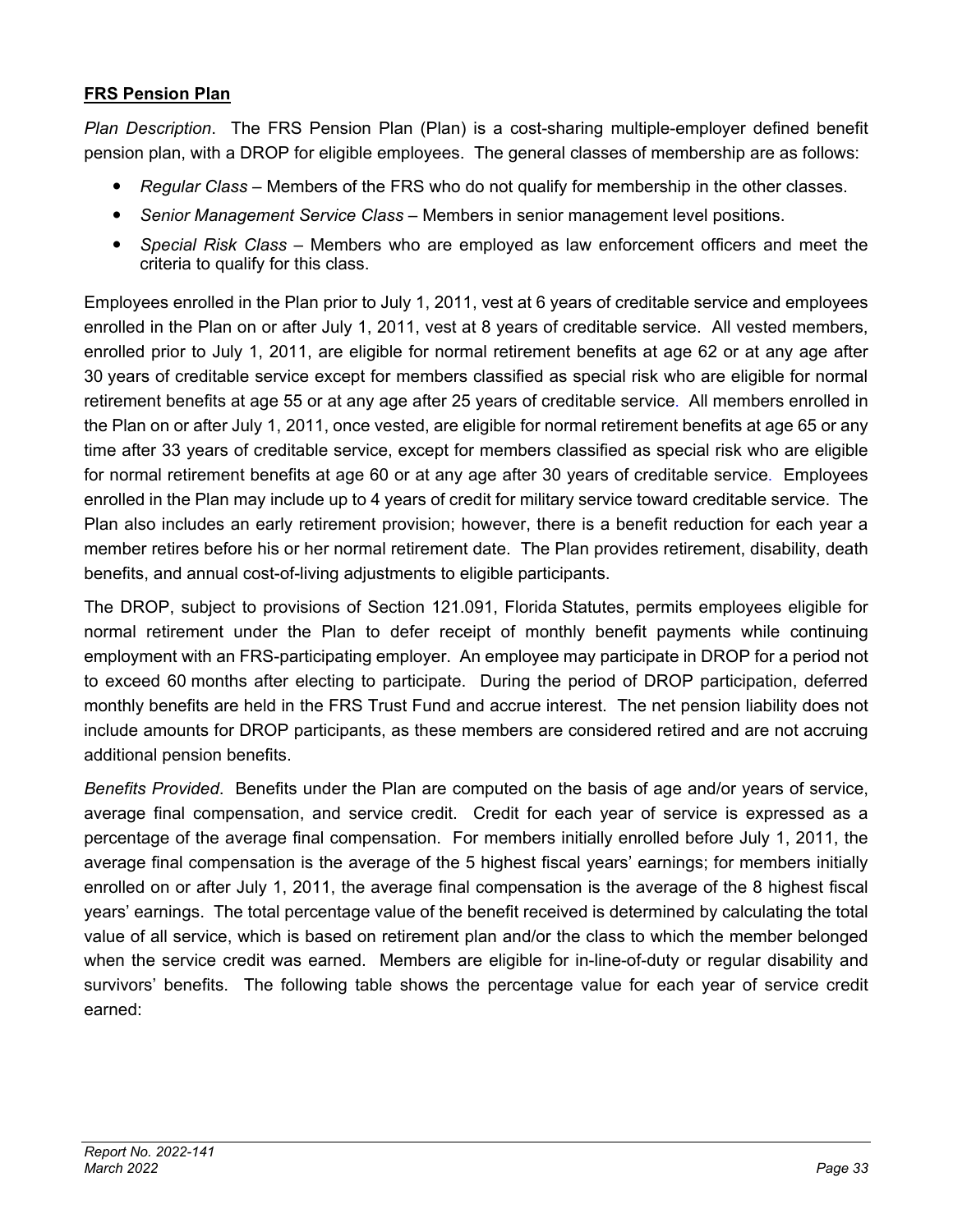## **FRS Pension Plan**

*Plan Description*. The FRS Pension Plan (Plan) is a cost-sharing multiple-employer defined benefit pension plan, with a DROP for eligible employees. The general classes of membership are as follows:

- *Regular Class* Members of the FRS who do not qualify for membership in the other classes.
- *Senior Management Service Class* Members in senior management level positions.
- *Special Risk Class* Members who are employed as law enforcement officers and meet the criteria to qualify for this class.

Employees enrolled in the Plan prior to July 1, 2011, vest at 6 years of creditable service and employees enrolled in the Plan on or after July 1, 2011, vest at 8 years of creditable service. All vested members, enrolled prior to July 1, 2011, are eligible for normal retirement benefits at age 62 or at any age after 30 years of creditable service except for members classified as special risk who are eligible for normal retirement benefits at age 55 or at any age after 25 years of creditable service. All members enrolled in the Plan on or after July 1, 2011, once vested, are eligible for normal retirement benefits at age 65 or any time after 33 years of creditable service, except for members classified as special risk who are eligible for normal retirement benefits at age 60 or at any age after 30 years of creditable service. Employees enrolled in the Plan may include up to 4 years of credit for military service toward creditable service. The Plan also includes an early retirement provision; however, there is a benefit reduction for each year a member retires before his or her normal retirement date. The Plan provides retirement, disability, death benefits, and annual cost-of-living adjustments to eligible participants.

The DROP, subject to provisions of Section 121.091, Florida Statutes, permits employees eligible for normal retirement under the Plan to defer receipt of monthly benefit payments while continuing employment with an FRS-participating employer. An employee may participate in DROP for a period not to exceed 60 months after electing to participate. During the period of DROP participation, deferred monthly benefits are held in the FRS Trust Fund and accrue interest. The net pension liability does not include amounts for DROP participants, as these members are considered retired and are not accruing additional pension benefits.

*Benefits Provided*. Benefits under the Plan are computed on the basis of age and/or years of service, average final compensation, and service credit. Credit for each year of service is expressed as a percentage of the average final compensation. For members initially enrolled before July 1, 2011, the average final compensation is the average of the 5 highest fiscal years' earnings; for members initially enrolled on or after July 1, 2011, the average final compensation is the average of the 8 highest fiscal years' earnings. The total percentage value of the benefit received is determined by calculating the total value of all service, which is based on retirement plan and/or the class to which the member belonged when the service credit was earned. Members are eligible for in-line-of-duty or regular disability and survivors' benefits. The following table shows the percentage value for each year of service credit earned: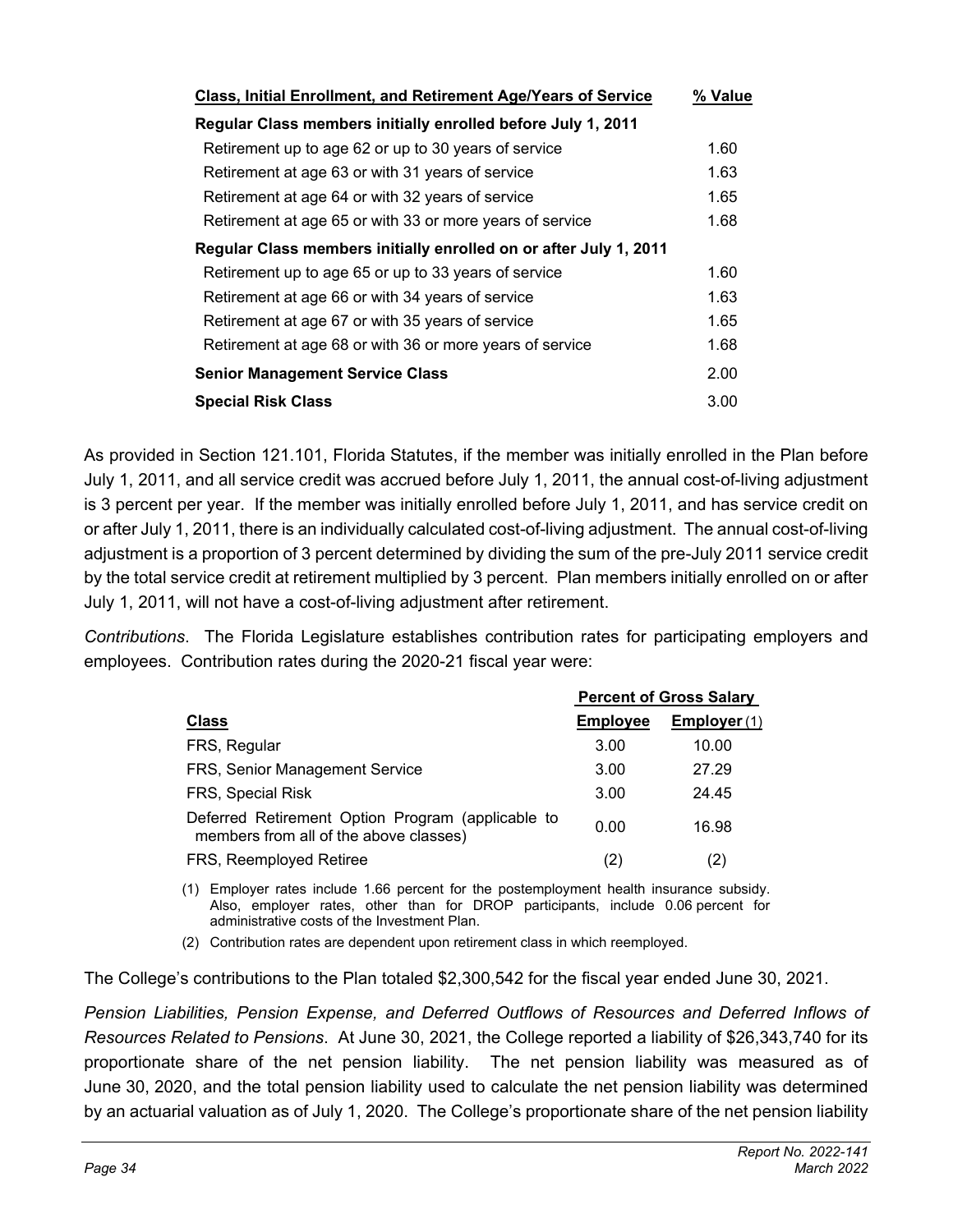| Class, Initial Enrollment, and Retirement Age/Years of Service    | % Value |
|-------------------------------------------------------------------|---------|
| Regular Class members initially enrolled before July 1, 2011      |         |
| Retirement up to age 62 or up to 30 years of service              | 1.60    |
| Retirement at age 63 or with 31 years of service                  | 1.63    |
| Retirement at age 64 or with 32 years of service                  | 1.65    |
| Retirement at age 65 or with 33 or more years of service          | 1.68    |
| Regular Class members initially enrolled on or after July 1, 2011 |         |
| Retirement up to age 65 or up to 33 years of service              | 1.60    |
| Retirement at age 66 or with 34 years of service                  | 1.63    |
| Retirement at age 67 or with 35 years of service                  | 1.65    |
| Retirement at age 68 or with 36 or more years of service          | 1.68    |
| <b>Senior Management Service Class</b>                            | 2.00    |
| <b>Special Risk Class</b>                                         | 3.00    |

As provided in Section 121.101, Florida Statutes, if the member was initially enrolled in the Plan before July 1, 2011, and all service credit was accrued before July 1, 2011, the annual cost-of-living adjustment is 3 percent per year. If the member was initially enrolled before July 1, 2011, and has service credit on or after July 1, 2011, there is an individually calculated cost-of-living adjustment. The annual cost-of-living adjustment is a proportion of 3 percent determined by dividing the sum of the pre-July 2011 service credit by the total service credit at retirement multiplied by 3 percent. Plan members initially enrolled on or after July 1, 2011, will not have a cost-of-living adjustment after retirement.

*Contributions*. The Florida Legislature establishes contribution rates for participating employers and employees. Contribution rates during the 2020-21 fiscal year were:

|                                                                                             | <b>Percent of Gross Salary</b> |                |
|---------------------------------------------------------------------------------------------|--------------------------------|----------------|
| <b>Class</b>                                                                                | <b>Employee</b>                | Employer $(1)$ |
| FRS, Regular                                                                                | 3.00                           | 10.00          |
| FRS, Senior Management Service                                                              | 3.00                           | 27.29          |
| FRS, Special Risk                                                                           | 3.00                           | 24.45          |
| Deferred Retirement Option Program (applicable to<br>members from all of the above classes) | 0.00                           | 16.98          |
| FRS, Reemployed Retiree                                                                     | (2)                            | (2)            |

(1) Employer rates include 1.66 percent for the postemployment health insurance subsidy. Also, employer rates, other than for DROP participants, include 0.06 percent for administrative costs of the Investment Plan.

(2) Contribution rates are dependent upon retirement class in which reemployed.

The College's contributions to the Plan totaled \$2,300,542 for the fiscal year ended June 30, 2021.

*Pension Liabilities, Pension Expense, and Deferred Outflows of Resources and Deferred Inflows of Resources Related to Pensions*. At June 30, 2021, the College reported a liability of \$26,343,740 for its proportionate share of the net pension liability. The net pension liability was measured as of June 30, 2020, and the total pension liability used to calculate the net pension liability was determined by an actuarial valuation as of July 1, 2020. The College's proportionate share of the net pension liability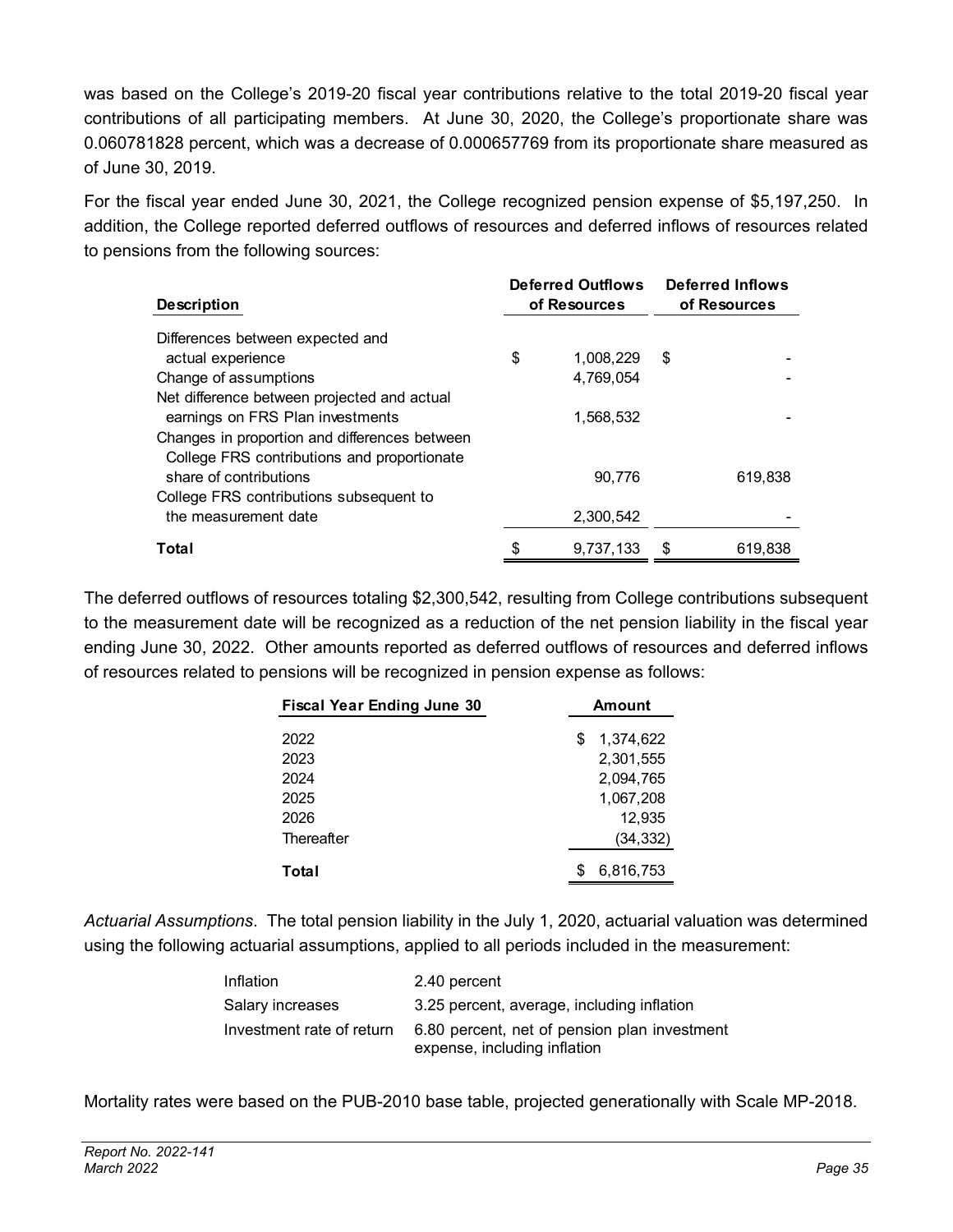was based on the College's 2019-20 fiscal year contributions relative to the total 2019-20 fiscal year contributions of all participating members. At June 30, 2020, the College's proportionate share was 0.060781828 percent, which was a decrease of 0.000657769 from its proportionate share measured as of June 30, 2019.

For the fiscal year ended June 30, 2021, the College recognized pension expense of \$5,197,250. In addition, the College reported deferred outflows of resources and deferred inflows of resources related to pensions from the following sources:

| <b>Deferred Outflows</b><br><b>Description</b><br>of Resources |    | Deferred Inflows<br>of Resources |   |         |
|----------------------------------------------------------------|----|----------------------------------|---|---------|
| Differences between expected and                               |    |                                  |   |         |
| actual experience                                              | \$ | 1,008,229                        | S |         |
| Change of assumptions                                          |    | 4.769.054                        |   |         |
| Net difference between projected and actual                    |    |                                  |   |         |
| earnings on FRS Plan investments                               |    | 1,568,532                        |   |         |
| Changes in proportion and differences between                  |    |                                  |   |         |
| College FRS contributions and proportionate                    |    |                                  |   |         |
| share of contributions                                         |    | 90.776                           |   | 619,838 |
| College FRS contributions subsequent to                        |    |                                  |   |         |
| the measurement date                                           |    | 2,300,542                        |   |         |
| Total                                                          | \$ | 9.737.133                        | S | 619.838 |

The deferred outflows of resources totaling \$2,300,542, resulting from College contributions subsequent to the measurement date will be recognized as a reduction of the net pension liability in the fiscal year ending June 30, 2022. Other amounts reported as deferred outflows of resources and deferred inflows of resources related to pensions will be recognized in pension expense as follows:

| <b>Fiscal Year Ending June 30</b> | Amount          |
|-----------------------------------|-----------------|
| 2022                              | 1,374,622<br>\$ |
| 2023                              | 2,301,555       |
| 2024                              | 2,094,765       |
| 2025                              | 1,067,208       |
| 2026                              | 12,935          |
| Thereafter                        | (34, 332)       |
| Total                             | 6,816,753       |

*Actuarial Assumptions*. The total pension liability in the July 1, 2020, actuarial valuation was determined using the following actuarial assumptions, applied to all periods included in the measurement:

| Inflation                 | 2.40 percent                                                                 |
|---------------------------|------------------------------------------------------------------------------|
| Salary increases          | 3.25 percent, average, including inflation                                   |
| Investment rate of return | 6.80 percent, net of pension plan investment<br>expense, including inflation |

Mortality rates were based on the PUB-2010 base table, projected generationally with Scale MP-2018.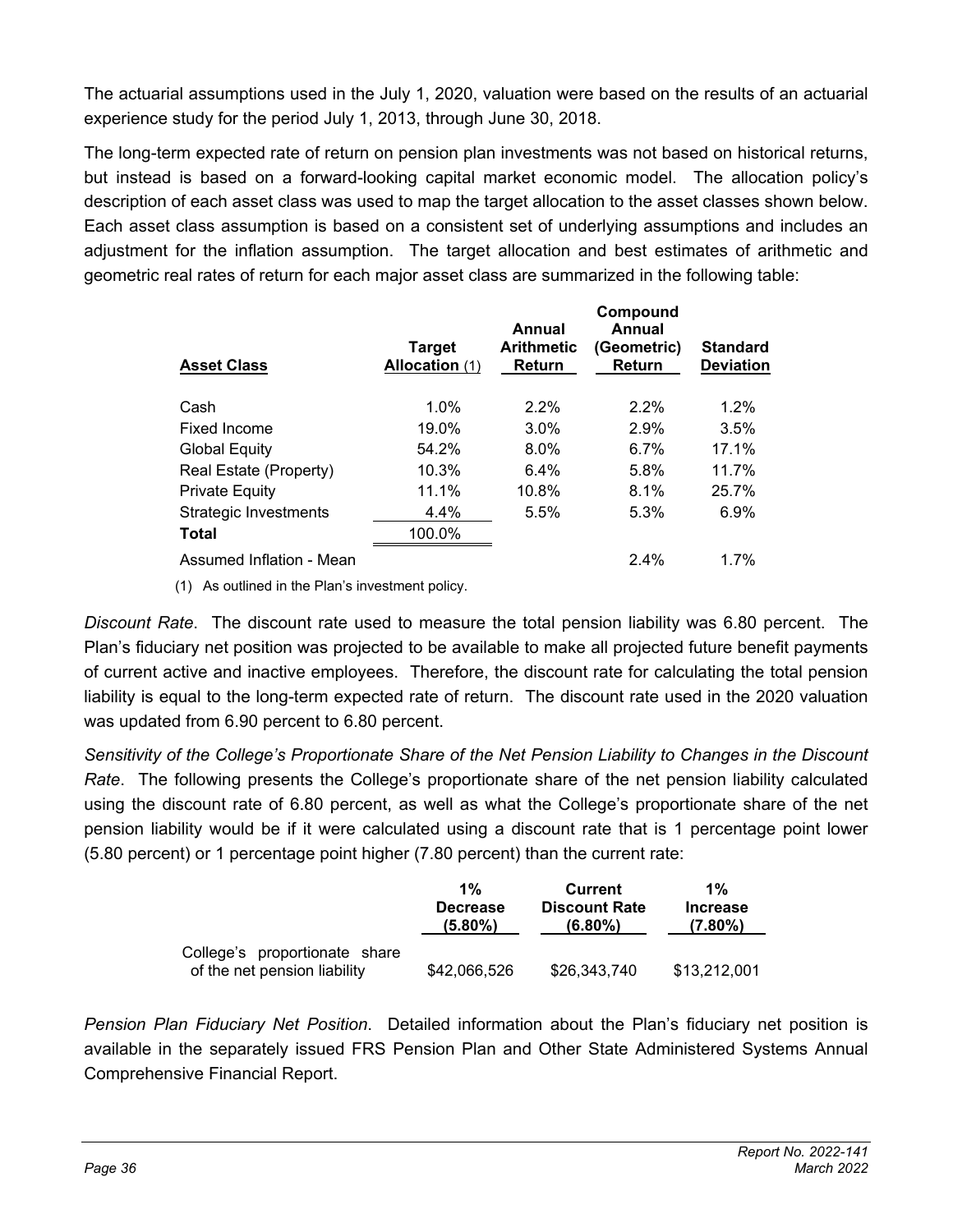The actuarial assumptions used in the July 1, 2020, valuation were based on the results of an actuarial experience study for the period July 1, 2013, through June 30, 2018.

The long-term expected rate of return on pension plan investments was not based on historical returns, but instead is based on a forward-looking capital market economic model. The allocation policy's description of each asset class was used to map the target allocation to the asset classes shown below. Each asset class assumption is based on a consistent set of underlying assumptions and includes an adjustment for the inflation assumption. The target allocation and best estimates of arithmetic and geometric real rates of return for each major asset class are summarized in the following table:

| <b>Asset Class</b>           | <b>Target</b><br>Allocation (1) | Annual<br><b>Arithmetic</b><br>Return | Compound<br>Annual<br>(Geometric)<br>Return | <b>Standard</b><br><b>Deviation</b> |
|------------------------------|---------------------------------|---------------------------------------|---------------------------------------------|-------------------------------------|
| Cash                         | 1.0%                            | 2.2%                                  | 2.2%                                        | 1.2%                                |
| Fixed Income                 | 19.0%                           | 3.0%                                  | 2.9%                                        | 3.5%                                |
| <b>Global Equity</b>         | 54.2%                           | 8.0%                                  | 6.7%                                        | 17.1%                               |
| Real Estate (Property)       | 10.3%                           | 6.4%                                  | 5.8%                                        | 11.7%                               |
| <b>Private Equity</b>        | 11.1%                           | 10.8%                                 | 8.1%                                        | 25.7%                               |
| <b>Strategic Investments</b> | 4.4%                            | 5.5%                                  | 5.3%                                        | 6.9%                                |
| Total                        | 100.0%                          |                                       |                                             |                                     |
| Assumed Inflation - Mean     |                                 |                                       | 2.4%                                        | 1.7%                                |

(1) As outlined in the Plan's investment policy.

*Discount Rate*. The discount rate used to measure the total pension liability was 6.80 percent. The Plan's fiduciary net position was projected to be available to make all projected future benefit payments of current active and inactive employees. Therefore, the discount rate for calculating the total pension liability is equal to the long-term expected rate of return. The discount rate used in the 2020 valuation was updated from 6.90 percent to 6.80 percent.

*Sensitivity of the College's Proportionate Share of the Net Pension Liability to Changes in the Discount Rate*. The following presents the College's proportionate share of the net pension liability calculated using the discount rate of 6.80 percent, as well as what the College's proportionate share of the net pension liability would be if it were calculated using a discount rate that is 1 percentage point lower (5.80 percent) or 1 percentage point higher (7.80 percent) than the current rate:

|                                                               | 1%              | Current              | 1%              |
|---------------------------------------------------------------|-----------------|----------------------|-----------------|
|                                                               | <b>Decrease</b> | <b>Discount Rate</b> | <b>Increase</b> |
|                                                               | $(5.80\%)$      | $(6.80\%)$           | $(7.80\%)$      |
| College's proportionate share<br>of the net pension liability | \$42,066,526    | \$26,343,740         | \$13,212,001    |

*Pension Plan Fiduciary Net Position*. Detailed information about the Plan's fiduciary net position is available in the separately issued FRS Pension Plan and Other State Administered Systems Annual Comprehensive Financial Report.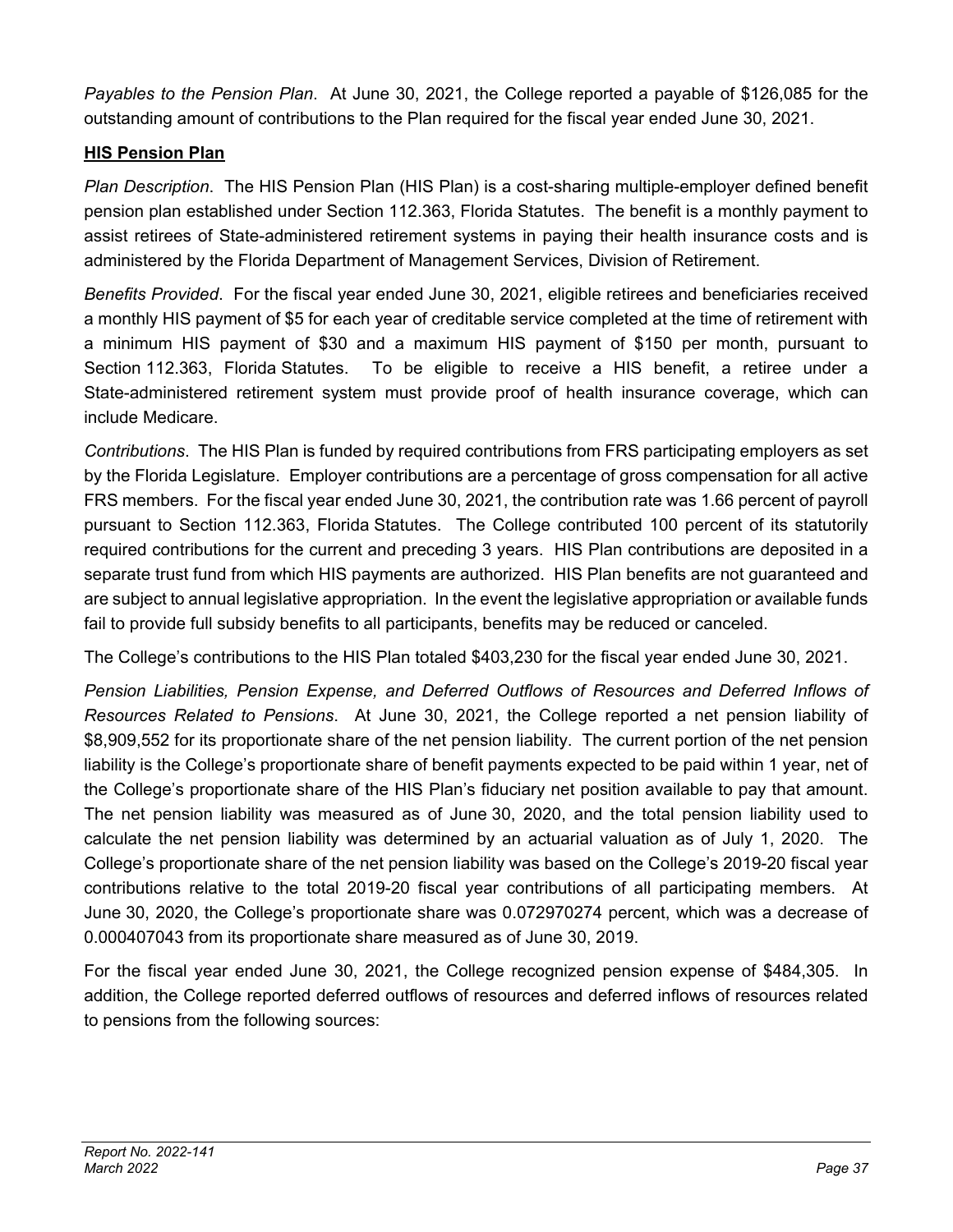*Payables to the Pension Plan*. At June 30, 2021, the College reported a payable of \$126,085 for the outstanding amount of contributions to the Plan required for the fiscal year ended June 30, 2021.

## **HIS Pension Plan**

*Plan Description*. The HIS Pension Plan (HIS Plan) is a cost-sharing multiple-employer defined benefit pension plan established under Section 112.363, Florida Statutes. The benefit is a monthly payment to assist retirees of State-administered retirement systems in paying their health insurance costs and is administered by the Florida Department of Management Services, Division of Retirement.

*Benefits Provided*. For the fiscal year ended June 30, 2021, eligible retirees and beneficiaries received a monthly HIS payment of \$5 for each year of creditable service completed at the time of retirement with a minimum HIS payment of \$30 and a maximum HIS payment of \$150 per month, pursuant to Section 112.363, Florida Statutes. To be eligible to receive a HIS benefit, a retiree under a State-administered retirement system must provide proof of health insurance coverage, which can include Medicare.

*Contributions*. The HIS Plan is funded by required contributions from FRS participating employers as set by the Florida Legislature. Employer contributions are a percentage of gross compensation for all active FRS members. For the fiscal year ended June 30, 2021, the contribution rate was 1.66 percent of payroll pursuant to Section 112.363, Florida Statutes. The College contributed 100 percent of its statutorily required contributions for the current and preceding 3 years. HIS Plan contributions are deposited in a separate trust fund from which HIS payments are authorized. HIS Plan benefits are not guaranteed and are subject to annual legislative appropriation. In the event the legislative appropriation or available funds fail to provide full subsidy benefits to all participants, benefits may be reduced or canceled.

The College's contributions to the HIS Plan totaled \$403,230 for the fiscal year ended June 30, 2021.

*Pension Liabilities, Pension Expense, and Deferred Outflows of Resources and Deferred Inflows of Resources Related to Pensions*. At June 30, 2021, the College reported a net pension liability of \$8,909,552 for its proportionate share of the net pension liability. The current portion of the net pension liability is the College's proportionate share of benefit payments expected to be paid within 1 year, net of the College's proportionate share of the HIS Plan's fiduciary net position available to pay that amount. The net pension liability was measured as of June 30, 2020, and the total pension liability used to calculate the net pension liability was determined by an actuarial valuation as of July 1, 2020. The College's proportionate share of the net pension liability was based on the College's 2019-20 fiscal year contributions relative to the total 2019-20 fiscal year contributions of all participating members. At June 30, 2020, the College's proportionate share was 0.072970274 percent, which was a decrease of 0.000407043 from its proportionate share measured as of June 30, 2019.

For the fiscal year ended June 30, 2021, the College recognized pension expense of \$484,305. In addition, the College reported deferred outflows of resources and deferred inflows of resources related to pensions from the following sources: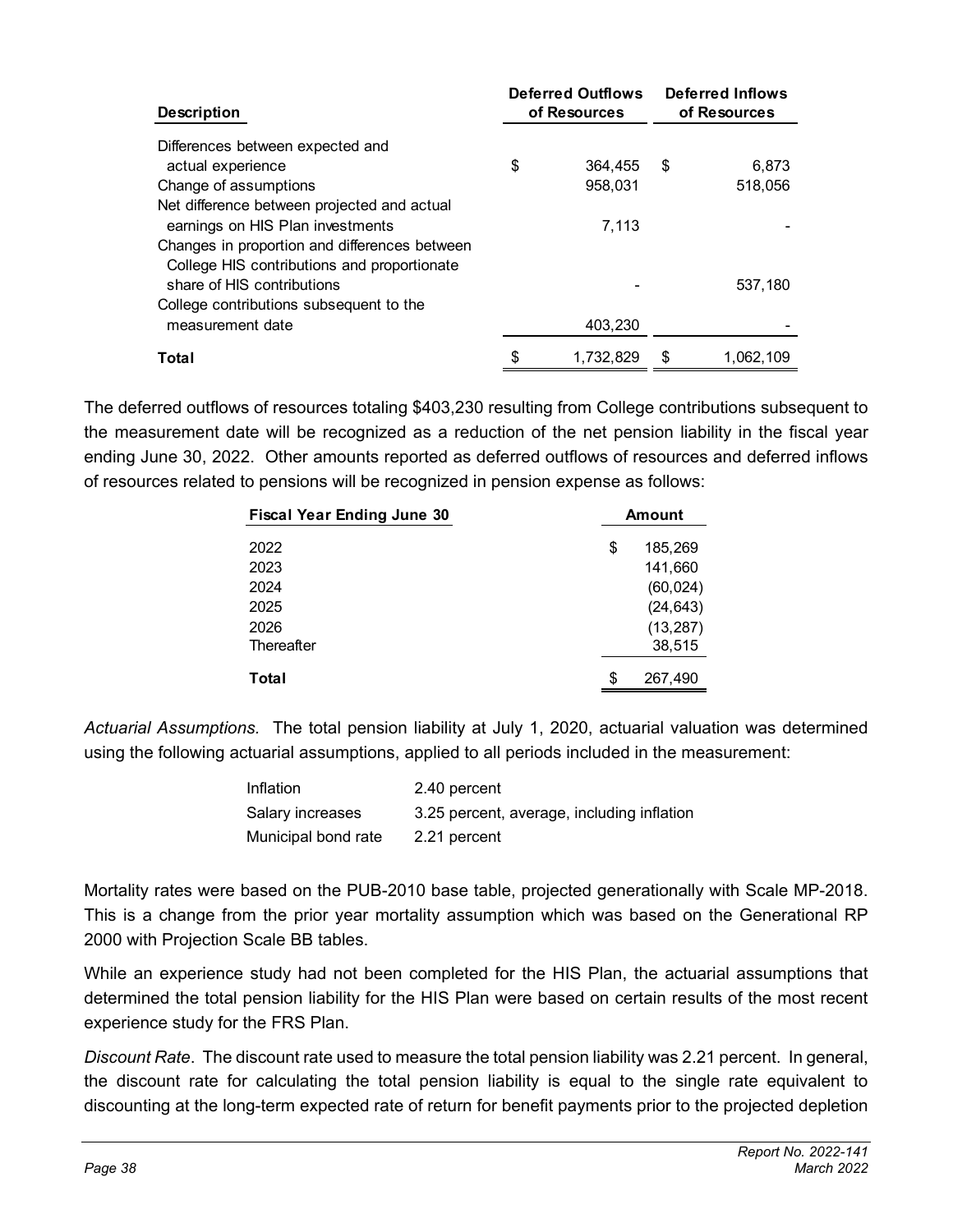| <b>Description</b>                            | <b>Deferred Outflows</b><br>of Resources |           | Deferred Inflows<br>of Resources |           |
|-----------------------------------------------|------------------------------------------|-----------|----------------------------------|-----------|
| Differences between expected and              |                                          |           |                                  |           |
| actual experience                             | \$                                       | 364.455   | S                                | 6,873     |
| Change of assumptions                         |                                          | 958,031   |                                  | 518,056   |
| Net difference between projected and actual   |                                          |           |                                  |           |
| earnings on HIS Plan investments              |                                          | 7.113     |                                  |           |
| Changes in proportion and differences between |                                          |           |                                  |           |
| College HIS contributions and proportionate   |                                          |           |                                  |           |
| share of HIS contributions                    |                                          |           |                                  | 537,180   |
| College contributions subsequent to the       |                                          |           |                                  |           |
| measurement date                              |                                          | 403,230   |                                  |           |
| Total                                         | \$                                       | 1.732.829 | \$.                              | 1.062.109 |

The deferred outflows of resources totaling \$403,230 resulting from College contributions subsequent to the measurement date will be recognized as a reduction of the net pension liability in the fiscal year ending June 30, 2022. Other amounts reported as deferred outflows of resources and deferred inflows of resources related to pensions will be recognized in pension expense as follows:

| <b>Fiscal Year Ending June 30</b> |    | <b>Amount</b> |  |  |  |  |
|-----------------------------------|----|---------------|--|--|--|--|
| 2022                              | \$ | 185,269       |  |  |  |  |
| 2023                              |    | 141,660       |  |  |  |  |
| 2024                              |    | (60, 024)     |  |  |  |  |
| 2025                              |    | (24, 643)     |  |  |  |  |
| 2026                              |    | (13, 287)     |  |  |  |  |
| Thereafter                        |    | 38,515        |  |  |  |  |
| Total                             | S  | 267,490       |  |  |  |  |

*Actuarial Assumptions.* The total pension liability at July 1, 2020, actuarial valuation was determined using the following actuarial assumptions, applied to all periods included in the measurement:

| Inflation           | 2.40 percent                               |
|---------------------|--------------------------------------------|
| Salary increases    | 3.25 percent, average, including inflation |
| Municipal bond rate | 2.21 percent                               |

Mortality rates were based on the PUB-2010 base table, projected generationally with Scale MP-2018. This is a change from the prior year mortality assumption which was based on the Generational RP 2000 with Projection Scale BB tables.

While an experience study had not been completed for the HIS Plan, the actuarial assumptions that determined the total pension liability for the HIS Plan were based on certain results of the most recent experience study for the FRS Plan.

*Discount Rate*. The discount rate used to measure the total pension liability was 2.21 percent. In general, the discount rate for calculating the total pension liability is equal to the single rate equivalent to discounting at the long-term expected rate of return for benefit payments prior to the projected depletion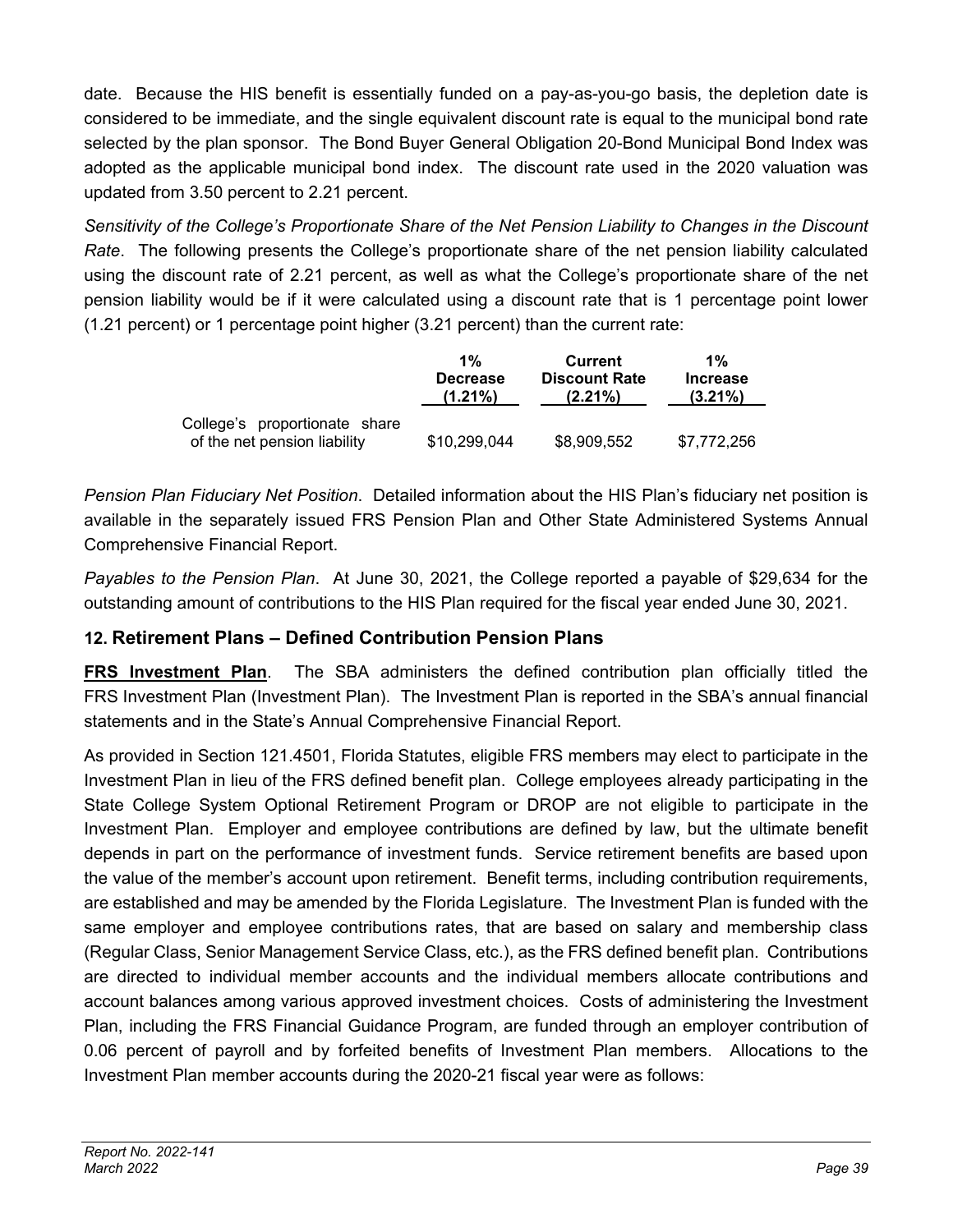date. Because the HIS benefit is essentially funded on a pay-as-you-go basis, the depletion date is considered to be immediate, and the single equivalent discount rate is equal to the municipal bond rate selected by the plan sponsor. The Bond Buyer General Obligation 20-Bond Municipal Bond Index was adopted as the applicable municipal bond index. The discount rate used in the 2020 valuation was updated from 3.50 percent to 2.21 percent.

*Sensitivity of the College's Proportionate Share of the Net Pension Liability to Changes in the Discount Rate*. The following presents the College's proportionate share of the net pension liability calculated using the discount rate of 2.21 percent, as well as what the College's proportionate share of the net pension liability would be if it were calculated using a discount rate that is 1 percentage point lower (1.21 percent) or 1 percentage point higher (3.21 percent) than the current rate:

|                                                               | 1%              | <b>Current</b>       | 1%              |
|---------------------------------------------------------------|-----------------|----------------------|-----------------|
|                                                               | <b>Decrease</b> | <b>Discount Rate</b> | <b>Increase</b> |
|                                                               | $(1.21\%)$      | $(2.21\%)$           | $(3.21\%)$      |
| College's proportionate share<br>of the net pension liability | \$10,299,044    | \$8,909,552          | \$7,772,256     |

*Pension Plan Fiduciary Net Position*. Detailed information about the HIS Plan's fiduciary net position is available in the separately issued FRS Pension Plan and Other State Administered Systems Annual Comprehensive Financial Report.

*Payables to the Pension Plan*. At June 30, 2021, the College reported a payable of \$29,634 for the outstanding amount of contributions to the HIS Plan required for the fiscal year ended June 30, 2021.

## **12. Retirement Plans – Defined Contribution Pension Plans**

**FRS Investment Plan**. The SBA administers the defined contribution plan officially titled the FRS Investment Plan (Investment Plan). The Investment Plan is reported in the SBA's annual financial statements and in the State's Annual Comprehensive Financial Report.

As provided in Section 121.4501, Florida Statutes, eligible FRS members may elect to participate in the Investment Plan in lieu of the FRS defined benefit plan. College employees already participating in the State College System Optional Retirement Program or DROP are not eligible to participate in the Investment Plan. Employer and employee contributions are defined by law, but the ultimate benefit depends in part on the performance of investment funds. Service retirement benefits are based upon the value of the member's account upon retirement. Benefit terms, including contribution requirements, are established and may be amended by the Florida Legislature. The Investment Plan is funded with the same employer and employee contributions rates, that are based on salary and membership class (Regular Class, Senior Management Service Class, etc.), as the FRS defined benefit plan. Contributions are directed to individual member accounts and the individual members allocate contributions and account balances among various approved investment choices. Costs of administering the Investment Plan, including the FRS Financial Guidance Program, are funded through an employer contribution of 0.06 percent of payroll and by forfeited benefits of Investment Plan members. Allocations to the Investment Plan member accounts during the 2020-21 fiscal year were as follows: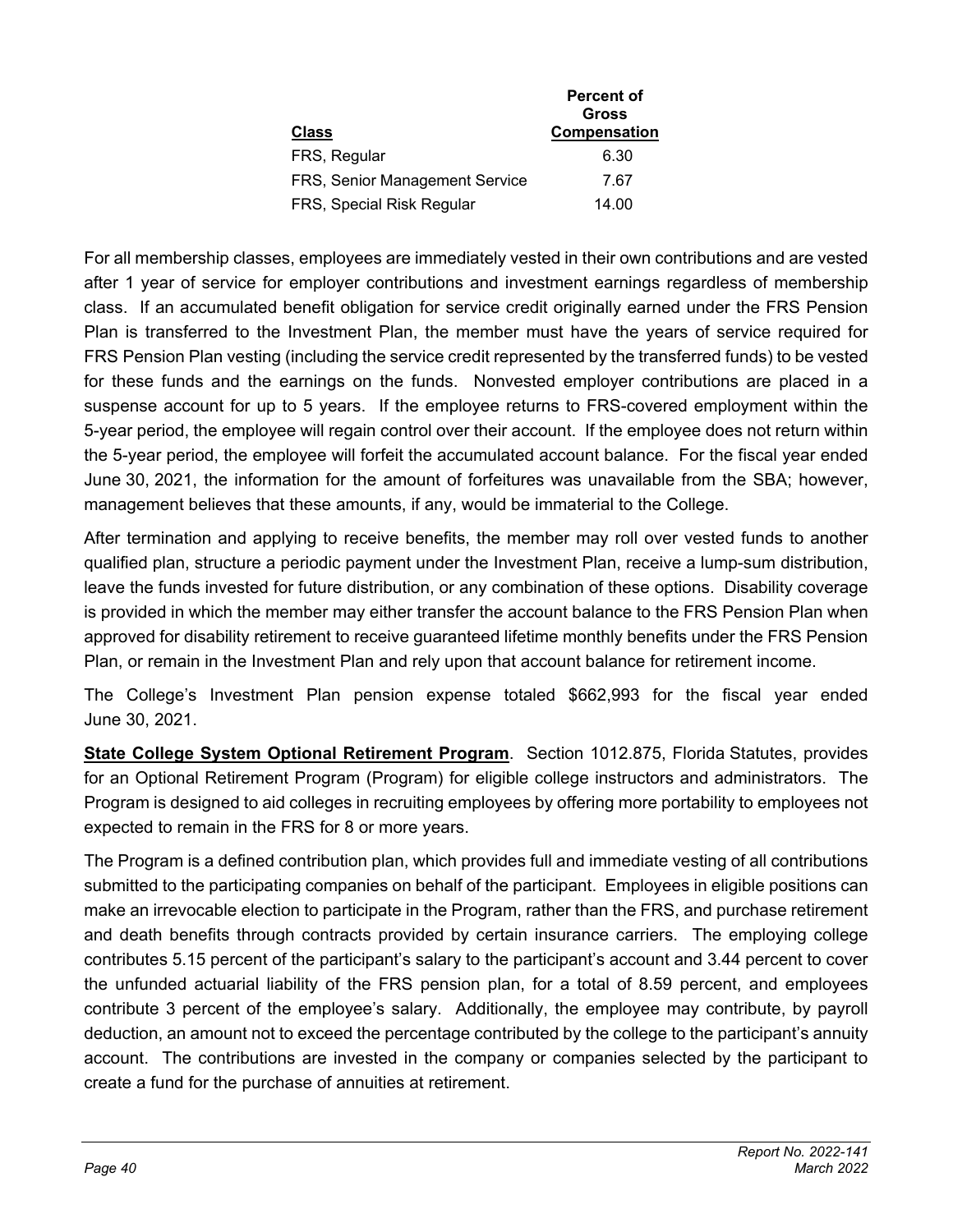|                                       | <b>Percent of</b> |
|---------------------------------------|-------------------|
|                                       | Gross             |
| <b>Class</b>                          | Compensation      |
| FRS, Regular                          | 6.30              |
| <b>FRS, Senior Management Service</b> | 7.67              |
| FRS, Special Risk Regular             | 14.00             |

For all membership classes, employees are immediately vested in their own contributions and are vested after 1 year of service for employer contributions and investment earnings regardless of membership class. If an accumulated benefit obligation for service credit originally earned under the FRS Pension Plan is transferred to the Investment Plan, the member must have the years of service required for FRS Pension Plan vesting (including the service credit represented by the transferred funds) to be vested for these funds and the earnings on the funds. Nonvested employer contributions are placed in a suspense account for up to 5 years. If the employee returns to FRS-covered employment within the 5-year period, the employee will regain control over their account. If the employee does not return within the 5-year period, the employee will forfeit the accumulated account balance. For the fiscal year ended June 30, 2021, the information for the amount of forfeitures was unavailable from the SBA; however, management believes that these amounts, if any, would be immaterial to the College.

After termination and applying to receive benefits, the member may roll over vested funds to another qualified plan, structure a periodic payment under the Investment Plan, receive a lump-sum distribution, leave the funds invested for future distribution, or any combination of these options. Disability coverage is provided in which the member may either transfer the account balance to the FRS Pension Plan when approved for disability retirement to receive guaranteed lifetime monthly benefits under the FRS Pension Plan, or remain in the Investment Plan and rely upon that account balance for retirement income.

The College's Investment Plan pension expense totaled \$662,993 for the fiscal year ended June 30, 2021.

**State College System Optional Retirement Program**. Section 1012.875, Florida Statutes, provides for an Optional Retirement Program (Program) for eligible college instructors and administrators. The Program is designed to aid colleges in recruiting employees by offering more portability to employees not expected to remain in the FRS for 8 or more years.

The Program is a defined contribution plan, which provides full and immediate vesting of all contributions submitted to the participating companies on behalf of the participant. Employees in eligible positions can make an irrevocable election to participate in the Program, rather than the FRS, and purchase retirement and death benefits through contracts provided by certain insurance carriers. The employing college contributes 5.15 percent of the participant's salary to the participant's account and 3.44 percent to cover the unfunded actuarial liability of the FRS pension plan, for a total of 8.59 percent, and employees contribute 3 percent of the employee's salary. Additionally, the employee may contribute, by payroll deduction, an amount not to exceed the percentage contributed by the college to the participant's annuity account. The contributions are invested in the company or companies selected by the participant to create a fund for the purchase of annuities at retirement.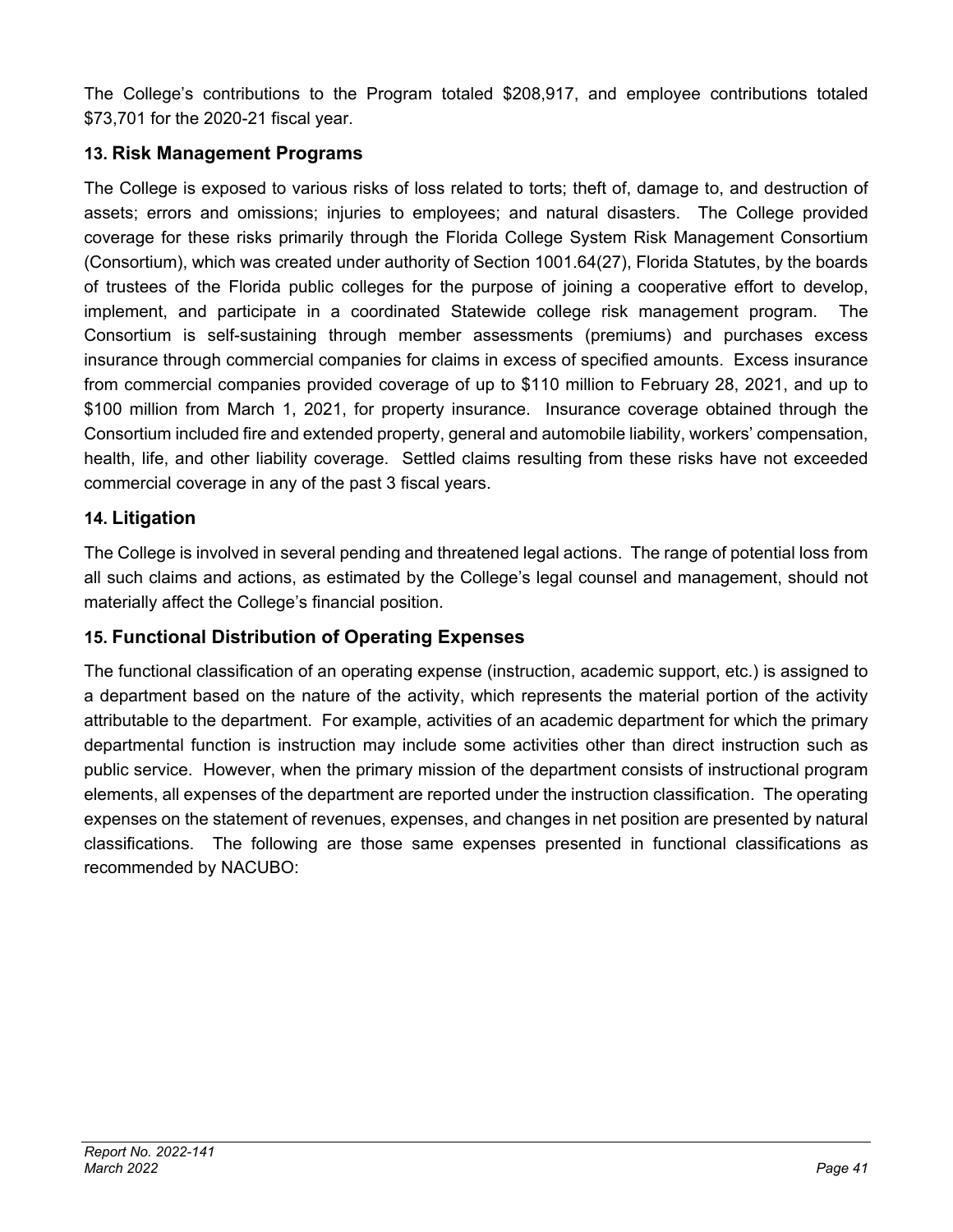The College's contributions to the Program totaled \$208,917, and employee contributions totaled \$73,701 for the 2020-21 fiscal year.

## **13. Risk Management Programs**

The College is exposed to various risks of loss related to torts; theft of, damage to, and destruction of assets; errors and omissions; injuries to employees; and natural disasters. The College provided coverage for these risks primarily through the Florida College System Risk Management Consortium (Consortium), which was created under authority of Section 1001.64(27), Florida Statutes, by the boards of trustees of the Florida public colleges for the purpose of joining a cooperative effort to develop, implement, and participate in a coordinated Statewide college risk management program. The Consortium is self-sustaining through member assessments (premiums) and purchases excess insurance through commercial companies for claims in excess of specified amounts. Excess insurance from commercial companies provided coverage of up to \$110 million to February 28, 2021, and up to \$100 million from March 1, 2021, for property insurance. Insurance coverage obtained through the Consortium included fire and extended property, general and automobile liability, workers' compensation, health, life, and other liability coverage. Settled claims resulting from these risks have not exceeded commercial coverage in any of the past 3 fiscal years.

## **14. Litigation**

The College is involved in several pending and threatened legal actions. The range of potential loss from all such claims and actions, as estimated by the College's legal counsel and management, should not materially affect the College's financial position.

## **15. Functional Distribution of Operating Expenses**

The functional classification of an operating expense (instruction, academic support, etc.) is assigned to a department based on the nature of the activity, which represents the material portion of the activity attributable to the department. For example, activities of an academic department for which the primary departmental function is instruction may include some activities other than direct instruction such as public service. However, when the primary mission of the department consists of instructional program elements, all expenses of the department are reported under the instruction classification. The operating expenses on the statement of revenues, expenses, and changes in net position are presented by natural classifications. The following are those same expenses presented in functional classifications as recommended by NACUBO: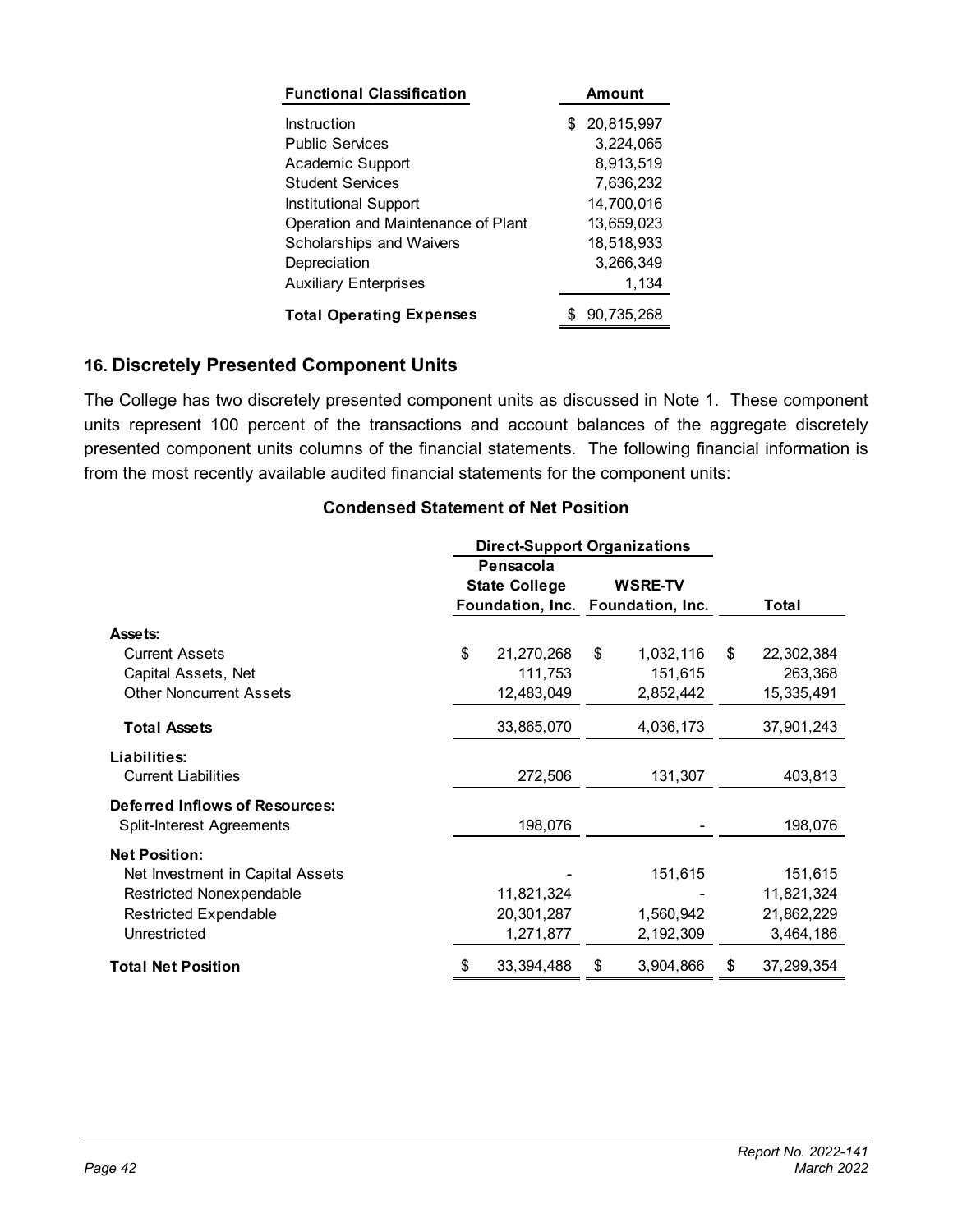| <b>Functional Classification</b>   | <b>Amount</b> |               |  |  |  |
|------------------------------------|---------------|---------------|--|--|--|
| Instruction                        |               | \$ 20,815,997 |  |  |  |
| <b>Public Services</b>             |               | 3,224,065     |  |  |  |
| Academic Support                   |               | 8,913,519     |  |  |  |
| <b>Student Services</b>            |               | 7,636,232     |  |  |  |
| Institutional Support              |               | 14,700,016    |  |  |  |
| Operation and Maintenance of Plant |               | 13,659,023    |  |  |  |
| Scholarships and Waivers           |               | 18,518,933    |  |  |  |
| Depreciation                       |               | 3,266,349     |  |  |  |
| <b>Auxiliary Enterprises</b>       |               | 1,134         |  |  |  |
| <b>Total Operating Expenses</b>    |               | 90.735.268    |  |  |  |

### **16. Discretely Presented Component Units**

The College has two discretely presented component units as discussed in Note 1. These component units represent 100 percent of the transactions and account balances of the aggregate discretely presented component units columns of the financial statements. The following financial information is from the most recently available audited financial statements for the component units:

#### **Condensed Statement of Net Position**

|                                            |                                   | <b>Direct-Support Organizations</b> |                 |    |            |
|--------------------------------------------|-----------------------------------|-------------------------------------|-----------------|----|------------|
|                                            | Pensacola<br><b>State College</b> |                                     |                 |    |            |
|                                            |                                   | Foundation, Inc. Foundation, Inc.   | <b>WSRE-TV</b>  |    | Total      |
| Assets:                                    |                                   |                                     |                 |    |            |
| <b>Current Assets</b>                      | \$                                | 21,270,268                          | \$<br>1,032,116 | \$ | 22,302,384 |
| Capital Assets, Net                        |                                   | 111,753                             | 151,615         |    | 263,368    |
| <b>Other Noncurrent Assets</b>             |                                   | 12,483,049                          | 2,852,442       |    | 15,335,491 |
| <b>Total Assets</b>                        |                                   | 33,865,070                          | 4,036,173       |    | 37,901,243 |
| Liabilities:<br><b>Current Liabilities</b> |                                   | 272,506                             | 131,307         |    | 403,813    |
|                                            |                                   |                                     |                 |    |            |
| Deferred Inflows of Resources:             |                                   |                                     |                 |    |            |
| Split-Interest Agreements                  |                                   | 198,076                             |                 |    | 198,076    |
| <b>Net Position:</b>                       |                                   |                                     |                 |    |            |
| Net Investment in Capital Assets           |                                   |                                     | 151,615         |    | 151,615    |
| <b>Restricted Nonexpendable</b>            |                                   | 11,821,324                          |                 |    | 11,821,324 |
| <b>Restricted Expendable</b>               |                                   | 20,301,287                          | 1,560,942       |    | 21,862,229 |
| Unrestricted                               |                                   | 1,271,877                           | 2,192,309       |    | 3,464,186  |
| <b>Total Net Position</b>                  | \$                                | 33,394,488                          | \$<br>3,904,866 | S  | 37,299,354 |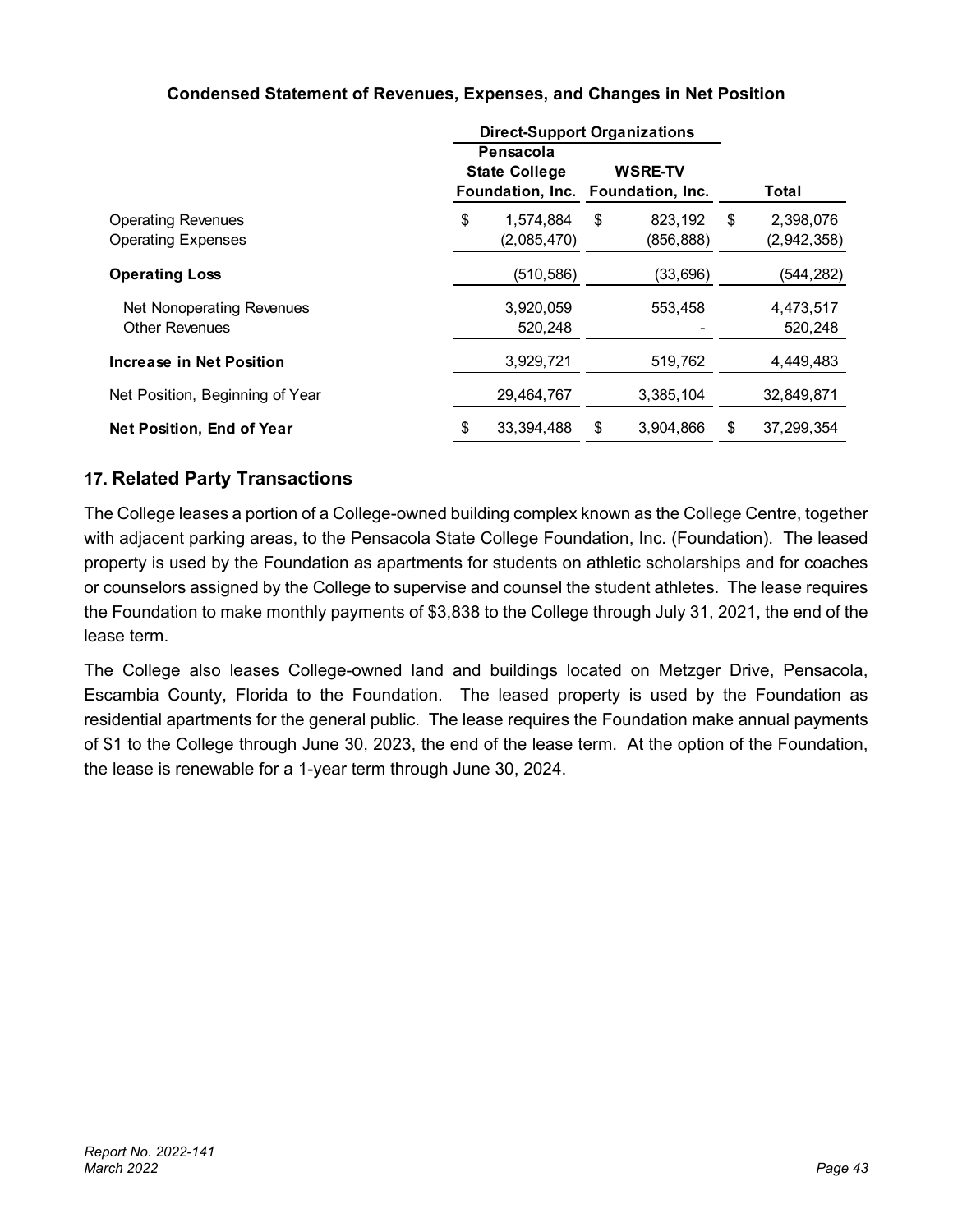#### **Condensed Statement of Revenues, Expenses, and Changes in Net Position**

|                                  | <b>Direct-Support Organizations</b> |                                                                        |   |                |                 |
|----------------------------------|-------------------------------------|------------------------------------------------------------------------|---|----------------|-----------------|
|                                  |                                     | Pensacola<br><b>State College</b><br>Foundation, Inc. Foundation, Inc. |   | <b>WSRE-TV</b> | Total           |
| <b>Operating Revenues</b>        | \$                                  | 1,574,884                                                              | S | 823,192        | \$<br>2,398,076 |
| <b>Operating Expenses</b>        |                                     | (2,085,470)                                                            |   | (856,888)      | (2,942,358)     |
| <b>Operating Loss</b>            |                                     | (510, 586)                                                             |   | (33,696)       | (544, 282)      |
| Net Nonoperating Revenues        |                                     | 3,920,059                                                              |   | 553.458        | 4,473,517       |
| <b>Other Revenues</b>            |                                     | 520,248                                                                |   |                | 520,248         |
| <b>Increase in Net Position</b>  |                                     | 3,929,721                                                              |   | 519,762        | 4,449,483       |
| Net Position, Beginning of Year  |                                     | 29,464,767                                                             |   | 3,385,104      | 32,849,871      |
| <b>Net Position, End of Year</b> | \$                                  | 33, 394, 488                                                           | S | 3,904,866      | 37,299,354      |

## **17. Related Party Transactions**

The College leases a portion of a College-owned building complex known as the College Centre, together with adjacent parking areas, to the Pensacola State College Foundation, Inc. (Foundation). The leased property is used by the Foundation as apartments for students on athletic scholarships and for coaches or counselors assigned by the College to supervise and counsel the student athletes. The lease requires the Foundation to make monthly payments of \$3,838 to the College through July 31, 2021, the end of the lease term.

The College also leases College-owned land and buildings located on Metzger Drive, Pensacola, Escambia County, Florida to the Foundation. The leased property is used by the Foundation as residential apartments for the general public. The lease requires the Foundation make annual payments of \$1 to the College through June 30, 2023, the end of the lease term. At the option of the Foundation, the lease is renewable for a 1-year term through June 30, 2024.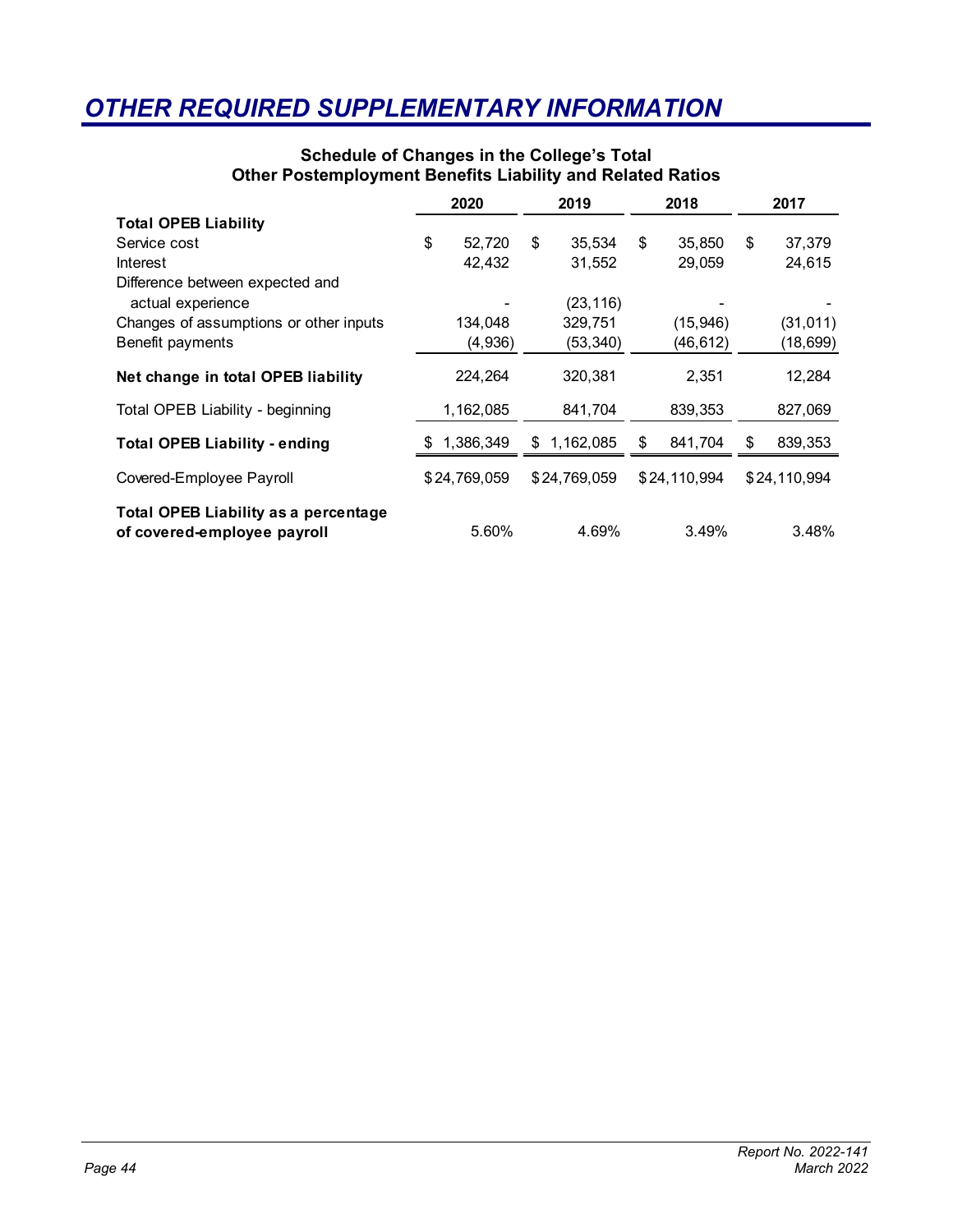## <span id="page-47-0"></span>*OTHER REQUIRED SUPPLEMENTARY INFORMATION*

|                                                                            |    | 2020         | 2019            | 2018          | 2017          |
|----------------------------------------------------------------------------|----|--------------|-----------------|---------------|---------------|
| <b>Total OPEB Liability</b>                                                |    |              |                 |               |               |
| Service cost                                                               | \$ | 52,720       | \$<br>35,534    | \$<br>35,850  | \$<br>37,379  |
| Interest                                                                   |    | 42,432       | 31,552          | 29,059        | 24,615        |
| Difference between expected and                                            |    |              |                 |               |               |
| actual experience                                                          |    |              | (23, 116)       |               |               |
| Changes of assumptions or other inputs                                     |    | 134,048      | 329,751         | (15, 946)     | (31, 011)     |
| Benefit payments                                                           |    | (4,936)      | (53, 340)       | (46, 612)     | (18, 699)     |
| Net change in total OPEB liability                                         |    | 224,264      | 320,381         | 2,351         | 12,284        |
| Total OPEB Liability - beginning                                           |    | 1,162,085    | 841,704         | 839,353       | 827,069       |
| <b>Total OPEB Liability - ending</b>                                       | S  | 1,386,349    | \$<br>1,162,085 | \$<br>841,704 | \$<br>839,353 |
| Covered-Employee Payroll                                                   |    | \$24,769,059 | \$24,769,059    | \$24,110,994  | \$24,110,994  |
| <b>Total OPEB Liability as a percentage</b><br>of covered-employee payroll |    | 5.60%        | 4.69%           | 3.49%         | 3.48%         |

#### **Schedule of Changes in the College's Total Other Postemployment Benefits Liability and Related Ratios**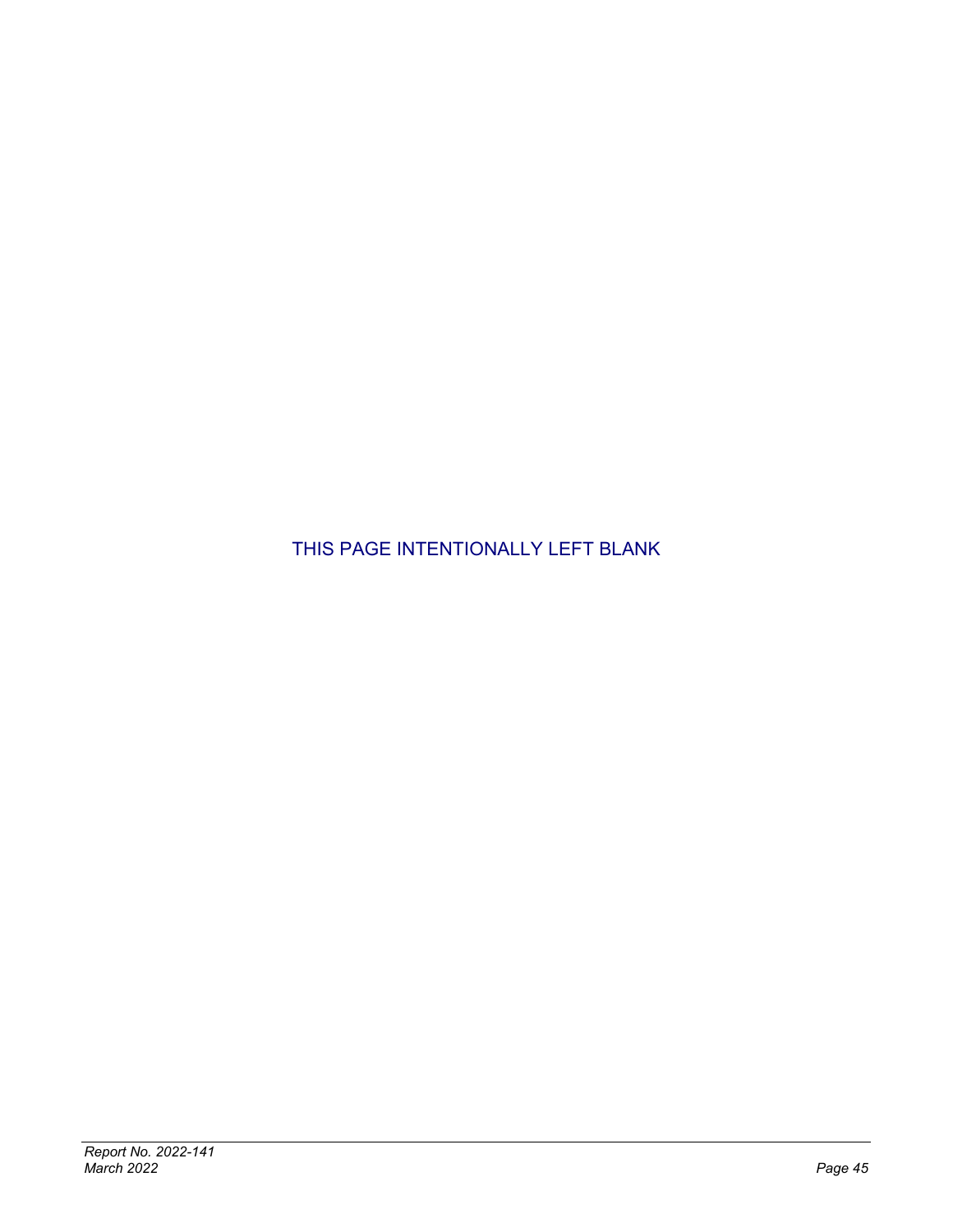THIS PAGE INTENTIONALLY LEFT BLANK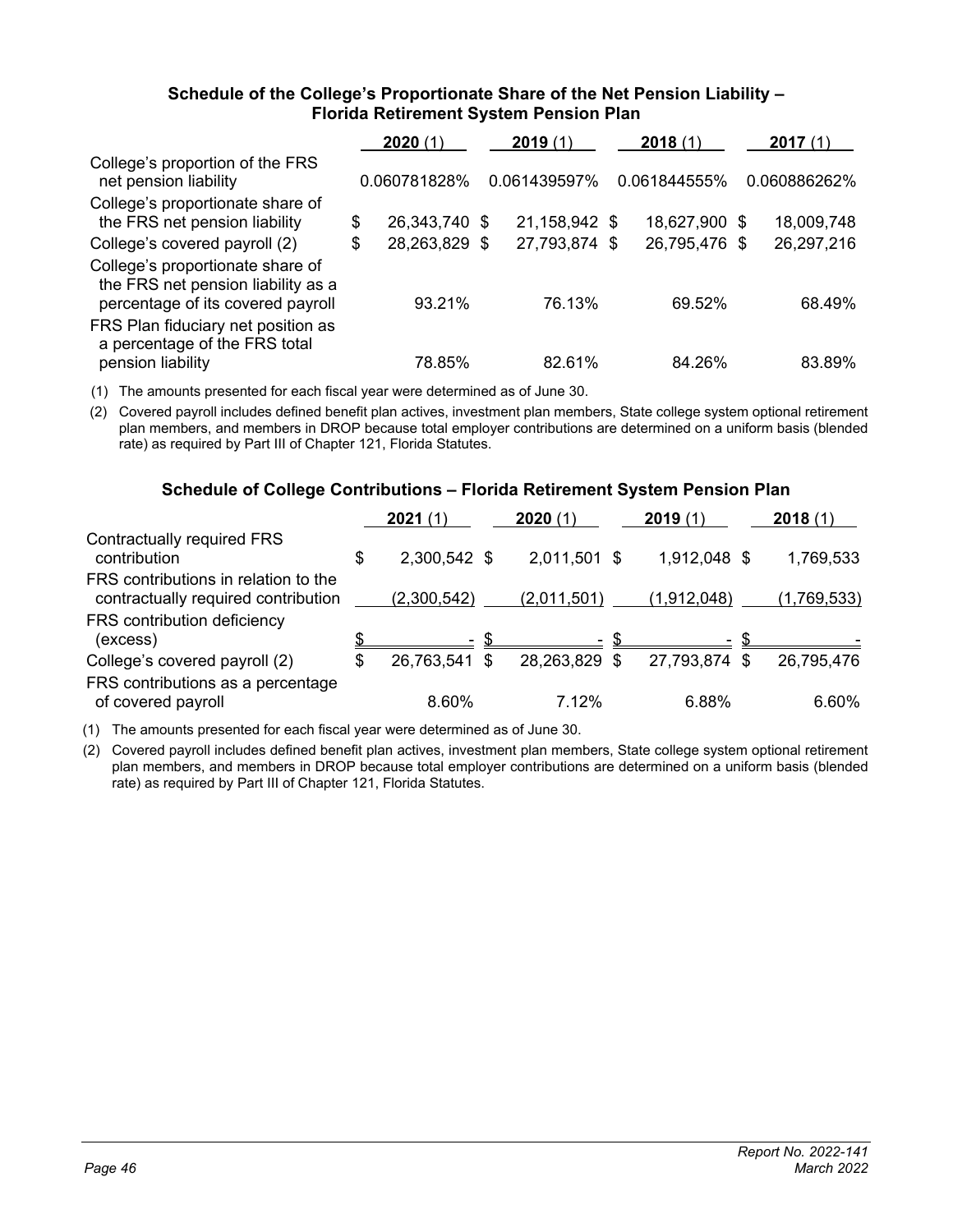#### **Schedule of the College's Proportionate Share of the Net Pension Liability – Florida Retirement System Pension Plan**

<span id="page-49-0"></span>

|                                                                                                             | 2020(1)             | 2019(1)       | 2018(1)       | 2017(1)      |
|-------------------------------------------------------------------------------------------------------------|---------------------|---------------|---------------|--------------|
| College's proportion of the FRS<br>net pension liability<br>College's proportionate share of                | 0.060781828%        | 0.061439597%  | 0.061844555%  | 0.060886262% |
| the FRS net pension liability                                                                               | \$<br>26,343,740 \$ | 21,158,942 \$ | 18,627,900 \$ | 18,009,748   |
| College's covered payroll (2)                                                                               | \$<br>28,263,829 \$ | 27,793,874 \$ | 26,795,476 \$ | 26,297,216   |
| College's proportionate share of<br>the FRS net pension liability as a<br>percentage of its covered payroll | 93.21%              | 76.13%        | 69.52%        | 68.49%       |
| FRS Plan fiduciary net position as<br>a percentage of the FRS total<br>pension liability                    | 78.85%              | 82.61%        | 84.26%        | 83.89%       |

(1) The amounts presented for each fiscal year were determined as of June 30.

(2) Covered payroll includes defined benefit plan actives, investment plan members, State college system optional retirement plan members, and members in DROP because total employer contributions are determined on a uniform basis (blended rate) as required by Part III of Chapter 121, Florida Statutes.

#### **Schedule of College Contributions – Florida Retirement System Pension Plan**

|                                                                             | 2021(1)             | 2020(1)                  | 2019(1)          | 2018(1)          |
|-----------------------------------------------------------------------------|---------------------|--------------------------|------------------|------------------|
| <b>Contractually required FRS</b><br>contribution                           | \$<br>2,300,542 \$  | 2,011,501 \$             | 1,912,048 \$     | 1,769,533        |
| FRS contributions in relation to the<br>contractually required contribution | (2,300,542)         | (2,011,501)              | (1,912,048)      | (1,769,533)      |
| FRS contribution deficiency<br>(excess)                                     |                     | $\overline{\phantom{0}}$ |                  |                  |
| College's covered payroll (2)                                               | \$<br>26,763,541 \$ | 28,263,829               | \$<br>27,793,874 | \$<br>26,795,476 |
| FRS contributions as a percentage<br>of covered payroll                     | 8.60%               | 7.12%                    | 6.88%            | 6.60%            |

(1) The amounts presented for each fiscal year were determined as of June 30.

(2) Covered payroll includes defined benefit plan actives, investment plan members, State college system optional retirement plan members, and members in DROP because total employer contributions are determined on a uniform basis (blended rate) as required by Part III of Chapter 121, Florida Statutes.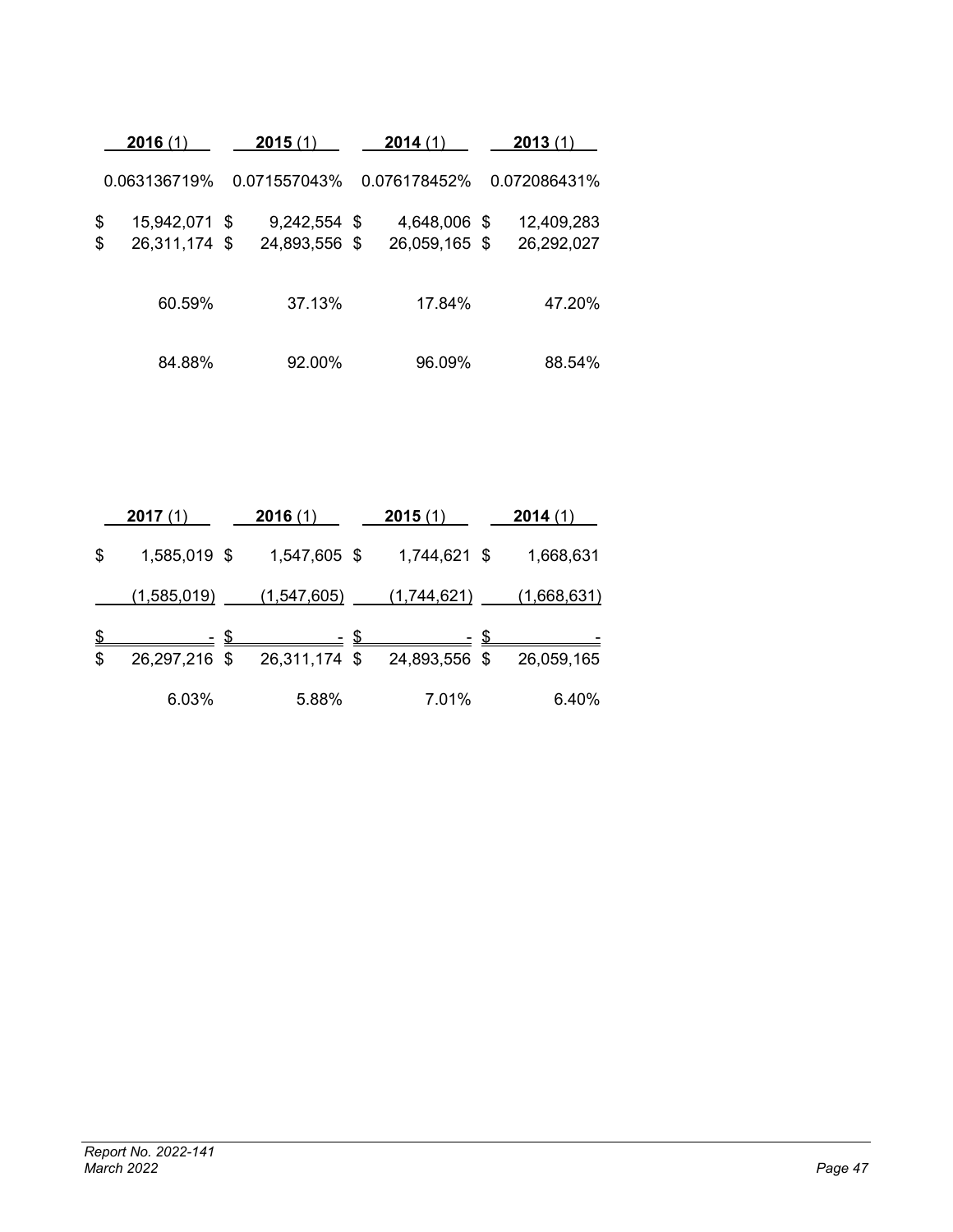| 2016(1)  |                                |  | 2015(1)                       | 2014(1)                       | 2013 (1 |                          |  |  |
|----------|--------------------------------|--|-------------------------------|-------------------------------|---------|--------------------------|--|--|
|          | 0.063136719%                   |  | 0.071557043%                  | 0.076178452%                  |         | 0.072086431%             |  |  |
| \$<br>\$ | 15,942,071 \$<br>26,311,174 \$ |  | 9,242,554 \$<br>24,893,556 \$ | 4,648,006 \$<br>26,059,165 \$ |         | 12,409,283<br>26,292,027 |  |  |
|          | 60.59%                         |  | 37.13%                        | 17.84%                        |         | 47.20%                   |  |  |
|          | 84.88%                         |  | 92.00%                        | 96.09%                        |         | 88.54%                   |  |  |

| 2017(1)             | 2016(1)       | 2015(1)       | 2014(1)     |
|---------------------|---------------|---------------|-------------|
| \$<br>1,585,019 \$  | 1,547,605 \$  | 1,744,621 \$  | 1,668,631   |
| (1,585,019)         | (1,547,605)   | (1,744,621)   | (1,668,631) |
| \$<br>26,297,216 \$ | 26,311,174 \$ | 24,893,556 \$ | 26,059,165  |
| 6.03%               | 5.88%         | 7.01%         | 6.40%       |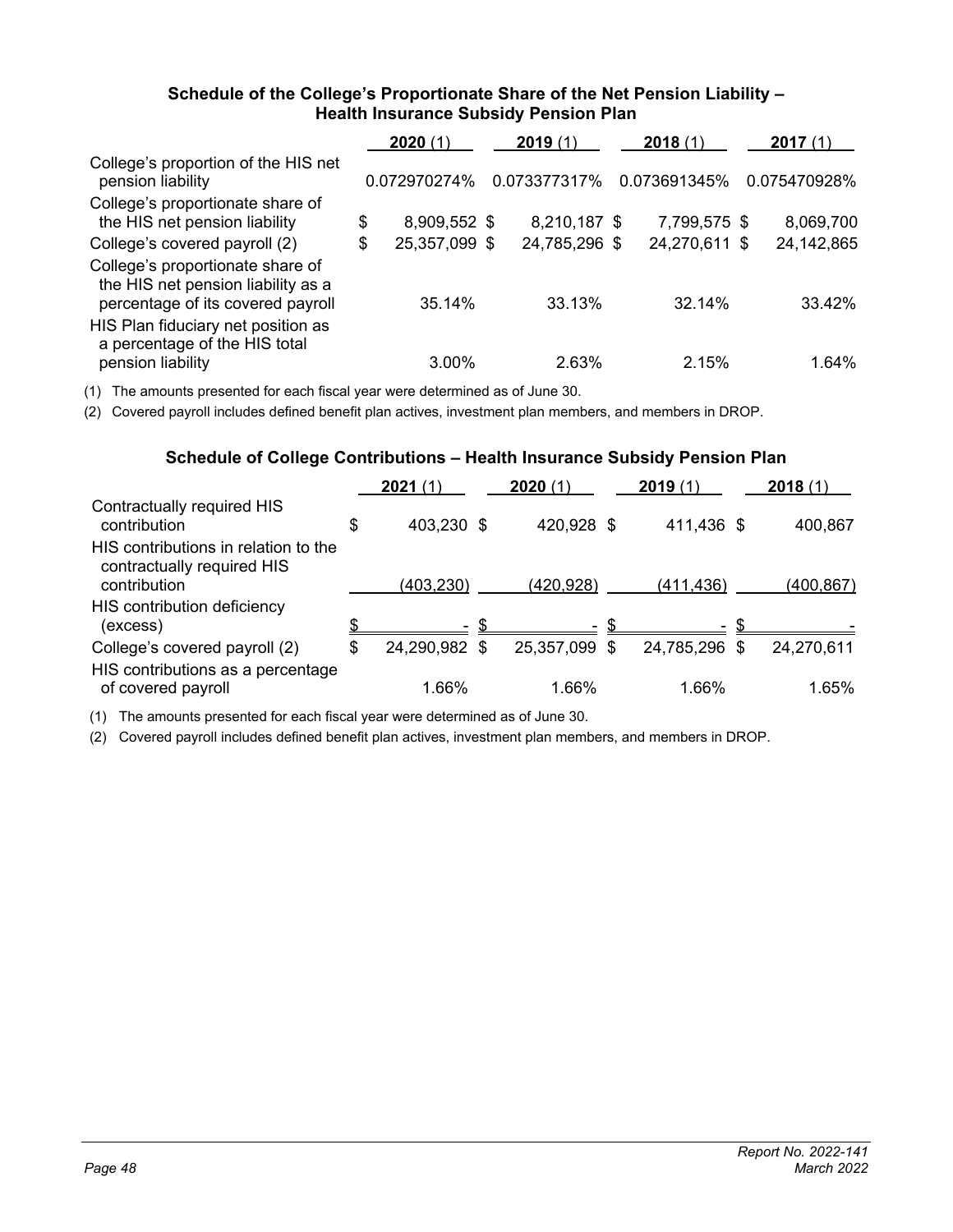#### **Schedule of the College's Proportionate Share of the Net Pension Liability – Health Insurance Subsidy Pension Plan**

<span id="page-51-0"></span>

|                                                                                                             | 2020(1)             | 2019(1)       | 2018(1)       | 2017 (1      |
|-------------------------------------------------------------------------------------------------------------|---------------------|---------------|---------------|--------------|
| College's proportion of the HIS net<br>pension liability<br>College's proportionate share of                | 0.072970274%        | 0.073377317%  | 0.073691345%  | 0.075470928% |
| the HIS net pension liability                                                                               | \$<br>8,909,552 \$  | 8,210,187 \$  | 7,799,575 \$  | 8,069,700    |
| College's covered payroll (2)                                                                               | \$<br>25,357,099 \$ | 24,785,296 \$ | 24,270,611 \$ | 24,142,865   |
| College's proportionate share of<br>the HIS net pension liability as a<br>percentage of its covered payroll | 35.14%              | 33.13%        | 32.14%        | 33.42%       |
| HIS Plan fiduciary net position as<br>a percentage of the HIS total<br>pension liability                    | 3.00%               | 2.63%         | 2.15%         | 1.64%        |

(1) The amounts presented for each fiscal year were determined as of June 30.

(2) Covered payroll includes defined benefit plan actives, investment plan members, and members in DROP.

#### **Schedule of College Contributions – Health Insurance Subsidy Pension Plan**

|                                                                    | 2021(1)          | 2020(1)             | 2019(1)    | 2018(1)          |
|--------------------------------------------------------------------|------------------|---------------------|------------|------------------|
| Contractually required HIS<br>contribution                         | \$<br>403,230 \$ | 420,928 \$          | 411,436 \$ | 400,867          |
| HIS contributions in relation to the<br>contractually required HIS |                  |                     |            |                  |
| contribution                                                       | (403, 230)       | (420, 928)          | (411, 436) | (400, 867)       |
| HIS contribution deficiency                                        |                  |                     |            |                  |
| (excess)                                                           |                  |                     |            |                  |
| College's covered payroll (2)                                      | \$<br>24,290,982 | \$<br>25,357,099 \$ | 24,785,296 | \$<br>24,270,611 |
| HIS contributions as a percentage<br>of covered payroll            | 1.66%            | 1.66%               | 1.66%      | 1.65%            |

(1) The amounts presented for each fiscal year were determined as of June 30.

(2) Covered payroll includes defined benefit plan actives, investment plan members, and members in DROP.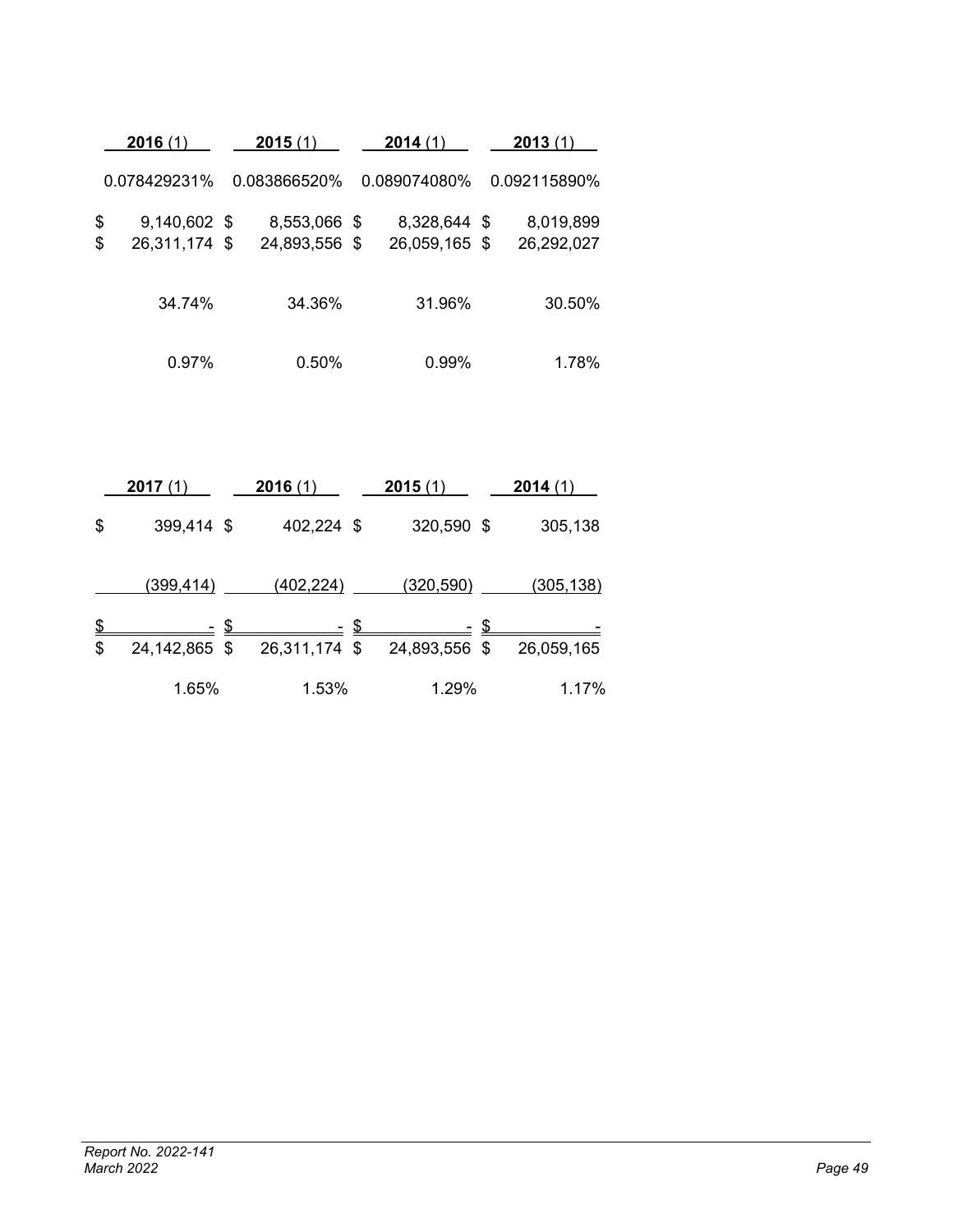|    | 2016(1)       | 2015(1)       | 2014(1)       | 2013 (1      |
|----|---------------|---------------|---------------|--------------|
|    | 0.078429231%  | 0.083866520%  | 0.089074080%  | 0.092115890% |
| \$ | 9,140,602 \$  | 8,553,066 \$  | 8,328,644 \$  | 8,019,899    |
| \$ | 26,311,174 \$ | 24,893,556 \$ | 26,059,165 \$ | 26,292,027   |
|    | 34.74%        | 34.36%        | 31.96%        | 30.50%       |
|    | 0.97%         | 0.50%         | 0.99%         | 1.78%        |

| 2017(1)               | 2016(1)       | 2015(1)       | 2014(1)    |
|-----------------------|---------------|---------------|------------|
| \$<br>399,414 \$      | 402,224 \$    | 320,590 \$    | 305,138    |
| (399, 414)            | (402, 224)    | (320, 590)    | (305,138)  |
|                       |               |               |            |
| \$<br>24, 142, 865 \$ | 26,311,174 \$ | 24,893,556 \$ | 26,059,165 |
| 1.65%                 | 1.53%         | 1.29%         | 1.17%      |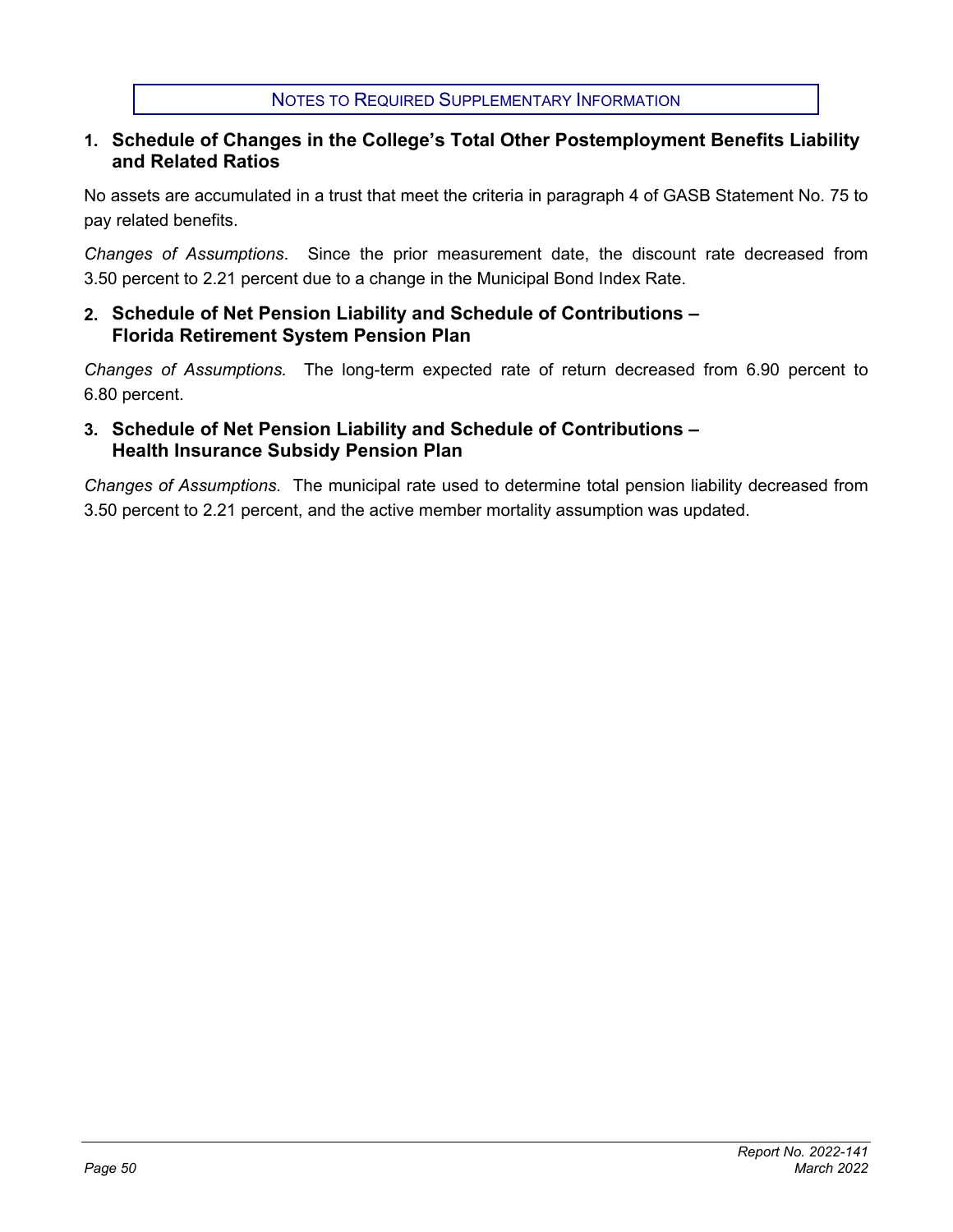### <span id="page-53-0"></span>**1. Schedule of Changes in the College's Total Other Postemployment Benefits Liability and Related Ratios**

No assets are accumulated in a trust that meet the criteria in paragraph 4 of GASB Statement No. 75 to pay related benefits.

*Changes of Assumptions*. Since the prior measurement date, the discount rate decreased from 3.50 percent to 2.21 percent due to a change in the Municipal Bond Index Rate.

#### **2. Schedule of Net Pension Liability and Schedule of Contributions – Florida Retirement System Pension Plan**

*Changes of Assumptions.* The long-term expected rate of return decreased from 6.90 percent to 6.80 percent.

#### **3. Schedule of Net Pension Liability and Schedule of Contributions – Health Insurance Subsidy Pension Plan**

*Changes of Assumptions.* The municipal rate used to determine total pension liability decreased from 3.50 percent to 2.21 percent, and the active member mortality assumption was updated.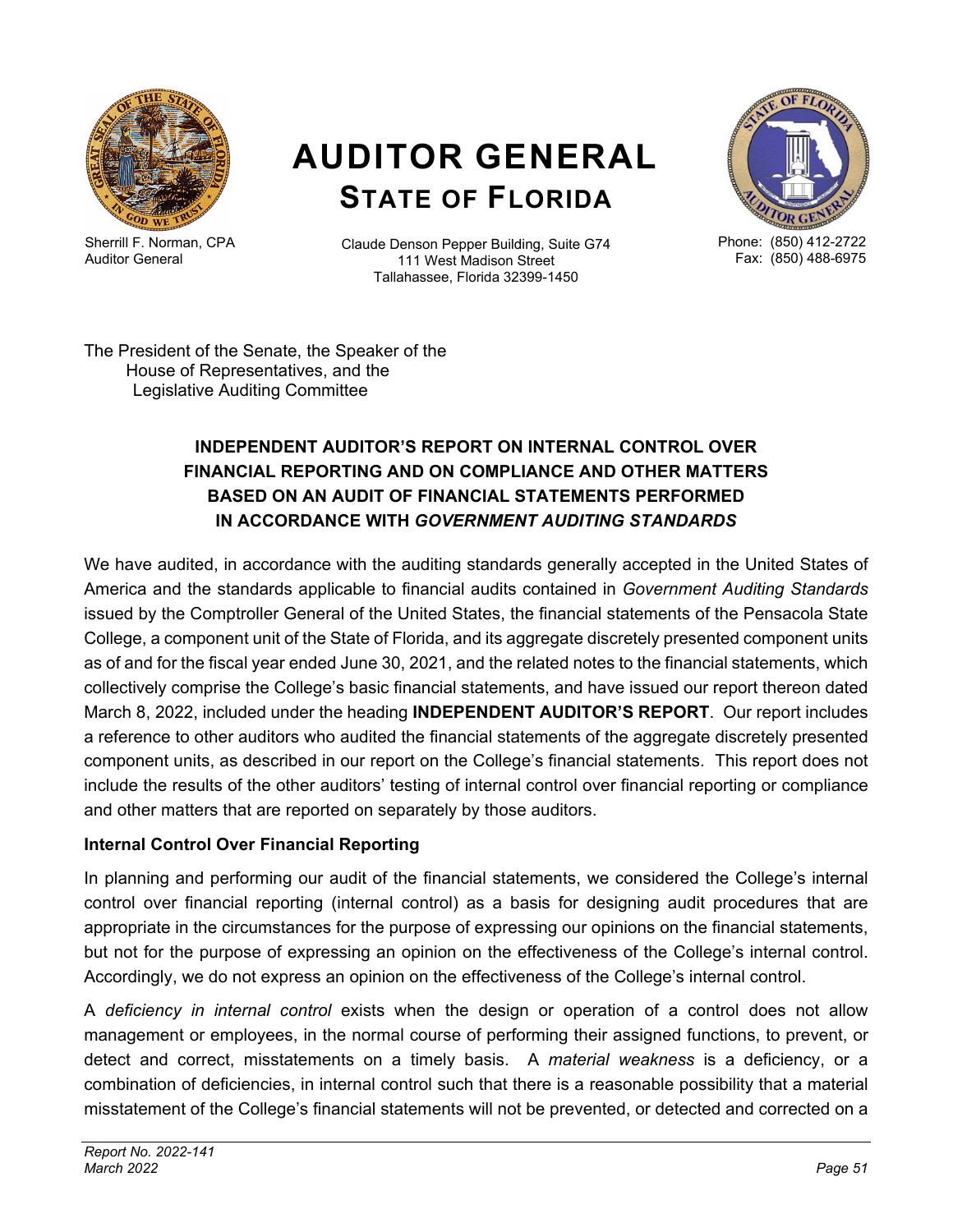<span id="page-54-0"></span>

Sherrill F. Norman, CPA Auditor General

# **AUDITOR GENERAL STATE OF FLORIDA**



Claude Denson Pepper Building, Suite G74 111 West Madison Street Tallahassee, Florida 32399-1450

Phone: (850) 412-2722 Fax: (850) 488-6975

The President of the Senate, the Speaker of the House of Representatives, and the Legislative Auditing Committee

## **INDEPENDENT AUDITOR'S REPORT ON INTERNAL CONTROL OVER FINANCIAL REPORTING AND ON COMPLIANCE AND OTHER MATTERS BASED ON AN AUDIT OF FINANCIAL STATEMENTS PERFORMED IN ACCORDANCE WITH** *GOVERNMENT AUDITING STANDARDS*

We have audited, in accordance with the auditing standards generally accepted in the United States of America and the standards applicable to financial audits contained in *Government Auditing Standards* issued by the Comptroller General of the United States, the financial statements of the Pensacola State College, a component unit of the State of Florida, and its aggregate discretely presented component units as of and for the fiscal year ended June 30, 2021, and the related notes to the financial statements, which collectively comprise the College's basic financial statements, and have issued our report thereon dated March 8, 2022, included under the heading **INDEPENDENT AUDITOR'S REPORT**. Our report includes a reference to other auditors who audited the financial statements of the aggregate discretely presented component units, as described in our report on the College's financial statements. This report does not include the results of the other auditors' testing of internal control over financial reporting or compliance and other matters that are reported on separately by those auditors.

## **Internal Control Over Financial Reporting**

In planning and performing our audit of the financial statements, we considered the College's internal control over financial reporting (internal control) as a basis for designing audit procedures that are appropriate in the circumstances for the purpose of expressing our opinions on the financial statements, but not for the purpose of expressing an opinion on the effectiveness of the College's internal control. Accordingly, we do not express an opinion on the effectiveness of the College's internal control.

A *deficiency in internal control* exists when the design or operation of a control does not allow management or employees, in the normal course of performing their assigned functions, to prevent, or detect and correct, misstatements on a timely basis. A *material weakness* is a deficiency, or a combination of deficiencies, in internal control such that there is a reasonable possibility that a material misstatement of the College's financial statements will not be prevented, or detected and corrected on a